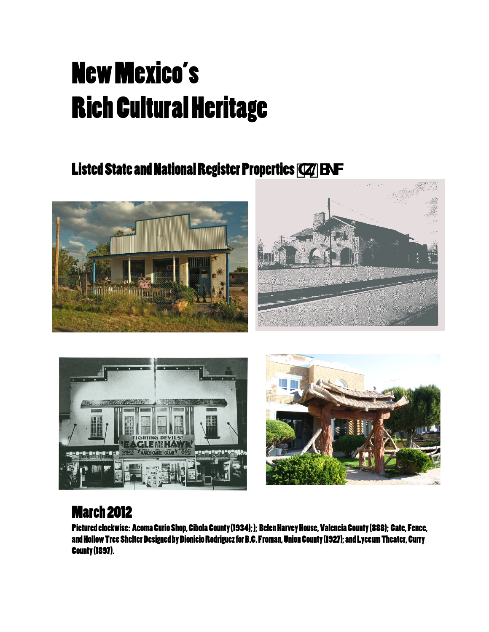## New Mexico's Rich Cultural Heritage

## Listed State and National Register Properties Tk@S\_VV







## March 2012

Pictured clockwise: Acoma Curio Shop, Cibola County (1934);); Belen Harvey House, Valencia County (888); Gate, Fence, and Hollow Tree Shelter Designed by Dionicio Rodriguez for B.C. Froman, Union County (1927); and Lyceum Theater, Curry County (1897).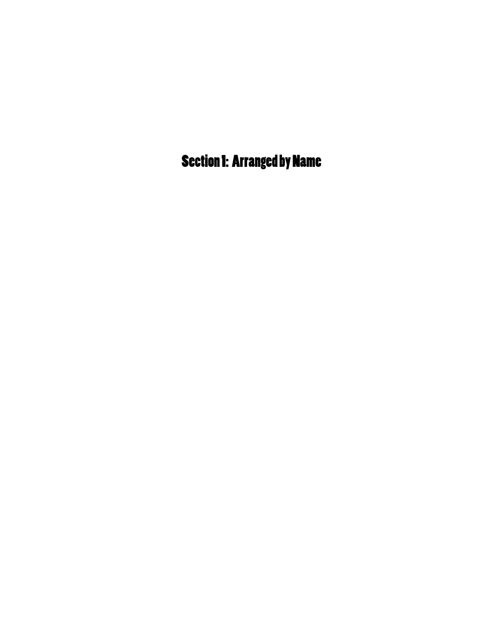Section 1: Arranged by Name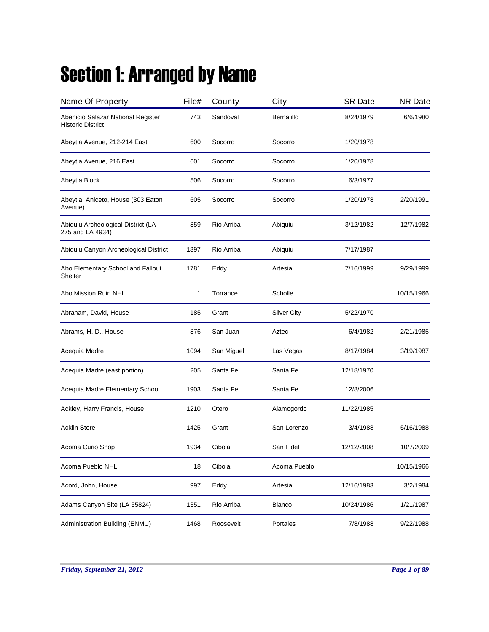## Section 1: Arranged by Name

| Name Of Property                                               | File# | County     | City               | <b>SR Date</b> | <b>NR Date</b> |
|----------------------------------------------------------------|-------|------------|--------------------|----------------|----------------|
| Abenicio Salazar National Register<br><b>Historic District</b> | 743   | Sandoval   | Bernalillo         | 8/24/1979      | 6/6/1980       |
| Abeytia Avenue, 212-214 East                                   | 600   | Socorro    | Socorro            | 1/20/1978      |                |
| Abeytia Avenue, 216 East                                       | 601   | Socorro    | Socorro            | 1/20/1978      |                |
| Abeytia Block                                                  | 506   | Socorro    | Socorro            | 6/3/1977       |                |
| Abeytia, Aniceto, House (303 Eaton<br>Avenue)                  | 605   | Socorro    | Socorro            | 1/20/1978      | 2/20/1991      |
| Abiquiu Archeological District (LA<br>275 and LA 4934)         | 859   | Rio Arriba | Abiquiu            | 3/12/1982      | 12/7/1982      |
| Abiquiu Canyon Archeological District                          | 1397  | Rio Arriba | Abiquiu            | 7/17/1987      |                |
| Abo Elementary School and Fallout<br>Shelter                   | 1781  | Eddy       | Artesia            | 7/16/1999      | 9/29/1999      |
| Abo Mission Ruin NHL                                           | 1     | Torrance   | Scholle            |                | 10/15/1966     |
| Abraham, David, House                                          | 185   | Grant      | <b>Silver City</b> | 5/22/1970      |                |
| Abrams, H. D., House                                           | 876   | San Juan   | Aztec              | 6/4/1982       | 2/21/1985      |
| Acequia Madre                                                  | 1094  | San Miguel | Las Vegas          | 8/17/1984      | 3/19/1987      |
| Acequia Madre (east portion)                                   | 205   | Santa Fe   | Santa Fe           | 12/18/1970     |                |
| Acequia Madre Elementary School                                | 1903  | Santa Fe   | Santa Fe           | 12/8/2006      |                |
| Ackley, Harry Francis, House                                   | 1210  | Otero      | Alamogordo         | 11/22/1985     |                |
| <b>Acklin Store</b>                                            | 1425  | Grant      | San Lorenzo        | 3/4/1988       | 5/16/1988      |
| Acoma Curio Shop                                               | 1934  | Cibola     | San Fidel          | 12/12/2008     | 10/7/2009      |
| Acoma Pueblo NHL                                               | 18    | Cibola     | Acoma Pueblo       |                | 10/15/1966     |
| Acord, John, House                                             | 997   | Eddy       | Artesia            | 12/16/1983     | 3/2/1984       |
| Adams Canyon Site (LA 55824)                                   | 1351  | Rio Arriba | Blanco             | 10/24/1986     | 1/21/1987      |
| Administration Building (ENMU)                                 | 1468  | Roosevelt  | Portales           | 7/8/1988       | 9/22/1988      |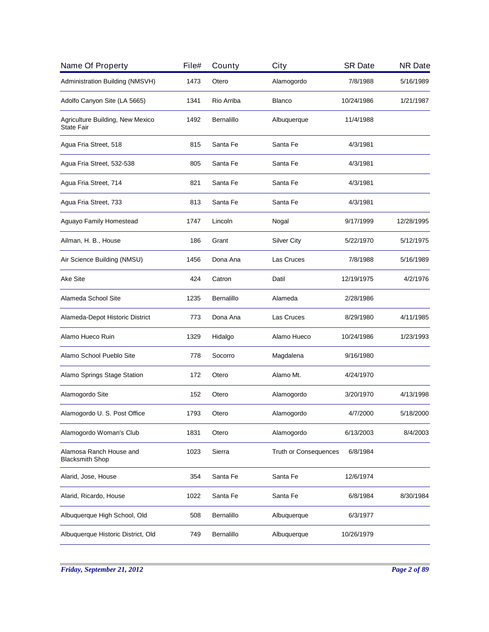| Name Of Property                                  | File# | County     | City                         | <b>SR Date</b> | <b>NR Date</b> |
|---------------------------------------------------|-------|------------|------------------------------|----------------|----------------|
| Administration Building (NMSVH)                   | 1473  | Otero      | Alamogordo                   | 7/8/1988       | 5/16/1989      |
| Adolfo Canyon Site (LA 5665)                      | 1341  | Rio Arriba | Blanco                       | 10/24/1986     | 1/21/1987      |
| Agriculture Building, New Mexico<br>State Fair    | 1492  | Bernalillo | Albuquerque                  | 11/4/1988      |                |
| Agua Fria Street, 518                             | 815   | Santa Fe   | Santa Fe                     | 4/3/1981       |                |
| Agua Fria Street, 532-538                         | 805   | Santa Fe   | Santa Fe                     | 4/3/1981       |                |
| Agua Fria Street, 714                             | 821   | Santa Fe   | Santa Fe                     | 4/3/1981       |                |
| Agua Fria Street, 733                             | 813   | Santa Fe   | Santa Fe                     | 4/3/1981       |                |
| Aguayo Family Homestead                           | 1747  | Lincoln    | Nogal                        | 9/17/1999      | 12/28/1995     |
| Ailman, H. B., House                              | 186   | Grant      | <b>Silver City</b>           | 5/22/1970      | 5/12/1975      |
| Air Science Building (NMSU)                       | 1456  | Dona Ana   | Las Cruces                   | 7/8/1988       | 5/16/1989      |
| Ake Site                                          | 424   | Catron     | Datil                        | 12/19/1975     | 4/2/1976       |
| Alameda School Site                               | 1235  | Bernalillo | Alameda                      | 2/28/1986      |                |
| Alameda-Depot Historic District                   | 773   | Dona Ana   | Las Cruces                   | 8/29/1980      | 4/11/1985      |
| Alamo Hueco Ruin                                  | 1329  | Hidalgo    | Alamo Hueco                  | 10/24/1986     | 1/23/1993      |
| Alamo School Pueblo Site                          | 778   | Socorro    | Magdalena                    | 9/16/1980      |                |
| Alamo Springs Stage Station                       | 172   | Otero      | Alamo Mt.                    | 4/24/1970      |                |
| Alamogordo Site                                   | 152   | Otero      | Alamogordo                   | 3/20/1970      | 4/13/1998      |
| Alamogordo U. S. Post Office                      | 1793  | Otero      | Alamogordo                   | 4/7/2000       | 5/18/2000      |
| Alamogordo Woman's Club                           | 1831  | Otero      | Alamogordo                   | 6/13/2003      | 8/4/2003       |
| Alamosa Ranch House and<br><b>Blacksmith Shop</b> | 1023  | Sierra     | <b>Truth or Consequences</b> | 6/8/1984       |                |
| Alarid, Jose, House                               | 354   | Santa Fe   | Santa Fe                     | 12/6/1974      |                |
| Alarid, Ricardo, House                            | 1022  | Santa Fe   | Santa Fe                     | 6/8/1984       | 8/30/1984      |
| Albuquerque High School, Old                      | 508   | Bernalillo | Albuquerque                  | 6/3/1977       |                |
| Albuquerque Historic District, Old                | 749   | Bernalillo | Albuquerque                  | 10/26/1979     |                |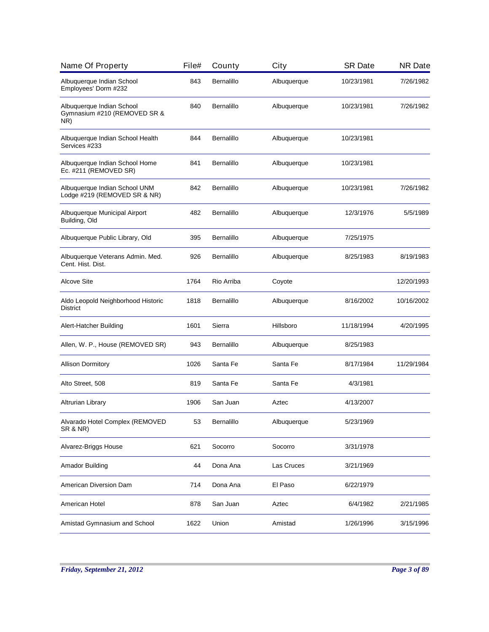| Name Of Property                                                 | File# | County            | City        | <b>SR Date</b> | <b>NR Date</b> |
|------------------------------------------------------------------|-------|-------------------|-------------|----------------|----------------|
| Albuquerque Indian School<br>Employees' Dorm #232                | 843   | Bernalillo        | Albuquerque | 10/23/1981     | 7/26/1982      |
| Albuquerque Indian School<br>Gymnasium #210 (REMOVED SR &<br>NR) | 840   | Bernalillo        | Albuquerque | 10/23/1981     | 7/26/1982      |
| Albuquerque Indian School Health<br>Services #233                | 844   | Bernalillo        | Albuquerque | 10/23/1981     |                |
| Albuquerque Indian School Home<br>Ec. #211 (REMOVED SR)          | 841   | Bernalillo        | Albuquerque | 10/23/1981     |                |
| Albuquerque Indian School UNM<br>Lodge #219 (REMOVED SR & NR)    | 842   | Bernalillo        | Albuquerque | 10/23/1981     | 7/26/1982      |
| Albuquerque Municipal Airport<br>Building, Old                   | 482   | Bernalillo        | Albuquerque | 12/3/1976      | 5/5/1989       |
| Albuquerque Public Library, Old                                  | 395   | Bernalillo        | Albuquerque | 7/25/1975      |                |
| Albuquerque Veterans Admin. Med.<br>Cent. Hist. Dist.            | 926   | Bernalillo        | Albuquerque | 8/25/1983      | 8/19/1983      |
| <b>Alcove Site</b>                                               | 1764  | Rio Arriba        | Coyote      |                | 12/20/1993     |
| Aldo Leopold Neighborhood Historic<br><b>District</b>            | 1818  | <b>Bernalillo</b> | Albuquerque | 8/16/2002      | 10/16/2002     |
| Alert-Hatcher Building                                           | 1601  | Sierra            | Hillsboro   | 11/18/1994     | 4/20/1995      |
| Allen, W. P., House (REMOVED SR)                                 | 943   | <b>Bernalillo</b> | Albuquerque | 8/25/1983      |                |
| <b>Allison Dormitory</b>                                         | 1026  | Santa Fe          | Santa Fe    | 8/17/1984      | 11/29/1984     |
| Alto Street, 508                                                 | 819   | Santa Fe          | Santa Fe    | 4/3/1981       |                |
| Altrurian Library                                                | 1906  | San Juan          | Aztec       | 4/13/2007      |                |
| Alvarado Hotel Complex (REMOVED<br><b>SR &amp; NR)</b>           | 53    | Bernalillo        | Albuquerque | 5/23/1969      |                |
| Alvarez-Briggs House                                             | 621   | Socorro           | Socorro     | 3/31/1978      |                |
| Amador Building                                                  | 44    | Dona Ana          | Las Cruces  | 3/21/1969      |                |
| American Diversion Dam                                           | 714   | Dona Ana          | El Paso     | 6/22/1979      |                |
| American Hotel                                                   | 878   | San Juan          | Aztec       | 6/4/1982       | 2/21/1985      |
| Amistad Gymnasium and School                                     | 1622  | Union             | Amistad     | 1/26/1996      | 3/15/1996      |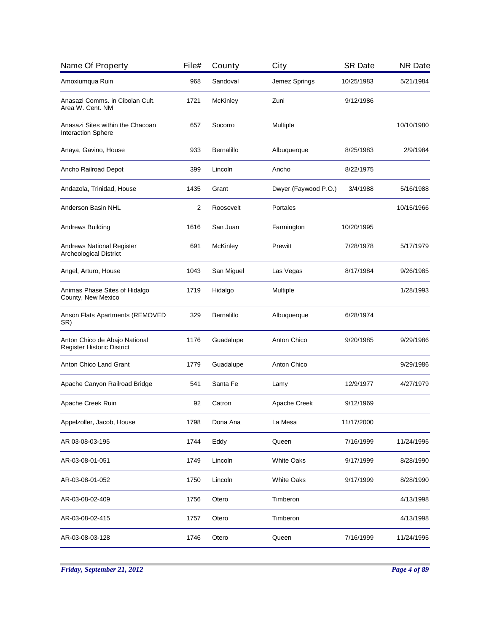| Amoxiumqua Ruin                                                   | 968  | Sandoval        |                      |            |            |
|-------------------------------------------------------------------|------|-----------------|----------------------|------------|------------|
|                                                                   |      |                 | Jemez Springs        | 10/25/1983 | 5/21/1984  |
| Anasazi Comms. in Cibolan Cult.<br>Area W. Cent. NM               | 1721 | <b>McKinley</b> | Zuni                 | 9/12/1986  |            |
| Anasazi Sites within the Chacoan<br><b>Interaction Sphere</b>     | 657  | Socorro         | Multiple             |            | 10/10/1980 |
| Anaya, Gavino, House                                              | 933  | Bernalillo      | Albuquerque          | 8/25/1983  | 2/9/1984   |
| Ancho Railroad Depot                                              | 399  | Lincoln         | Ancho                | 8/22/1975  |            |
| Andazola, Trinidad, House                                         | 1435 | Grant           | Dwyer (Faywood P.O.) | 3/4/1988   | 5/16/1988  |
| Anderson Basin NHL                                                | 2    | Roosevelt       | Portales             |            | 10/15/1966 |
| Andrews Building                                                  | 1616 | San Juan        | Farmington           | 10/20/1995 |            |
| <b>Andrews National Register</b><br><b>Archeological District</b> | 691  | <b>McKinley</b> | Prewitt              | 7/28/1978  | 5/17/1979  |
| Angel, Arturo, House                                              | 1043 | San Miguel      | Las Vegas            | 8/17/1984  | 9/26/1985  |
| Animas Phase Sites of Hidalgo<br>County, New Mexico               | 1719 | Hidalgo         | Multiple             |            | 1/28/1993  |
| Anson Flats Apartments (REMOVED<br>SR)                            | 329  | Bernalillo      | Albuquerque          | 6/28/1974  |            |
| Anton Chico de Abajo National<br>Register Historic District       | 1176 | Guadalupe       | Anton Chico          | 9/20/1985  | 9/29/1986  |
| Anton Chico Land Grant                                            | 1779 | Guadalupe       | Anton Chico          |            | 9/29/1986  |
| Apache Canyon Railroad Bridge                                     | 541  | Santa Fe        | Lamy                 | 12/9/1977  | 4/27/1979  |
| Apache Creek Ruin                                                 | 92   | Catron          | Apache Creek         | 9/12/1969  |            |
| Appelzoller, Jacob, House                                         | 1798 | Dona Ana        | La Mesa              | 11/17/2000 |            |
| AR 03-08-03-195                                                   | 1744 | Eddy            | Queen                | 7/16/1999  | 11/24/1995 |
| AR-03-08-01-051                                                   | 1749 | Lincoln         | <b>White Oaks</b>    | 9/17/1999  | 8/28/1990  |
| AR-03-08-01-052                                                   | 1750 | Lincoln         | <b>White Oaks</b>    | 9/17/1999  | 8/28/1990  |
| AR-03-08-02-409                                                   | 1756 | Otero           | Timberon             |            | 4/13/1998  |
| AR-03-08-02-415                                                   | 1757 | Otero           | Timberon             |            | 4/13/1998  |
| AR-03-08-03-128                                                   | 1746 | Otero           | Queen                | 7/16/1999  | 11/24/1995 |

*Friday, September 21, 2012 Page 4 of 89*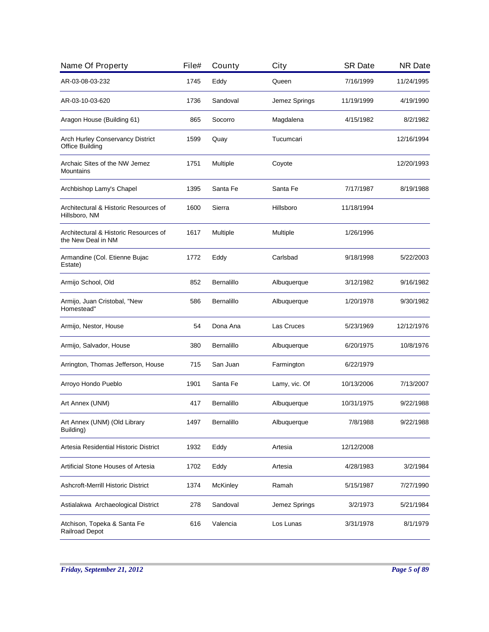| Name Of Property                                            | File# | County          | City          | <b>SR Date</b> | <b>NR Date</b> |
|-------------------------------------------------------------|-------|-----------------|---------------|----------------|----------------|
| AR-03-08-03-232                                             | 1745  | Eddy            | Queen         | 7/16/1999      | 11/24/1995     |
| AR-03-10-03-620                                             | 1736  | Sandoval        | Jemez Springs | 11/19/1999     | 4/19/1990      |
| Aragon House (Building 61)                                  | 865   | Socorro         | Magdalena     | 4/15/1982      | 8/2/1982       |
| Arch Hurley Conservancy District<br><b>Office Building</b>  | 1599  | Quay            | Tucumcari     |                | 12/16/1994     |
| Archaic Sites of the NW Jemez<br>Mountains                  | 1751  | Multiple        | Coyote        |                | 12/20/1993     |
| Archbishop Lamy's Chapel                                    | 1395  | Santa Fe        | Santa Fe      | 7/17/1987      | 8/19/1988      |
| Architectural & Historic Resources of<br>Hillsboro, NM      | 1600  | Sierra          | Hillsboro     | 11/18/1994     |                |
| Architectural & Historic Resources of<br>the New Deal in NM | 1617  | Multiple        | Multiple      | 1/26/1996      |                |
| Armandine (Col. Etienne Bujac<br>Estate)                    | 1772  | Eddy            | Carlsbad      | 9/18/1998      | 5/22/2003      |
| Armijo School, Old                                          | 852   | Bernalillo      | Albuquerque   | 3/12/1982      | 9/16/1982      |
| Armijo, Juan Cristobal, "New<br>Homestead"                  | 586   | Bernalillo      | Albuquerque   | 1/20/1978      | 9/30/1982      |
| Armijo, Nestor, House                                       | 54    | Dona Ana        | Las Cruces    | 5/23/1969      | 12/12/1976     |
| Armijo, Salvador, House                                     | 380   | Bernalillo      | Albuquerque   | 6/20/1975      | 10/8/1976      |
| Arrington, Thomas Jefferson, House                          | 715   | San Juan        | Farmington    | 6/22/1979      |                |
| Arroyo Hondo Pueblo                                         | 1901  | Santa Fe        | Lamy, vic. Of | 10/13/2006     | 7/13/2007      |
| Art Annex (UNM)                                             | 417   | Bernalillo      | Albuquerque   | 10/31/1975     | 9/22/1988      |
| Art Annex (UNM) (Old Library<br>Building)                   | 1497  | Bernalillo      | Albuquerque   | 7/8/1988       | 9/22/1988      |
| Artesia Residential Historic District                       | 1932  | Eddy            | Artesia       | 12/12/2008     |                |
| Artificial Stone Houses of Artesia                          | 1702  | Eddy            | Artesia       | 4/28/1983      | 3/2/1984       |
| <b>Ashcroft-Merrill Historic District</b>                   | 1374  | <b>McKinley</b> | Ramah         | 5/15/1987      | 7/27/1990      |
| Astialakwa Archaeological District                          | 278   | Sandoval        | Jemez Springs | 3/2/1973       | 5/21/1984      |
| Atchison, Topeka & Santa Fe<br><b>Railroad Depot</b>        | 616   | Valencia        | Los Lunas     | 3/31/1978      | 8/1/1979       |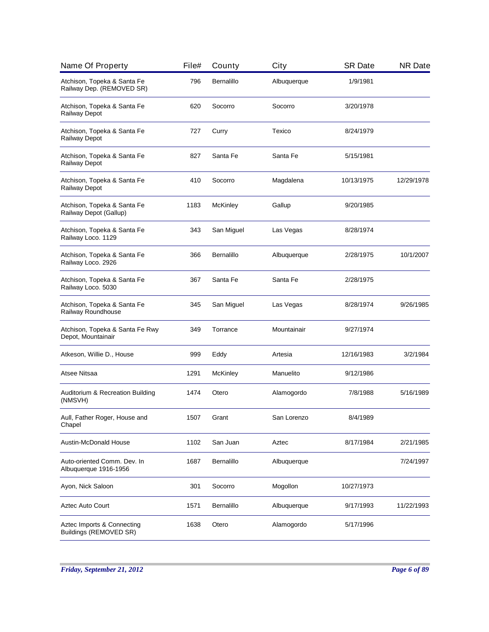| Name Of Property                                         | File# | County     | City        | <b>SR Date</b> | <b>NR Date</b> |
|----------------------------------------------------------|-------|------------|-------------|----------------|----------------|
| Atchison, Topeka & Santa Fe<br>Railway Dep. (REMOVED SR) | 796   | Bernalillo | Albuquerque | 1/9/1981       |                |
| Atchison, Topeka & Santa Fe<br>Railway Depot             | 620   | Socorro    | Socorro     | 3/20/1978      |                |
| Atchison, Topeka & Santa Fe<br>Railway Depot             | 727   | Curry      | Texico      | 8/24/1979      |                |
| Atchison, Topeka & Santa Fe<br>Railway Depot             | 827   | Santa Fe   | Santa Fe    | 5/15/1981      |                |
| Atchison, Topeka & Santa Fe<br>Railway Depot             | 410   | Socorro    | Magdalena   | 10/13/1975     | 12/29/1978     |
| Atchison, Topeka & Santa Fe<br>Railway Depot (Gallup)    | 1183  | McKinley   | Gallup      | 9/20/1985      |                |
| Atchison, Topeka & Santa Fe<br>Railway Loco. 1129        | 343   | San Miguel | Las Vegas   | 8/28/1974      |                |
| Atchison, Topeka & Santa Fe<br>Railway Loco. 2926        | 366   | Bernalillo | Albuquerque | 2/28/1975      | 10/1/2007      |
| Atchison, Topeka & Santa Fe<br>Railway Loco. 5030        | 367   | Santa Fe   | Santa Fe    | 2/28/1975      |                |
| Atchison, Topeka & Santa Fe<br>Railway Roundhouse        | 345   | San Miguel | Las Vegas   | 8/28/1974      | 9/26/1985      |
| Atchison, Topeka & Santa Fe Rwy<br>Depot, Mountainair    | 349   | Torrance   | Mountainair | 9/27/1974      |                |
| Atkeson, Willie D., House                                | 999   | Eddy       | Artesia     | 12/16/1983     | 3/2/1984       |
| Atsee Nitsaa                                             | 1291  | McKinley   | Manuelito   | 9/12/1986      |                |
| Auditorium & Recreation Building<br>(NMSVH)              | 1474  | Otero      | Alamogordo  | 7/8/1988       | 5/16/1989      |
| Aull, Father Roger, House and<br>Chapel                  | 1507  | Grant      | San Lorenzo | 8/4/1989       |                |
| <b>Austin-McDonald House</b>                             | 1102  | San Juan   | Aztec       | 8/17/1984      | 2/21/1985      |
| Auto-oriented Comm. Dev. In<br>Albuquerque 1916-1956     | 1687  | Bernalillo | Albuquerque |                | 7/24/1997      |
| Ayon, Nick Saloon                                        | 301   | Socorro    | Mogollon    | 10/27/1973     |                |
| <b>Aztec Auto Court</b>                                  | 1571  | Bernalillo | Albuquerque | 9/17/1993      | 11/22/1993     |
| Aztec Imports & Connecting<br>Buildings (REMOVED SR)     | 1638  | Otero      | Alamogordo  | 5/17/1996      |                |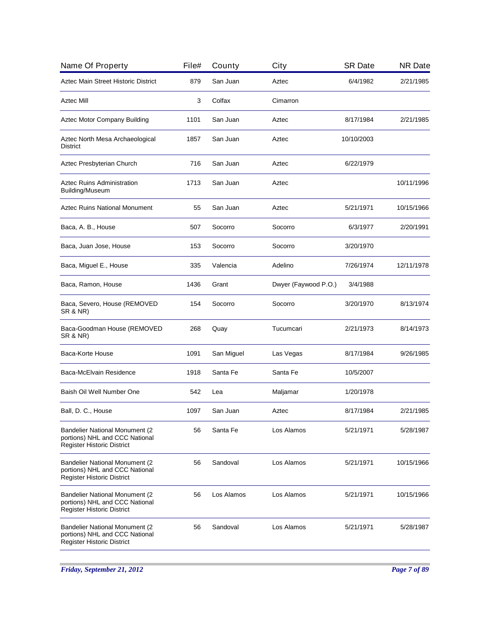| Name Of Property                                                                                              | File# | County     | City                 | <b>SR Date</b> | <b>NR Date</b> |
|---------------------------------------------------------------------------------------------------------------|-------|------------|----------------------|----------------|----------------|
| Aztec Main Street Historic District                                                                           | 879   | San Juan   | Aztec                | 6/4/1982       | 2/21/1985      |
| Aztec Mill                                                                                                    | 3     | Colfax     | Cimarron             |                |                |
| Aztec Motor Company Building                                                                                  | 1101  | San Juan   | Aztec                | 8/17/1984      | 2/21/1985      |
| Aztec North Mesa Archaeological<br>District                                                                   | 1857  | San Juan   | Aztec                | 10/10/2003     |                |
| Aztec Presbyterian Church                                                                                     | 716   | San Juan   | Aztec                | 6/22/1979      |                |
| <b>Aztec Ruins Administration</b><br>Building/Museum                                                          | 1713  | San Juan   | Aztec                |                | 10/11/1996     |
| <b>Aztec Ruins National Monument</b>                                                                          | 55    | San Juan   | Aztec                | 5/21/1971      | 10/15/1966     |
| Baca, A. B., House                                                                                            | 507   | Socorro    | Socorro              | 6/3/1977       | 2/20/1991      |
| Baca, Juan Jose, House                                                                                        | 153   | Socorro    | Socorro              | 3/20/1970      |                |
| Baca, Miguel E., House                                                                                        | 335   | Valencia   | Adelino              | 7/26/1974      | 12/11/1978     |
| Baca, Ramon, House                                                                                            | 1436  | Grant      | Dwyer (Faywood P.O.) | 3/4/1988       |                |
| Baca, Severo, House (REMOVED<br>SR & NR)                                                                      | 154   | Socorro    | Socorro              | 3/20/1970      | 8/13/1974      |
| Baca-Goodman House (REMOVED<br><b>SR &amp; NR)</b>                                                            | 268   | Quay       | Tucumcari            | 2/21/1973      | 8/14/1973      |
| Baca-Korte House                                                                                              | 1091  | San Miguel | Las Vegas            | 8/17/1984      | 9/26/1985      |
| Baca-McElvain Residence                                                                                       | 1918  | Santa Fe   | Santa Fe             | 10/5/2007      |                |
| Baish Oil Well Number One                                                                                     | 542   | Lea        | Maljamar             | 1/20/1978      |                |
| Ball, D. C., House                                                                                            | 1097  | San Juan   | Aztec                | 8/17/1984      | 2/21/1985      |
| <b>Bandelier National Monument (2)</b><br>portions) NHL and CCC National<br>Register Historic District        | 56    | Santa Fe   | Los Alamos           | 5/21/1971      | 5/28/1987      |
| <b>Bandelier National Monument (2)</b><br>portions) NHL and CCC National<br><b>Register Historic District</b> | 56    | Sandoval   | Los Alamos           | 5/21/1971      | 10/15/1966     |
| <b>Bandelier National Monument (2</b><br>portions) NHL and CCC National<br><b>Register Historic District</b>  | 56    | Los Alamos | Los Alamos           | 5/21/1971      | 10/15/1966     |
| Bandelier National Monument (2<br>portions) NHL and CCC National<br><b>Register Historic District</b>         | 56    | Sandoval   | Los Alamos           | 5/21/1971      | 5/28/1987      |
|                                                                                                               |       |            |                      |                |                |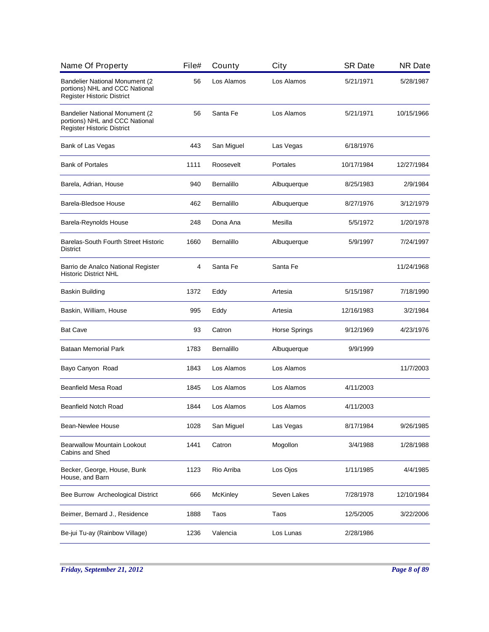| Name Of Property                                                                                      | File# | County            | City          | <b>SR Date</b> | <b>NR Date</b> |
|-------------------------------------------------------------------------------------------------------|-------|-------------------|---------------|----------------|----------------|
| <b>Bandelier National Monument (2</b><br>portions) NHL and CCC National<br>Register Historic District | 56    | Los Alamos        | Los Alamos    | 5/21/1971      | 5/28/1987      |
| Bandelier National Monument (2<br>portions) NHL and CCC National<br>Register Historic District        | 56    | Santa Fe          | Los Alamos    | 5/21/1971      | 10/15/1966     |
| Bank of Las Vegas                                                                                     | 443   | San Miguel        | Las Vegas     | 6/18/1976      |                |
| <b>Bank of Portales</b>                                                                               | 1111  | Roosevelt         | Portales      | 10/17/1984     | 12/27/1984     |
| Barela, Adrian, House                                                                                 | 940   | <b>Bernalillo</b> | Albuquerque   | 8/25/1983      | 2/9/1984       |
| Barela-Bledsoe House                                                                                  | 462   | <b>Bernalillo</b> | Albuquerque   | 8/27/1976      | 3/12/1979      |
| Barela-Reynolds House                                                                                 | 248   | Dona Ana          | Mesilla       | 5/5/1972       | 1/20/1978      |
| Barelas-South Fourth Street Historic<br><b>District</b>                                               | 1660  | <b>Bernalillo</b> | Albuquerque   | 5/9/1997       | 7/24/1997      |
| Barrio de Analco National Register<br><b>Historic District NHL</b>                                    | 4     | Santa Fe          | Santa Fe      |                | 11/24/1968     |
| Baskin Building                                                                                       | 1372  | Eddy              | Artesia       | 5/15/1987      | 7/18/1990      |
| Baskin, William, House                                                                                | 995   | Eddy              | Artesia       | 12/16/1983     | 3/2/1984       |
| <b>Bat Cave</b>                                                                                       | 93    | Catron            | Horse Springs | 9/12/1969      | 4/23/1976      |
| Bataan Memorial Park                                                                                  | 1783  | <b>Bernalillo</b> | Albuquerque   | 9/9/1999       |                |
| Bayo Canyon Road                                                                                      | 1843  | Los Alamos        | Los Alamos    |                | 11/7/2003      |
| Beanfield Mesa Road                                                                                   | 1845  | Los Alamos        | Los Alamos    | 4/11/2003      |                |
| <b>Beanfield Notch Road</b>                                                                           | 1844  | Los Alamos        | Los Alamos    | 4/11/2003      |                |
| <b>Bean-Newlee House</b>                                                                              | 1028  | San Miguel        | Las Vegas     | 8/17/1984      | 9/26/1985      |
| <b>Bearwallow Mountain Lookout</b><br>Cabins and Shed                                                 | 1441  | Catron            | Mogollon      | 3/4/1988       | 1/28/1988      |
| Becker, George, House, Bunk<br>House, and Barn                                                        | 1123  | Rio Arriba        | Los Ojos      | 1/11/1985      | 4/4/1985       |
| Bee Burrow Archeological District                                                                     | 666   | <b>McKinley</b>   | Seven Lakes   | 7/28/1978      | 12/10/1984     |
| Beimer, Bernard J., Residence                                                                         | 1888  | Taos              | Taos          | 12/5/2005      | 3/22/2006      |
| Be-jui Tu-ay (Rainbow Village)                                                                        | 1236  | Valencia          | Los Lunas     | 2/28/1986      |                |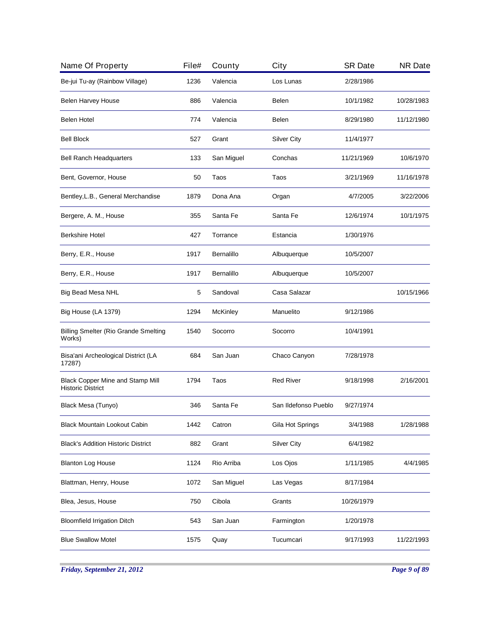| Name Of Property                                                    | File# | County     | City                 | <b>SR Date</b> | <b>NR Date</b> |
|---------------------------------------------------------------------|-------|------------|----------------------|----------------|----------------|
| Be-jui Tu-ay (Rainbow Village)                                      | 1236  | Valencia   | Los Lunas            | 2/28/1986      |                |
| <b>Belen Harvey House</b>                                           | 886   | Valencia   | Belen                | 10/1/1982      | 10/28/1983     |
| Belen Hotel                                                         | 774   | Valencia   | Belen                | 8/29/1980      | 11/12/1980     |
| <b>Bell Block</b>                                                   | 527   | Grant      | <b>Silver City</b>   | 11/4/1977      |                |
| <b>Bell Ranch Headquarters</b>                                      | 133   | San Miguel | Conchas              | 11/21/1969     | 10/6/1970      |
| Bent, Governor, House                                               | 50    | Taos       | Taos                 | 3/21/1969      | 11/16/1978     |
| Bentley, L.B., General Merchandise                                  | 1879  | Dona Ana   | Organ                | 4/7/2005       | 3/22/2006      |
| Bergere, A. M., House                                               | 355   | Santa Fe   | Santa Fe             | 12/6/1974      | 10/1/1975      |
| <b>Berkshire Hotel</b>                                              | 427   | Torrance   | Estancia             | 1/30/1976      |                |
| Berry, E.R., House                                                  | 1917  | Bernalillo | Albuquerque          | 10/5/2007      |                |
| Berry, E.R., House                                                  | 1917  | Bernalillo | Albuquerque          | 10/5/2007      |                |
| Big Bead Mesa NHL                                                   | 5     | Sandoval   | Casa Salazar         |                | 10/15/1966     |
| Big House (LA 1379)                                                 | 1294  | McKinley   | Manuelito            | 9/12/1986      |                |
| <b>Billing Smelter (Rio Grande Smelting</b><br>Works)               | 1540  | Socorro    | Socorro              | 10/4/1991      |                |
| Bisa'ani Archeological District (LA<br>17287)                       | 684   | San Juan   | Chaco Canyon         | 7/28/1978      |                |
| <b>Black Copper Mine and Stamp Mill</b><br><b>Historic District</b> | 1794  | Taos       | <b>Red River</b>     | 9/18/1998      | 2/16/2001      |
| Black Mesa (Tunyo)                                                  | 346   | Santa Fe   | San Ildefonso Pueblo | 9/27/1974      |                |
| Black Mountain Lookout Cabin                                        | 1442  | Catron     | Gila Hot Springs     | 3/4/1988       | 1/28/1988      |
| <b>Black's Addition Historic District</b>                           | 882   | Grant      | Silver City          | 6/4/1982       |                |
| <b>Blanton Log House</b>                                            | 1124  | Rio Arriba | Los Ojos             | 1/11/1985      | 4/4/1985       |
| Blattman, Henry, House                                              | 1072  | San Miguel | Las Vegas            | 8/17/1984      |                |
| Blea, Jesus, House                                                  | 750   | Cibola     | Grants               | 10/26/1979     |                |
| <b>Bloomfield Irrigation Ditch</b>                                  | 543   | San Juan   | Farmington           | 1/20/1978      |                |
| <b>Blue Swallow Motel</b>                                           | 1575  | Quay       | Tucumcari            | 9/17/1993      | 11/22/1993     |
|                                                                     |       |            |                      |                |                |

*Friday, September 21, 2012 Page 9 of 89*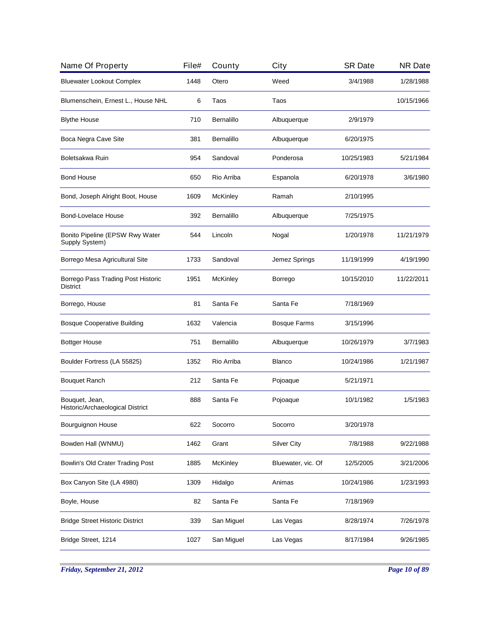| Name Of Property                                      | File# | County          | City                | <b>SR Date</b> | <b>NR Date</b> |
|-------------------------------------------------------|-------|-----------------|---------------------|----------------|----------------|
| <b>Bluewater Lookout Complex</b>                      | 1448  | Otero           | Weed                | 3/4/1988       | 1/28/1988      |
| Blumenschein, Ernest L., House NHL                    | 6     | Taos            | Taos                |                | 10/15/1966     |
| <b>Blythe House</b>                                   | 710   | Bernalillo      | Albuquerque         | 2/9/1979       |                |
| Boca Negra Cave Site                                  | 381   | Bernalillo      | Albuquerque         | 6/20/1975      |                |
| Boletsakwa Ruin                                       | 954   | Sandoval        | Ponderosa           | 10/25/1983     | 5/21/1984      |
| <b>Bond House</b>                                     | 650   | Rio Arriba      | Espanola            | 6/20/1978      | 3/6/1980       |
| Bond, Joseph Alright Boot, House                      | 1609  | <b>McKinley</b> | Ramah               | 2/10/1995      |                |
| Bond-Lovelace House                                   | 392   | Bernalillo      | Albuquerque         | 7/25/1975      |                |
| Bonito Pipeline (EPSW Rwy Water<br>Supply System)     | 544   | Lincoln         | Nogal               | 1/20/1978      | 11/21/1979     |
| Borrego Mesa Agricultural Site                        | 1733  | Sandoval        | Jemez Springs       | 11/19/1999     | 4/19/1990      |
| Borrego Pass Trading Post Historic<br><b>District</b> | 1951  | <b>McKinley</b> | Borrego             | 10/15/2010     | 11/22/2011     |
| Borrego, House                                        | 81    | Santa Fe        | Santa Fe            | 7/18/1969      |                |
| <b>Bosque Cooperative Building</b>                    | 1632  | Valencia        | <b>Bosque Farms</b> | 3/15/1996      |                |
| <b>Bottger House</b>                                  | 751   | Bernalillo      | Albuquerque         | 10/26/1979     | 3/7/1983       |
| Boulder Fortress (LA 55825)                           | 1352  | Rio Arriba      | <b>Blanco</b>       | 10/24/1986     | 1/21/1987      |
| <b>Bouquet Ranch</b>                                  | 212   | Santa Fe        | Pojoaque            | 5/21/1971      |                |
| Bouquet, Jean,<br>Historic/Archaeological District    | 888   | Santa Fe        | Pojoaque            | 10/1/1982      | 1/5/1983       |
| Bourguignon House                                     | 622   | Socorro         | Socorro             | 3/20/1978      |                |
| Bowden Hall (WNMU)                                    | 1462  | Grant           | <b>Silver City</b>  | 7/8/1988       | 9/22/1988      |
| Bowlin's Old Crater Trading Post                      | 1885  | <b>McKinley</b> | Bluewater, vic. Of  | 12/5/2005      | 3/21/2006      |
| Box Canyon Site (LA 4980)                             | 1309  | Hidalgo         | Animas              | 10/24/1986     | 1/23/1993      |
| Boyle, House                                          | 82    | Santa Fe        | Santa Fe            | 7/18/1969      |                |
| <b>Bridge Street Historic District</b>                | 339   | San Miguel      | Las Vegas           | 8/28/1974      | 7/26/1978      |
| Bridge Street, 1214                                   | 1027  | San Miguel      | Las Vegas           | 8/17/1984      | 9/26/1985      |
|                                                       |       |                 |                     |                |                |

*Friday, September 21, 2012 Page 10 of 89*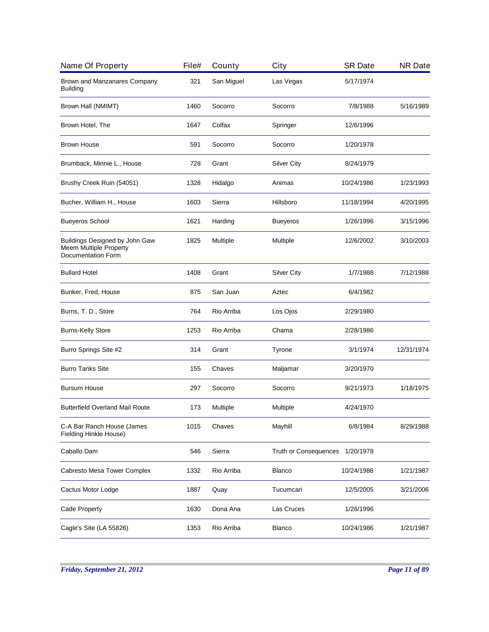| Name Of Property                                                                             | File# | County     | City                  | <b>SR Date</b> | <b>NR Date</b> |
|----------------------------------------------------------------------------------------------|-------|------------|-----------------------|----------------|----------------|
| Brown and Manzanares Company<br><b>Building</b>                                              | 321   | San Miguel | Las Vegas             | 5/17/1974      |                |
| Brown Hall (NMIMT)                                                                           | 1460  | Socorro    | Socorro               | 7/8/1988       | 5/16/1989      |
| Brown Hotel, The                                                                             | 1647  | Colfax     | Springer              | 12/6/1996      |                |
| Brown House                                                                                  | 591   | Socorro    | Socorro               | 1/20/1978      |                |
| Brumback, Minnie L., House                                                                   | 728   | Grant      | <b>Silver City</b>    | 8/24/1979      |                |
| Brushy Creek Ruin (54051)                                                                    | 1328  | Hidalgo    | Animas                | 10/24/1986     | 1/23/1993      |
| Bucher, William H., House                                                                    | 1603  | Sierra     | Hillsboro             | 11/18/1994     | 4/20/1995      |
| <b>Bueyeros School</b>                                                                       | 1621  | Harding    | <b>Bueyeros</b>       | 1/26/1996      | 3/15/1996      |
| Buildings Designed by John Gaw<br><b>Meem Multiple Property</b><br><b>Documentation Form</b> | 1825  | Multiple   | Multiple              | 12/6/2002      | 3/10/2003      |
| <b>Bullard Hotel</b>                                                                         | 1408  | Grant      | <b>Silver City</b>    | 1/7/1988       | 7/12/1988      |
| Bunker, Fred, House                                                                          | 875   | San Juan   | Aztec                 | 6/4/1982       |                |
| Burns, T. D., Store                                                                          | 764   | Rio Arriba | Los Ojos              | 2/29/1980      |                |
| <b>Burns-Kelly Store</b>                                                                     | 1253  | Rio Arriba | Chama                 | 2/28/1986      |                |
| Burro Springs Site #2                                                                        | 314   | Grant      | Tyrone                | 3/1/1974       | 12/31/1974     |
| <b>Burro Tanks Site</b>                                                                      | 155   | Chaves     | Maljamar              | 3/20/1970      |                |
| Bursum House                                                                                 | 297   | Socorro    | Socorro               | 9/21/1973      | 1/18/1975      |
| <b>Butterfield Overland Mail Route</b>                                                       | 173   | Multiple   | Multiple              | 4/24/1970      |                |
| C-A Bar Ranch House (James<br>Fielding Hinkle House)                                         | 1015  | Chaves     | Mayhill               | 6/8/1984       | 8/29/1988      |
| Caballo Dam                                                                                  | 546   | Sierra     | Truth or Consequences | 1/20/1978      |                |
| Cabresto Mesa Tower Complex                                                                  | 1332  | Rio Arriba | <b>Blanco</b>         | 10/24/1986     | 1/21/1987      |
| Cactus Motor Lodge                                                                           | 1887  | Quay       | Tucumcari             | 12/5/2005      | 3/21/2006      |
| Cade Property                                                                                | 1630  | Dona Ana   | Las Cruces            | 1/26/1996      |                |
| Cagle's Site (LA 55826)                                                                      | 1353  | Rio Arriba | <b>Blanco</b>         | 10/24/1986     | 1/21/1987      |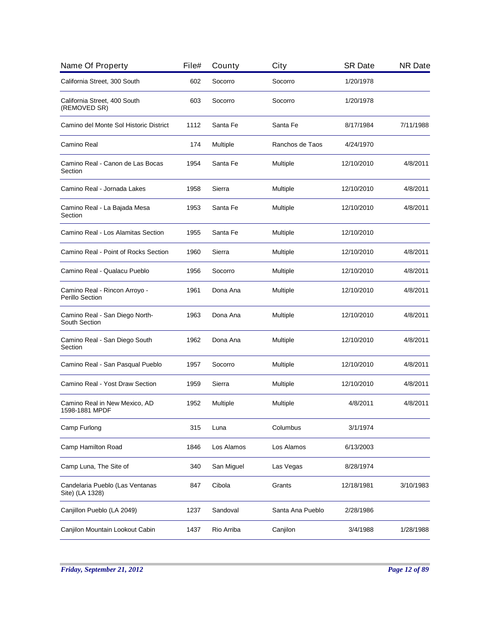| Name Of Property                                   | File# | County     | City             | <b>SR Date</b> | <b>NR Date</b> |
|----------------------------------------------------|-------|------------|------------------|----------------|----------------|
| California Street, 300 South                       | 602   | Socorro    | Socorro          | 1/20/1978      |                |
| California Street, 400 South<br>(REMOVED SR)       | 603   | Socorro    | Socorro          | 1/20/1978      |                |
| Camino del Monte Sol Historic District             | 1112  | Santa Fe   | Santa Fe         | 8/17/1984      | 7/11/1988      |
| Camino Real                                        | 174   | Multiple   | Ranchos de Taos  | 4/24/1970      |                |
| Camino Real - Canon de Las Bocas<br>Section        | 1954  | Santa Fe   | Multiple         | 12/10/2010     | 4/8/2011       |
| Camino Real - Jornada Lakes                        | 1958  | Sierra     | Multiple         | 12/10/2010     | 4/8/2011       |
| Camino Real - La Bajada Mesa<br>Section            | 1953  | Santa Fe   | Multiple         | 12/10/2010     | 4/8/2011       |
| Camino Real - Los Alamitas Section                 | 1955  | Santa Fe   | Multiple         | 12/10/2010     |                |
| Camino Real - Point of Rocks Section               | 1960  | Sierra     | Multiple         | 12/10/2010     | 4/8/2011       |
| Camino Real - Qualacu Pueblo                       | 1956  | Socorro    | Multiple         | 12/10/2010     | 4/8/2011       |
| Camino Real - Rincon Arroyo -<br>Perillo Section   | 1961  | Dona Ana   | Multiple         | 12/10/2010     | 4/8/2011       |
| Camino Real - San Diego North-<br>South Section    | 1963  | Dona Ana   | Multiple         | 12/10/2010     | 4/8/2011       |
| Camino Real - San Diego South<br>Section           | 1962  | Dona Ana   | Multiple         | 12/10/2010     | 4/8/2011       |
| Camino Real - San Pasqual Pueblo                   | 1957  | Socorro    | Multiple         | 12/10/2010     | 4/8/2011       |
| Camino Real - Yost Draw Section                    | 1959  | Sierra     | Multiple         | 12/10/2010     | 4/8/2011       |
| Camino Real in New Mexico, AD<br>1598-1881 MPDF    | 1952  | Multiple   | Multiple         | 4/8/2011       | 4/8/2011       |
| Camp Furlong                                       | 315   | Luna       | Columbus         | 3/1/1974       |                |
| Camp Hamilton Road                                 | 1846  | Los Alamos | Los Alamos       | 6/13/2003      |                |
| Camp Luna, The Site of                             | 340   | San Miguel | Las Vegas        | 8/28/1974      |                |
| Candelaria Pueblo (Las Ventanas<br>Site) (LA 1328) | 847   | Cibola     | Grants           | 12/18/1981     | 3/10/1983      |
| Canjillon Pueblo (LA 2049)                         | 1237  | Sandoval   | Santa Ana Pueblo | 2/28/1986      |                |
| Canjilon Mountain Lookout Cabin                    | 1437  | Rio Arriba | Canjilon         | 3/4/1988       | 1/28/1988      |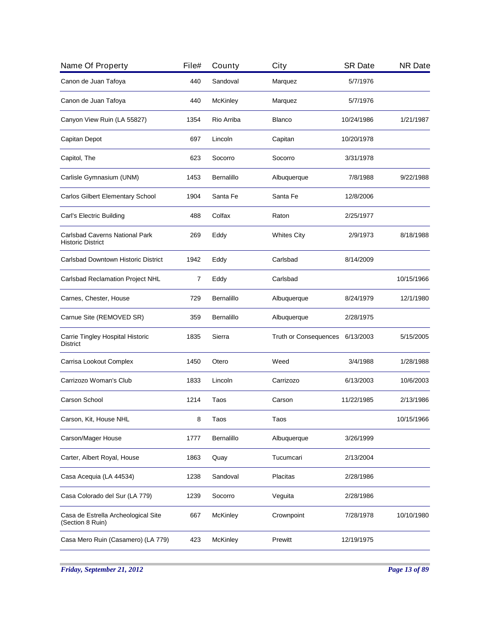| Name Of Property                                           | File# | County          | City                  | <b>SR Date</b> | <b>NR Date</b> |
|------------------------------------------------------------|-------|-----------------|-----------------------|----------------|----------------|
| Canon de Juan Tafoya                                       | 440   | Sandoval        | Marquez               | 5/7/1976       |                |
| Canon de Juan Tafoya                                       | 440   | <b>McKinley</b> | Marquez               | 5/7/1976       |                |
| Canyon View Ruin (LA 55827)                                | 1354  | Rio Arriba      | Blanco                | 10/24/1986     | 1/21/1987      |
| Capitan Depot                                              | 697   | Lincoln         | Capitan               | 10/20/1978     |                |
| Capitol, The                                               | 623   | Socorro         | Socorro               | 3/31/1978      |                |
| Carlisle Gymnasium (UNM)                                   | 1453  | Bernalillo      | Albuquerque           | 7/8/1988       | 9/22/1988      |
| Carlos Gilbert Elementary School                           | 1904  | Santa Fe        | Santa Fe              | 12/8/2006      |                |
| Carl's Electric Building                                   | 488   | Colfax          | Raton                 | 2/25/1977      |                |
| Carlsbad Caverns National Park<br><b>Historic District</b> | 269   | Eddy            | <b>Whites City</b>    | 2/9/1973       | 8/18/1988      |
| Carlsbad Downtown Historic District                        | 1942  | Eddy            | Carlsbad              | 8/14/2009      |                |
| Carlsbad Reclamation Project NHL                           | 7     | Eddy            | Carlsbad              |                | 10/15/1966     |
| Carnes, Chester, House                                     | 729   | Bernalillo      | Albuquerque           | 8/24/1979      | 12/1/1980      |
| Carnue Site (REMOVED SR)                                   | 359   | Bernalillo      | Albuquerque           | 2/28/1975      |                |
| Carrie Tingley Hospital Historic<br><b>District</b>        | 1835  | Sierra          | Truth or Consequences | 6/13/2003      | 5/15/2005      |
| Carrisa Lookout Complex                                    | 1450  | Otero           | Weed                  | 3/4/1988       | 1/28/1988      |
| Carrizozo Woman's Club                                     | 1833  | Lincoln         | Carrizozo             | 6/13/2003      | 10/6/2003      |
| Carson School                                              | 1214  | Taos            | Carson                | 11/22/1985     | 2/13/1986      |
| Carson, Kit, House NHL                                     | 8     | laos            | l aos                 |                | 10/15/1966     |
| Carson/Mager House                                         | 1777  | Bernalillo      | Albuquerque           | 3/26/1999      |                |
| Carter, Albert Royal, House                                | 1863  | Quay            | Tucumcari             | 2/13/2004      |                |
| Casa Acequia (LA 44534)                                    | 1238  | Sandoval        | Placitas              | 2/28/1986      |                |
| Casa Colorado del Sur (LA 779)                             | 1239  | Socorro         | Veguita               | 2/28/1986      |                |
| Casa de Estrella Archeological Site<br>(Section 8 Ruin)    | 667   | <b>McKinley</b> | Crownpoint            | 7/28/1978      | 10/10/1980     |
| Casa Mero Ruin (Casamero) (LA 779)                         | 423   | McKinley        | Prewitt               | 12/19/1975     |                |
|                                                            |       |                 |                       |                |                |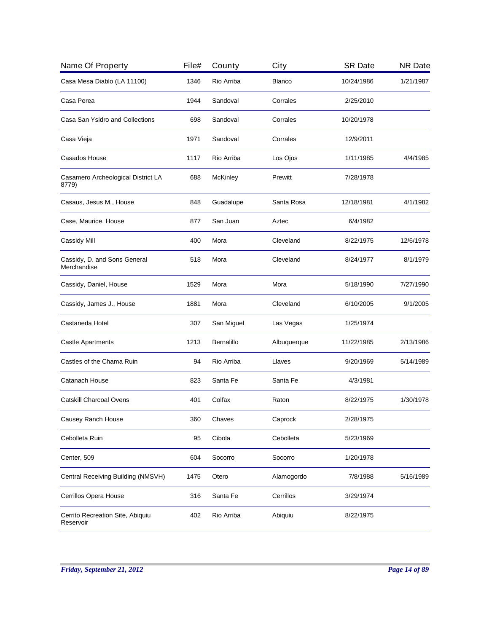| Name Of Property                              | File# | County          | City          | <b>SR Date</b> | <b>NR Date</b> |
|-----------------------------------------------|-------|-----------------|---------------|----------------|----------------|
| Casa Mesa Diablo (LA 11100)                   | 1346  | Rio Arriba      | <b>Blanco</b> | 10/24/1986     | 1/21/1987      |
| Casa Perea                                    | 1944  | Sandoval        | Corrales      | 2/25/2010      |                |
| Casa San Ysidro and Collections               | 698   | Sandoval        | Corrales      | 10/20/1978     |                |
| Casa Vieja                                    | 1971  | Sandoval        | Corrales      | 12/9/2011      |                |
| Casados House                                 | 1117  | Rio Arriba      | Los Ojos      | 1/11/1985      | 4/4/1985       |
| Casamero Archeological District LA<br>8779)   | 688   | <b>McKinley</b> | Prewitt       | 7/28/1978      |                |
| Casaus, Jesus M., House                       | 848   | Guadalupe       | Santa Rosa    | 12/18/1981     | 4/1/1982       |
| Case, Maurice, House                          | 877   | San Juan        | Aztec         | 6/4/1982       |                |
| Cassidy Mill                                  | 400   | Mora            | Cleveland     | 8/22/1975      | 12/6/1978      |
| Cassidy, D. and Sons General<br>Merchandise   | 518   | Mora            | Cleveland     | 8/24/1977      | 8/1/1979       |
| Cassidy, Daniel, House                        | 1529  | Mora            | Mora          | 5/18/1990      | 7/27/1990      |
| Cassidy, James J., House                      | 1881  | Mora            | Cleveland     | 6/10/2005      | 9/1/2005       |
| Castaneda Hotel                               | 307   | San Miguel      | Las Vegas     | 1/25/1974      |                |
| <b>Castle Apartments</b>                      | 1213  | Bernalillo      | Albuquerque   | 11/22/1985     | 2/13/1986      |
| Castles of the Chama Ruin                     | 94    | Rio Arriba      | Llaves        | 9/20/1969      | 5/14/1989      |
| Catanach House                                | 823   | Santa Fe        | Santa Fe      | 4/3/1981       |                |
| <b>Catskill Charcoal Ovens</b>                | 401   | Colfax          | Raton         | 8/22/1975      | 1/30/1978      |
| Causey Ranch House                            | 360   | Chaves          | Caprock       | 2/28/1975      |                |
| Cebolleta Ruin                                | 95    | Cibola          | Cebolleta     | 5/23/1969      |                |
| Center, 509                                   | 604   | Socorro         | Socorro       | 1/20/1978      |                |
| Central Receiving Building (NMSVH)            | 1475  | Otero           | Alamogordo    | 7/8/1988       | 5/16/1989      |
| Cerrillos Opera House                         | 316   | Santa Fe        | Cerrillos     | 3/29/1974      |                |
| Cerrito Recreation Site, Abiquiu<br>Reservoir | 402   | Rio Arriba      | Abiquiu       | 8/22/1975      |                |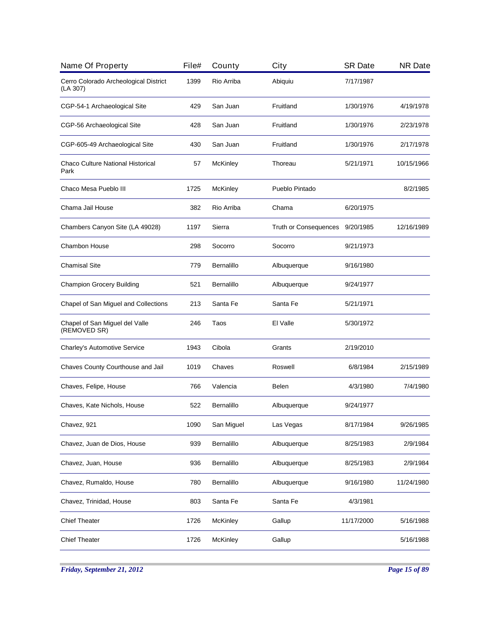| Name Of Property                                  | File# | County          | City                         | <b>SR Date</b> | <b>NR Date</b> |
|---------------------------------------------------|-------|-----------------|------------------------------|----------------|----------------|
| Cerro Colorado Archeological District<br>(LA 307) | 1399  | Rio Arriba      | Abiquiu                      | 7/17/1987      |                |
| CGP-54-1 Archaeological Site                      | 429   | San Juan        | Fruitland                    | 1/30/1976      | 4/19/1978      |
| CGP-56 Archaeological Site                        | 428   | San Juan        | Fruitland                    | 1/30/1976      | 2/23/1978      |
| CGP-605-49 Archaeological Site                    | 430   | San Juan        | Fruitland                    | 1/30/1976      | 2/17/1978      |
| Chaco Culture National Historical<br>Park         | 57    | <b>McKinley</b> | Thoreau                      | 5/21/1971      | 10/15/1966     |
| Chaco Mesa Pueblo III                             | 1725  | <b>McKinley</b> | Pueblo Pintado               |                | 8/2/1985       |
| Chama Jail House                                  | 382   | Rio Arriba      | Chama                        | 6/20/1975      |                |
| Chambers Canyon Site (LA 49028)                   | 1197  | Sierra          | <b>Truth or Consequences</b> | 9/20/1985      | 12/16/1989     |
| <b>Chambon House</b>                              | 298   | Socorro         | Socorro                      | 9/21/1973      |                |
| <b>Chamisal Site</b>                              | 779   | Bernalillo      | Albuquerque                  | 9/16/1980      |                |
| <b>Champion Grocery Building</b>                  | 521   | Bernalillo      | Albuquerque                  | 9/24/1977      |                |
| Chapel of San Miguel and Collections              | 213   | Santa Fe        | Santa Fe                     | 5/21/1971      |                |
| Chapel of San Miguel del Valle<br>(REMOVED SR)    | 246   | Taos            | El Valle                     | 5/30/1972      |                |
| Charley's Automotive Service                      | 1943  | Cibola          | Grants                       | 2/19/2010      |                |
| Chaves County Courthouse and Jail                 | 1019  | Chaves          | Roswell                      | 6/8/1984       | 2/15/1989      |
| Chaves, Felipe, House                             | 766   | Valencia        | Belen                        | 4/3/1980       | 7/4/1980       |
| Chaves, Kate Nichols, House                       | 522   | Bernalillo      | Albuquerque                  | 9/24/1977      |                |
| Chavez, 921                                       | 1090  | San Miguel      | Las Vegas                    | 8/17/1984      | 9/26/1985      |
| Chavez, Juan de Dios, House                       | 939   | Bernalillo      | Albuquerque                  | 8/25/1983      | 2/9/1984       |
| Chavez, Juan, House                               | 936   | Bernalillo      | Albuquerque                  | 8/25/1983      | 2/9/1984       |
| Chavez, Rumaldo, House                            | 780   | Bernalillo      | Albuquerque                  | 9/16/1980      | 11/24/1980     |
| Chavez, Trinidad, House                           | 803   | Santa Fe        | Santa Fe                     | 4/3/1981       |                |
| <b>Chief Theater</b>                              | 1726  | McKinley        | Gallup                       | 11/17/2000     | 5/16/1988      |
| <b>Chief Theater</b>                              | 1726  | McKinley        | Gallup                       |                | 5/16/1988      |
|                                                   |       |                 |                              |                |                |

*Friday, September 21, 2012 Page 15 of 89*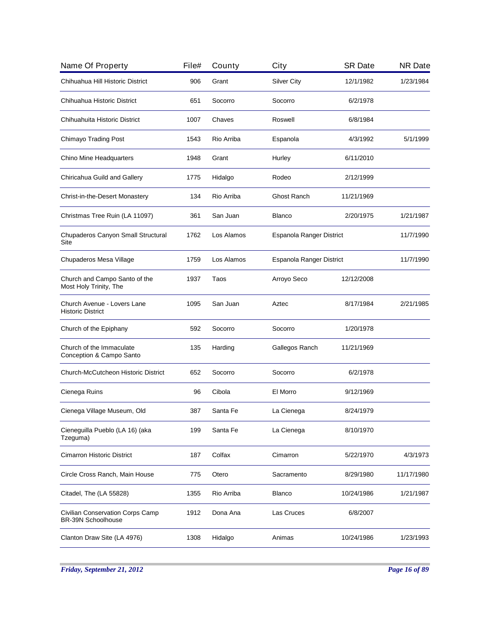| Name Of Property                                              | File# | County     | City                     | <b>SR Date</b>           | <b>NR Date</b> |
|---------------------------------------------------------------|-------|------------|--------------------------|--------------------------|----------------|
| Chihuahua Hill Historic District                              | 906   | Grant      | <b>Silver City</b>       | 12/1/1982                | 1/23/1984      |
| Chihuahua Historic District                                   | 651   | Socorro    | Socorro                  | 6/2/1978                 |                |
| Chihuahuita Historic District                                 | 1007  | Chaves     | Roswell                  | 6/8/1984                 |                |
| Chimayo Trading Post                                          | 1543  | Rio Arriba | Espanola                 | 4/3/1992                 | 5/1/1999       |
| Chino Mine Headquarters                                       | 1948  | Grant      | Hurley                   | 6/11/2010                |                |
| Chiricahua Guild and Gallery                                  | 1775  | Hidalgo    | Rodeo                    | 2/12/1999                |                |
| Christ-in-the-Desert Monastery                                | 134   | Rio Arriba | Ghost Ranch              | 11/21/1969               |                |
| Christmas Tree Ruin (LA 11097)                                | 361   | San Juan   | <b>Blanco</b>            | 2/20/1975                | 1/21/1987      |
| Chupaderos Canyon Small Structural<br>Site                    | 1762  | Los Alamos | Espanola Ranger District |                          | 11/7/1990      |
| Chupaderos Mesa Village                                       | 1759  | Los Alamos |                          | Espanola Ranger District |                |
| Church and Campo Santo of the<br>Most Holy Trinity, The       | 1937  | Taos       | Arroyo Seco              | 12/12/2008               |                |
| Church Avenue - Lovers Lane<br><b>Historic District</b>       | 1095  | San Juan   | Aztec                    | 8/17/1984                | 2/21/1985      |
| Church of the Epiphany                                        | 592   | Socorro    | Socorro                  | 1/20/1978                |                |
| Church of the Immaculate<br>Conception & Campo Santo          | 135   | Harding    | Gallegos Ranch           | 11/21/1969               |                |
| Church-McCutcheon Historic District                           | 652   | Socorro    | Socorro                  | 6/2/1978                 |                |
| Cienega Ruins                                                 | 96    | Cibola     | El Morro                 | 9/12/1969                |                |
| Cienega Village Museum, Old                                   | 387   | Santa Fe   | La Cienega               | 8/24/1979                |                |
| Cieneguilla Pueblo (LA 16) (aka<br>Tzeguma)                   | 199   | Santa Fe   | La Cienega               | 8/10/1970                |                |
| <b>Cimarron Historic District</b>                             | 187   | Colfax     | Cimarron                 | 5/22/1970                | 4/3/1973       |
| Circle Cross Ranch, Main House                                | 775   | Otero      | Sacramento               | 8/29/1980                | 11/17/1980     |
| Citadel, The (LA 55828)                                       | 1355  | Rio Arriba | <b>Blanco</b>            | 10/24/1986               | 1/21/1987      |
| Civilian Conservation Corps Camp<br><b>BR-39N Schoolhouse</b> | 1912  | Dona Ana   | Las Cruces               | 6/8/2007                 |                |
| Clanton Draw Site (LA 4976)                                   | 1308  | Hidalgo    | Animas                   | 10/24/1986               | 1/23/1993      |
|                                                               |       |            |                          |                          |                |

*Friday, September 21, 2012 Page 16 of 89*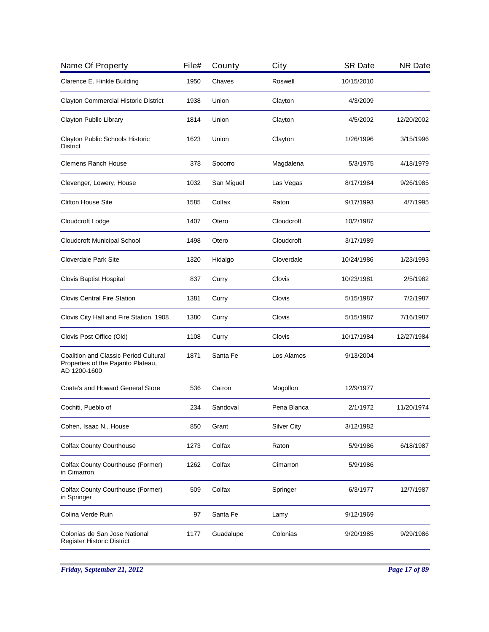| Name Of Property                                                                                    | File# | County     | City               | <b>SR Date</b> | <b>NR Date</b> |
|-----------------------------------------------------------------------------------------------------|-------|------------|--------------------|----------------|----------------|
| Clarence E. Hinkle Building                                                                         | 1950  | Chaves     | Roswell            | 10/15/2010     |                |
| <b>Clayton Commercial Historic District</b>                                                         | 1938  | Union      | Clayton            | 4/3/2009       |                |
| Clayton Public Library                                                                              | 1814  | Union      | Clayton            | 4/5/2002       | 12/20/2002     |
| Clayton Public Schools Historic<br><b>District</b>                                                  | 1623  | Union      | Clayton            | 1/26/1996      | 3/15/1996      |
| <b>Clemens Ranch House</b>                                                                          | 378   | Socorro    | Magdalena          | 5/3/1975       | 4/18/1979      |
| Clevenger, Lowery, House                                                                            | 1032  | San Miguel | Las Vegas          | 8/17/1984      | 9/26/1985      |
| <b>Clifton House Site</b>                                                                           | 1585  | Colfax     | Raton              | 9/17/1993      | 4/7/1995       |
| Cloudcroft Lodge                                                                                    | 1407  | Otero      | Cloudcroft         | 10/2/1987      |                |
| <b>Cloudcroft Municipal School</b>                                                                  | 1498  | Otero      | Cloudcroft         | 3/17/1989      |                |
| <b>Cloverdale Park Site</b>                                                                         | 1320  | Hidalgo    | Cloverdale         | 10/24/1986     | 1/23/1993      |
| Clovis Baptist Hospital                                                                             | 837   | Curry      | Clovis             | 10/23/1981     | 2/5/1982       |
| <b>Clovis Central Fire Station</b>                                                                  | 1381  | Curry      | Clovis             | 5/15/1987      | 7/2/1987       |
| Clovis City Hall and Fire Station, 1908                                                             | 1380  | Curry      | Clovis             | 5/15/1987      | 7/16/1987      |
| Clovis Post Office (Old)                                                                            | 1108  | Curry      | Clovis             | 10/17/1984     | 12/27/1984     |
| <b>Coalition and Classic Period Cultural</b><br>Properties of the Pajarito Plateau,<br>AD 1200-1600 | 1871  | Santa Fe   | Los Alamos         | 9/13/2004      |                |
| Coate's and Howard General Store                                                                    | 536   | Catron     | Mogollon           | 12/9/1977      |                |
| Cochiti, Pueblo of                                                                                  | 234   | Sandoval   | Pena Blanca        | 2/1/1972       | 11/20/1974     |
| Cohen, Isaac N., House                                                                              | 850   | Grant      | <b>Silver City</b> | 3/12/1982      |                |
| <b>Colfax County Courthouse</b>                                                                     | 1273  | Colfax     | Raton              | 5/9/1986       | 6/18/1987      |
| Colfax County Courthouse (Former)<br>in Cimarron                                                    | 1262  | Colfax     | Cimarron           | 5/9/1986       |                |
| Colfax County Courthouse (Former)<br>in Springer                                                    | 509   | Colfax     | Springer           | 6/3/1977       | 12/7/1987      |
| Colina Verde Ruin                                                                                   | 97    | Santa Fe   | Lamy               | 9/12/1969      |                |
| Colonias de San Jose National<br>Register Historic District                                         | 1177  | Guadalupe  | Colonias           | 9/20/1985      | 9/29/1986      |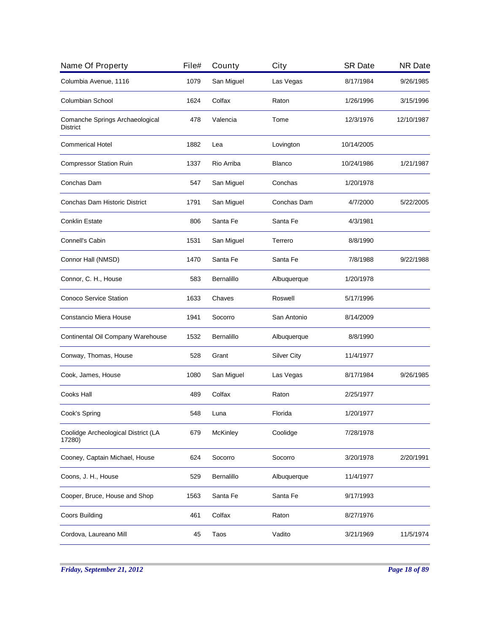| Name Of Property                                   | File# | County     | City               | <b>SR Date</b> | <b>NR Date</b> |
|----------------------------------------------------|-------|------------|--------------------|----------------|----------------|
| Columbia Avenue, 1116                              | 1079  | San Miguel | Las Vegas          | 8/17/1984      | 9/26/1985      |
| <b>Columbian School</b>                            | 1624  | Colfax     | Raton              | 1/26/1996      | 3/15/1996      |
| Comanche Springs Archaeological<br><b>District</b> | 478   | Valencia   | Tome               | 12/3/1976      | 12/10/1987     |
| <b>Commerical Hotel</b>                            | 1882  | Lea        | Lovington          | 10/14/2005     |                |
| <b>Compressor Station Ruin</b>                     | 1337  | Rio Arriba | <b>Blanco</b>      | 10/24/1986     | 1/21/1987      |
| Conchas Dam                                        | 547   | San Miguel | Conchas            | 1/20/1978      |                |
| Conchas Dam Historic District                      | 1791  | San Miguel | Conchas Dam        | 4/7/2000       | 5/22/2005      |
| <b>Conklin Estate</b>                              | 806   | Santa Fe   | Santa Fe           | 4/3/1981       |                |
| Connell's Cabin                                    | 1531  | San Miguel | Terrero            | 8/8/1990       |                |
| Connor Hall (NMSD)                                 | 1470  | Santa Fe   | Santa Fe           | 7/8/1988       | 9/22/1988      |
| Connor, C. H., House                               | 583   | Bernalillo | Albuquerque        | 1/20/1978      |                |
| Conoco Service Station                             | 1633  | Chaves     | Roswell            | 5/17/1996      |                |
| Constancio Miera House                             | 1941  | Socorro    | San Antonio        | 8/14/2009      |                |
| Continental Oil Company Warehouse                  | 1532  | Bernalillo | Albuquerque        | 8/8/1990       |                |
| Conway, Thomas, House                              | 528   | Grant      | <b>Silver City</b> | 11/4/1977      |                |
| Cook, James, House                                 | 1080  | San Miguel | Las Vegas          | 8/17/1984      | 9/26/1985      |
| Cooks Hall                                         | 489   | Colfax     | Raton              | 2/25/1977      |                |
| Cook's Spring                                      | 548   | Luna       | Florida            | 1/20/1977      |                |
| Coolidge Archeological District (LA<br>17280)      | 679   | McKinley   | Coolidge           | 7/28/1978      |                |
| Cooney, Captain Michael, House                     | 624   | Socorro    | Socorro            | 3/20/1978      | 2/20/1991      |
| Coons, J. H., House                                | 529   | Bernalillo | Albuquerque        | 11/4/1977      |                |
| Cooper, Bruce, House and Shop                      | 1563  | Santa Fe   | Santa Fe           | 9/17/1993      |                |
| <b>Coors Building</b>                              | 461   | Colfax     | Raton              | 8/27/1976      |                |
| Cordova, Laureano Mill                             | 45    | Taos       | Vadito             | 3/21/1969      | 11/5/1974      |
|                                                    |       |            |                    |                |                |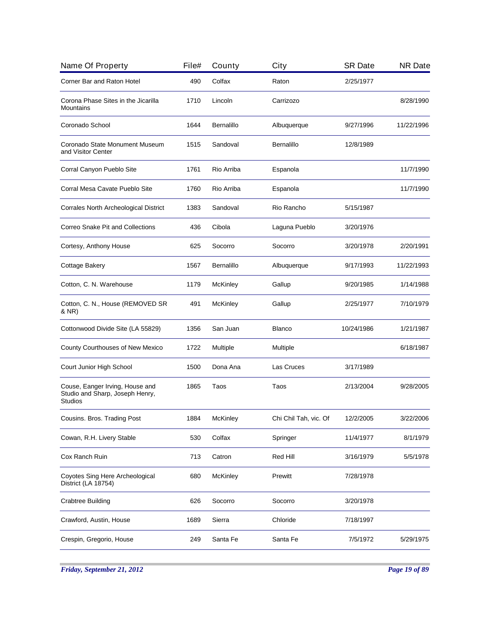| Name Of Property                                                                     | File# | County          | City                  | <b>SR Date</b> | <b>NR Date</b> |
|--------------------------------------------------------------------------------------|-------|-----------------|-----------------------|----------------|----------------|
| Corner Bar and Raton Hotel                                                           | 490   | Colfax          | Raton                 | 2/25/1977      |                |
| Corona Phase Sites in the Jicarilla<br>Mountains                                     | 1710  | Lincoln         | Carrizozo             |                | 8/28/1990      |
| Coronado School                                                                      | 1644  | Bernalillo      | Albuquerque           | 9/27/1996      | 11/22/1996     |
| Coronado State Monument Museum<br>and Visitor Center                                 | 1515  | Sandoval        | Bernalillo            | 12/8/1989      |                |
| Corral Canyon Pueblo Site                                                            | 1761  | Rio Arriba      | Espanola              |                | 11/7/1990      |
| Corral Mesa Cavate Pueblo Site                                                       | 1760  | Rio Arriba      | Espanola              |                | 11/7/1990      |
| Corrales North Archeological District                                                | 1383  | Sandoval        | Rio Rancho            | 5/15/1987      |                |
| Correo Snake Pit and Collections                                                     | 436   | Cibola          | Laguna Pueblo         | 3/20/1976      |                |
| Cortesy, Anthony House                                                               | 625   | Socorro         | Socorro               | 3/20/1978      | 2/20/1991      |
| Cottage Bakery                                                                       | 1567  | Bernalillo      | Albuquerque           | 9/17/1993      | 11/22/1993     |
| Cotton, C. N. Warehouse                                                              | 1179  | McKinley        | Gallup                | 9/20/1985      | 1/14/1988      |
| Cotton, C. N., House (REMOVED SR<br>& NR)                                            | 491   | McKinley        | Gallup                | 2/25/1977      | 7/10/1979      |
| Cottonwood Divide Site (LA 55829)                                                    | 1356  | San Juan        | <b>Blanco</b>         | 10/24/1986     | 1/21/1987      |
| County Courthouses of New Mexico                                                     | 1722  | Multiple        | Multiple              |                | 6/18/1987      |
| Court Junior High School                                                             | 1500  | Dona Ana        | Las Cruces            | 3/17/1989      |                |
| Couse, Eanger Irving, House and<br>Studio and Sharp, Joseph Henry,<br><b>Studios</b> | 1865  | Taos            | Taos                  | 2/13/2004      | 9/28/2005      |
| Cousins. Bros. Trading Post                                                          | 1884  | McKinley        | Chi Chil Tah, vic. Of | 12/2/2005      | 3/22/2006      |
| Cowan, R.H. Livery Stable                                                            | 530   | Colfax          | Springer              | 11/4/1977      | 8/1/1979       |
| Cox Ranch Ruin                                                                       | 713   | Catron          | Red Hill              | 3/16/1979      | 5/5/1978       |
| Coyotes Sing Here Archeological<br>District (LA 18754)                               | 680   | <b>McKinley</b> | Prewitt               | 7/28/1978      |                |
| Crabtree Building                                                                    | 626   | Socorro         | Socorro               | 3/20/1978      |                |
| Crawford, Austin, House                                                              | 1689  | Sierra          | Chloride              | 7/18/1997      |                |
| Crespin, Gregorio, House                                                             | 249   | Santa Fe        | Santa Fe              | 7/5/1972       | 5/29/1975      |
|                                                                                      |       |                 |                       |                |                |

*Friday, September 21, 2012 Page 19 of 89*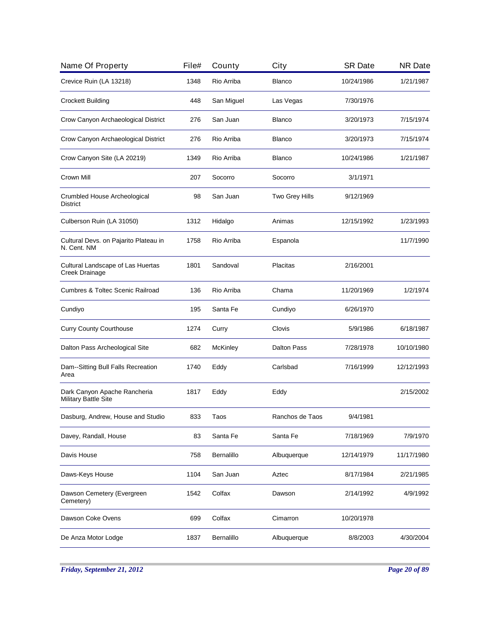| File# | County     | City               | <b>SR Date</b> | <b>NR Date</b> |
|-------|------------|--------------------|----------------|----------------|
| 1348  | Rio Arriba | <b>Blanco</b>      | 10/24/1986     | 1/21/1987      |
| 448   | San Miguel | Las Vegas          | 7/30/1976      |                |
| 276   | San Juan   | <b>Blanco</b>      | 3/20/1973      | 7/15/1974      |
| 276   | Rio Arriba | <b>Blanco</b>      | 3/20/1973      | 7/15/1974      |
| 1349  | Rio Arriba | <b>Blanco</b>      | 10/24/1986     | 1/21/1987      |
| 207   | Socorro    | Socorro            | 3/1/1971       |                |
| 98    | San Juan   | Two Grey Hills     | 9/12/1969      |                |
| 1312  | Hidalgo    | Animas             | 12/15/1992     | 1/23/1993      |
| 1758  | Rio Arriba | Espanola           |                | 11/7/1990      |
| 1801  | Sandoval   | Placitas           | 2/16/2001      |                |
| 136   | Rio Arriba | Chama              | 11/20/1969     | 1/2/1974       |
| 195   | Santa Fe   | Cundiyo            | 6/26/1970      |                |
| 1274  | Curry      | Clovis             | 5/9/1986       | 6/18/1987      |
| 682   | McKinley   | <b>Dalton Pass</b> | 7/28/1978      | 10/10/1980     |
| 1740  | Eddy       | Carlsbad           | 7/16/1999      | 12/12/1993     |
| 1817  | Eddy       | Eddy               |                | 2/15/2002      |
| 833   | Taos       | Ranchos de Taos    | 9/4/1981       |                |
| 83    | Santa Fe   | Santa Fe           | 7/18/1969      | 7/9/1970       |
| 758   | Bernalillo | Albuquerque        | 12/14/1979     | 11/17/1980     |
| 1104  | San Juan   | Aztec              | 8/17/1984      | 2/21/1985      |
| 1542  | Colfax     | Dawson             | 2/14/1992      | 4/9/1992       |
| 699   | Colfax     | Cimarron           | 10/20/1978     |                |
| 1837  | Bernalillo | Albuquerque        | 8/8/2003       | 4/30/2004      |
|       |            |                    |                |                |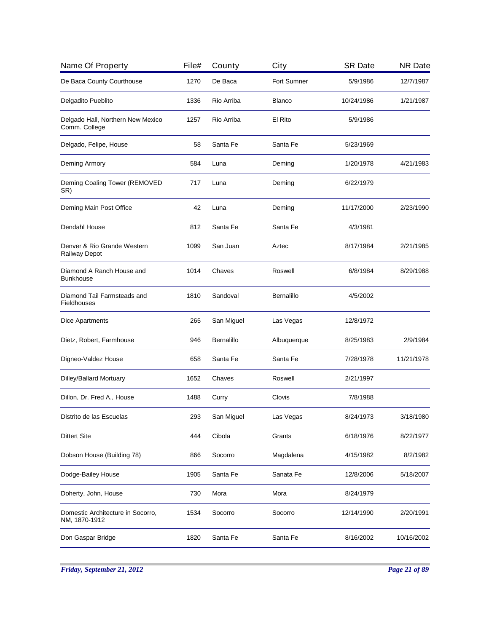| Name Of Property                                    | File# | County     | City          | <b>SR Date</b> | <b>NR Date</b> |
|-----------------------------------------------------|-------|------------|---------------|----------------|----------------|
| De Baca County Courthouse                           | 1270  | De Baca    | Fort Sumner   | 5/9/1986       | 12/7/1987      |
| Delgadito Pueblito                                  | 1336  | Rio Arriba | <b>Blanco</b> | 10/24/1986     | 1/21/1987      |
| Delgado Hall, Northern New Mexico<br>Comm. College  | 1257  | Rio Arriba | El Rito       | 5/9/1986       |                |
| Delgado, Felipe, House                              | 58    | Santa Fe   | Santa Fe      | 5/23/1969      |                |
| Deming Armory                                       | 584   | Luna       | Deming        | 1/20/1978      | 4/21/1983      |
| Deming Coaling Tower (REMOVED<br>SR)                | 717   | Luna       | Deming        | 6/22/1979      |                |
| Deming Main Post Office                             | 42    | Luna       | Deming        | 11/17/2000     | 2/23/1990      |
| Dendahl House                                       | 812   | Santa Fe   | Santa Fe      | 4/3/1981       |                |
| Denver & Rio Grande Western<br><b>Railway Depot</b> | 1099  | San Juan   | Aztec         | 8/17/1984      | 2/21/1985      |
| Diamond A Ranch House and<br><b>Bunkhouse</b>       | 1014  | Chaves     | Roswell       | 6/8/1984       | 8/29/1988      |
| Diamond Tail Farmsteads and<br>Fieldhouses          | 1810  | Sandoval   | Bernalillo    | 4/5/2002       |                |
| Dice Apartments                                     | 265   | San Miguel | Las Vegas     | 12/8/1972      |                |
| Dietz, Robert, Farmhouse                            | 946   | Bernalillo | Albuquerque   | 8/25/1983      | 2/9/1984       |
| Digneo-Valdez House                                 | 658   | Santa Fe   | Santa Fe      | 7/28/1978      | 11/21/1978     |
| Dilley/Ballard Mortuary                             | 1652  | Chaves     | Roswell       | 2/21/1997      |                |
| Dillon, Dr. Fred A., House                          | 1488  | Curry      | Clovis        | 7/8/1988       |                |
| Distrito de las Escuelas                            | 293   | San Miguel | Las Vegas     | 8/24/1973      | 3/18/1980      |
| <b>Dittert Site</b>                                 | 444   | Cibola     | Grants        | 6/18/1976      | 8/22/1977      |
| Dobson House (Building 78)                          | 866   | Socorro    | Magdalena     | 4/15/1982      | 8/2/1982       |
| Dodge-Bailey House                                  | 1905  | Santa Fe   | Sanata Fe     | 12/8/2006      | 5/18/2007      |
| Doherty, John, House                                | 730   | Mora       | Mora          | 8/24/1979      |                |
| Domestic Architecture in Socorro,<br>NM, 1870-1912  | 1534  | Socorro    | Socorro       | 12/14/1990     | 2/20/1991      |
| Don Gaspar Bridge                                   | 1820  | Santa Fe   | Santa Fe      | 8/16/2002      | 10/16/2002     |

*Friday, September 21, 2012 Page 21 of 89*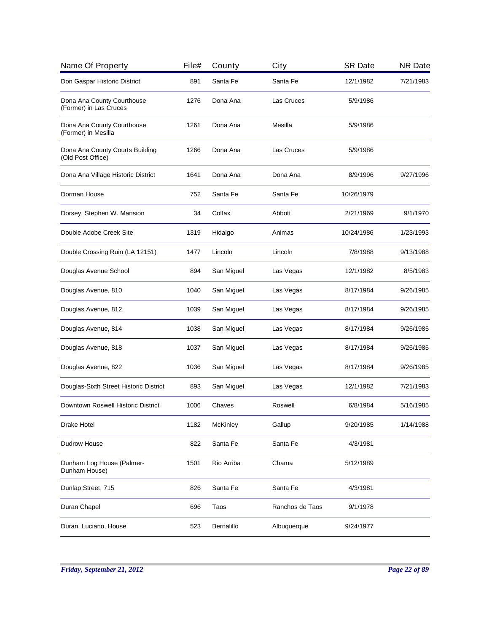| Name Of Property                                     | File# | County     | City            | <b>SR Date</b> | <b>NR Date</b> |
|------------------------------------------------------|-------|------------|-----------------|----------------|----------------|
| Don Gaspar Historic District                         | 891   | Santa Fe   | Santa Fe        | 12/1/1982      | 7/21/1983      |
| Dona Ana County Courthouse<br>(Former) in Las Cruces | 1276  | Dona Ana   | Las Cruces      | 5/9/1986       |                |
| Dona Ana County Courthouse<br>(Former) in Mesilla    | 1261  | Dona Ana   | Mesilla         | 5/9/1986       |                |
| Dona Ana County Courts Building<br>(Old Post Office) | 1266  | Dona Ana   | Las Cruces      | 5/9/1986       |                |
| Dona Ana Village Historic District                   | 1641  | Dona Ana   | Dona Ana        | 8/9/1996       | 9/27/1996      |
| Dorman House                                         | 752   | Santa Fe   | Santa Fe        | 10/26/1979     |                |
| Dorsey, Stephen W. Mansion                           | 34    | Colfax     | Abbott          | 2/21/1969      | 9/1/1970       |
| Double Adobe Creek Site                              | 1319  | Hidalgo    | Animas          | 10/24/1986     | 1/23/1993      |
| Double Crossing Ruin (LA 12151)                      | 1477  | Lincoln    | Lincoln         | 7/8/1988       | 9/13/1988      |
| Douglas Avenue School                                | 894   | San Miguel | Las Vegas       | 12/1/1982      | 8/5/1983       |
| Douglas Avenue, 810                                  | 1040  | San Miguel | Las Vegas       | 8/17/1984      | 9/26/1985      |
| Douglas Avenue, 812                                  | 1039  | San Miguel | Las Vegas       | 8/17/1984      | 9/26/1985      |
| Douglas Avenue, 814                                  | 1038  | San Miguel | Las Vegas       | 8/17/1984      | 9/26/1985      |
| Douglas Avenue, 818                                  | 1037  | San Miguel | Las Vegas       | 8/17/1984      | 9/26/1985      |
| Douglas Avenue, 822                                  | 1036  | San Miguel | Las Vegas       | 8/17/1984      | 9/26/1985      |
| Douglas-Sixth Street Historic District               | 893   | San Miguel | Las Vegas       | 12/1/1982      | 7/21/1983      |
| Downtown Roswell Historic District                   | 1006  | Chaves     | Roswell         | 6/8/1984       | 5/16/1985      |
| Drake Hotel                                          | 1182  | McKinley   | Gallup          | 9/20/1985      | 1/14/1988      |
| Dudrow House                                         | 822   | Santa Fe   | Santa Fe        | 4/3/1981       |                |
| Dunham Log House (Palmer-<br>Dunham House)           | 1501  | Rio Arriba | Chama           | 5/12/1989      |                |
| Dunlap Street, 715                                   | 826   | Santa Fe   | Santa Fe        | 4/3/1981       |                |
| Duran Chapel                                         | 696   | Taos       | Ranchos de Taos | 9/1/1978       |                |
| Duran, Luciano, House                                | 523   | Bernalillo | Albuquerque     | 9/24/1977      |                |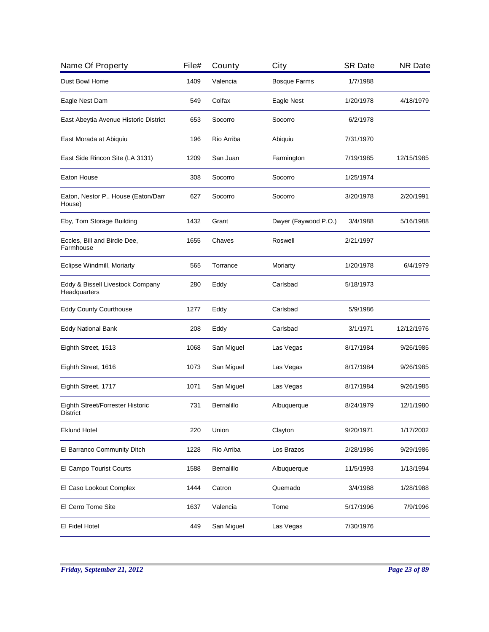| Name Of Property                                    | File# | County     | City                 | <b>SR Date</b> | <b>NR Date</b> |
|-----------------------------------------------------|-------|------------|----------------------|----------------|----------------|
| Dust Bowl Home                                      | 1409  | Valencia   | <b>Bosque Farms</b>  | 1/7/1988       |                |
| Eagle Nest Dam                                      | 549   | Colfax     | Eagle Nest           | 1/20/1978      | 4/18/1979      |
| East Abeytia Avenue Historic District               | 653   | Socorro    | Socorro              | 6/2/1978       |                |
| East Morada at Abiquiu                              | 196   | Rio Arriba | Abiquiu              | 7/31/1970      |                |
| East Side Rincon Site (LA 3131)                     | 1209  | San Juan   | Farmington           | 7/19/1985      | 12/15/1985     |
| Eaton House                                         | 308   | Socorro    | Socorro              | 1/25/1974      |                |
| Eaton, Nestor P., House (Eaton/Darr<br>House)       | 627   | Socorro    | Socorro              | 3/20/1978      | 2/20/1991      |
| Eby, Tom Storage Building                           | 1432  | Grant      | Dwyer (Faywood P.O.) | 3/4/1988       | 5/16/1988      |
| Eccles, Bill and Birdie Dee,<br>Farmhouse           | 1655  | Chaves     | Roswell              | 2/21/1997      |                |
| Eclipse Windmill, Moriarty                          | 565   | Torrance   | Moriarty             | 1/20/1978      | 6/4/1979       |
| Eddy & Bissell Livestock Company<br>Headquarters    | 280   | Eddy       | Carlsbad             | 5/18/1973      |                |
| <b>Eddy County Courthouse</b>                       | 1277  | Eddy       | Carlsbad             | 5/9/1986       |                |
| <b>Eddy National Bank</b>                           | 208   | Eddy       | Carlsbad             | 3/1/1971       | 12/12/1976     |
| Eighth Street, 1513                                 | 1068  | San Miguel | Las Vegas            | 8/17/1984      | 9/26/1985      |
| Eighth Street, 1616                                 | 1073  | San Miguel | Las Vegas            | 8/17/1984      | 9/26/1985      |
| Eighth Street, 1717                                 | 1071  | San Miguel | Las Vegas            | 8/17/1984      | 9/26/1985      |
| Eighth Street/Forrester Historic<br><b>District</b> | 731   | Bernalillo | Albuquerque          | 8/24/1979      | 12/1/1980      |
| <b>Eklund Hotel</b>                                 | 220   | Union      | Clayton              | 9/20/1971      | 1/17/2002      |
| El Barranco Community Ditch                         | 1228  | Rio Arriba | Los Brazos           | 2/28/1986      | 9/29/1986      |
| El Campo Tourist Courts                             | 1588  | Bernalillo | Albuquerque          | 11/5/1993      | 1/13/1994      |
| El Caso Lookout Complex                             | 1444  | Catron     | Quemado              | 3/4/1988       | 1/28/1988      |
| El Cerro Tome Site                                  | 1637  | Valencia   | Tome                 | 5/17/1996      | 7/9/1996       |
| El Fidel Hotel                                      | 449   | San Miguel | Las Vegas            | 7/30/1976      |                |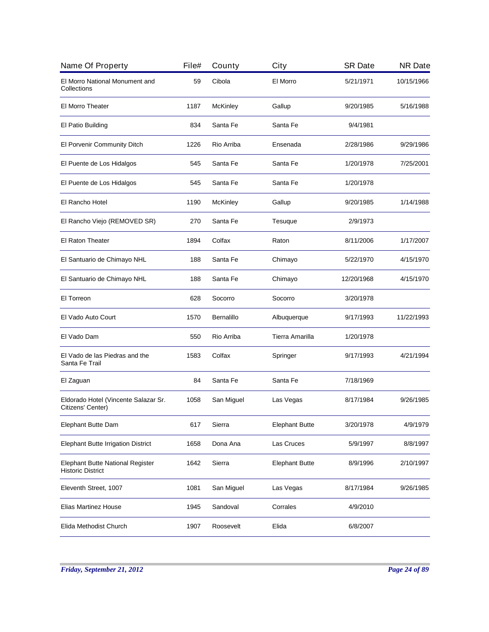| Name Of Property                                             | File# | County          | City                  | <b>SR Date</b> | <b>NR Date</b> |
|--------------------------------------------------------------|-------|-----------------|-----------------------|----------------|----------------|
| El Morro National Monument and<br>Collections                | 59    | Cibola          | El Morro              | 5/21/1971      | 10/15/1966     |
| El Morro Theater                                             | 1187  | <b>McKinley</b> | Gallup                | 9/20/1985      | 5/16/1988      |
| El Patio Building                                            | 834   | Santa Fe        | Santa Fe              | 9/4/1981       |                |
| El Porvenir Community Ditch                                  | 1226  | Rio Arriba      | Ensenada              | 2/28/1986      | 9/29/1986      |
| El Puente de Los Hidalgos                                    | 545   | Santa Fe        | Santa Fe              | 1/20/1978      | 7/25/2001      |
| El Puente de Los Hidalgos                                    | 545   | Santa Fe        | Santa Fe              | 1/20/1978      |                |
| El Rancho Hotel                                              | 1190  | McKinley        | Gallup                | 9/20/1985      | 1/14/1988      |
| El Rancho Viejo (REMOVED SR)                                 | 270   | Santa Fe        | Tesuque               | 2/9/1973       |                |
| <b>El Raton Theater</b>                                      | 1894  | Colfax          | Raton                 | 8/11/2006      | 1/17/2007      |
| El Santuario de Chimayo NHL                                  | 188   | Santa Fe        | Chimayo               | 5/22/1970      | 4/15/1970      |
| El Santuario de Chimayo NHL                                  | 188   | Santa Fe        | Chimayo               | 12/20/1968     | 4/15/1970      |
| El Torreon                                                   | 628   | Socorro         | Socorro               | 3/20/1978      |                |
| El Vado Auto Court                                           | 1570  | Bernalillo      | Albuquerque           | 9/17/1993      | 11/22/1993     |
| El Vado Dam                                                  | 550   | Rio Arriba      | Tierra Amarilla       | 1/20/1978      |                |
| El Vado de las Piedras and the<br>Santa Fe Trail             | 1583  | Colfax          | Springer              | 9/17/1993      | 4/21/1994      |
| El Zaguan                                                    | 84    | Santa Fe        | Santa Fe              | 7/18/1969      |                |
| Eldorado Hotel (Vincente Salazar Sr.<br>Citizens' Center)    | 1058  | San Miguel      | Las Vegas             | 8/17/1984      | 9/26/1985      |
| Elephant Butte Dam                                           | 617   | Sierra          | <b>Elephant Butte</b> | 3/20/1978      | 4/9/1979       |
| <b>Elephant Butte Irrigation District</b>                    | 1658  | Dona Ana        | Las Cruces            | 5/9/1997       | 8/8/1997       |
| Elephant Butte National Register<br><b>Historic District</b> | 1642  | Sierra          | <b>Elephant Butte</b> | 8/9/1996       | 2/10/1997      |
| Eleventh Street, 1007                                        | 1081  | San Miguel      | Las Vegas             | 8/17/1984      | 9/26/1985      |
| Elias Martinez House                                         | 1945  | Sandoval        | Corrales              | 4/9/2010       |                |
| Elida Methodist Church                                       | 1907  | Roosevelt       | Elida                 | 6/8/2007       |                |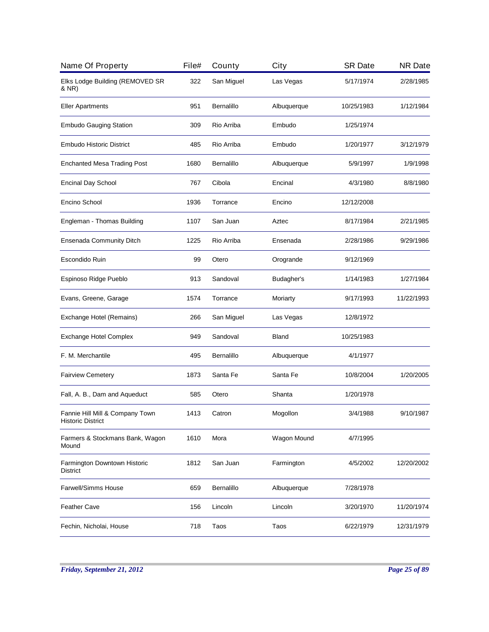| Name Of Property                                            | File# | County     | City         | <b>SR Date</b> | <b>NR Date</b> |
|-------------------------------------------------------------|-------|------------|--------------|----------------|----------------|
| Elks Lodge Building (REMOVED SR<br>& NR)                    | 322   | San Miguel | Las Vegas    | 5/17/1974      | 2/28/1985      |
| <b>Eller Apartments</b>                                     | 951   | Bernalillo | Albuquerque  | 10/25/1983     | 1/12/1984      |
| <b>Embudo Gauging Station</b>                               | 309   | Rio Arriba | Embudo       | 1/25/1974      |                |
| <b>Embudo Historic District</b>                             | 485   | Rio Arriba | Embudo       | 1/20/1977      | 3/12/1979      |
| <b>Enchanted Mesa Trading Post</b>                          | 1680  | Bernalillo | Albuquerque  | 5/9/1997       | 1/9/1998       |
| <b>Encinal Day School</b>                                   | 767   | Cibola     | Encinal      | 4/3/1980       | 8/8/1980       |
| Encino School                                               | 1936  | Torrance   | Encino       | 12/12/2008     |                |
| Engleman - Thomas Building                                  | 1107  | San Juan   | Aztec        | 8/17/1984      | 2/21/1985      |
| Ensenada Community Ditch                                    | 1225  | Rio Arriba | Ensenada     | 2/28/1986      | 9/29/1986      |
| Escondido Ruin                                              | 99    | Otero      | Orogrande    | 9/12/1969      |                |
| Espinoso Ridge Pueblo                                       | 913   | Sandoval   | Budagher's   | 1/14/1983      | 1/27/1984      |
| Evans, Greene, Garage                                       | 1574  | Torrance   | Moriarty     | 9/17/1993      | 11/22/1993     |
| Exchange Hotel (Remains)                                    | 266   | San Miguel | Las Vegas    | 12/8/1972      |                |
| <b>Exchange Hotel Complex</b>                               | 949   | Sandoval   | <b>Bland</b> | 10/25/1983     |                |
| F. M. Merchantile                                           | 495   | Bernalillo | Albuquerque  | 4/1/1977       |                |
| <b>Fairview Cemetery</b>                                    | 1873  | Santa Fe   | Santa Fe     | 10/8/2004      | 1/20/2005      |
| Fall, A. B., Dam and Aqueduct                               | 585   | Otero      | Shanta       | 1/20/1978      |                |
| Fannie Hill Mill & Company Town<br><b>Historic District</b> | 1413  | Catron     | Mogollon     | 3/4/1988       | 9/10/1987      |
| Farmers & Stockmans Bank, Wagon<br>Mound                    | 1610  | Mora       | Wagon Mound  | 4/7/1995       |                |
| Farmington Downtown Historic<br>District                    | 1812  | San Juan   | Farmington   | 4/5/2002       | 12/20/2002     |
| <b>Farwell/Simms House</b>                                  | 659   | Bernalillo | Albuquerque  | 7/28/1978      |                |
| Feather Cave                                                | 156   | Lincoln    | Lincoln      | 3/20/1970      | 11/20/1974     |
| Fechin, Nicholai, House                                     | 718   | Taos       | Taos         | 6/22/1979      | 12/31/1979     |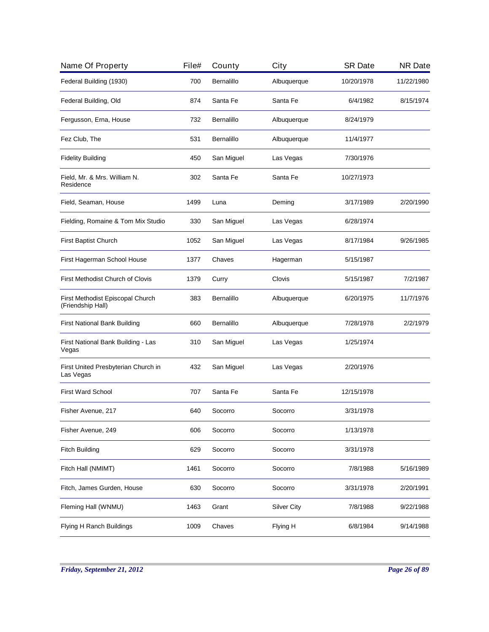| Name Of Property                                      | File# | County     | City               | <b>SR Date</b> | <b>NR Date</b> |
|-------------------------------------------------------|-------|------------|--------------------|----------------|----------------|
| Federal Building (1930)                               | 700   | Bernalillo | Albuquerque        | 10/20/1978     | 11/22/1980     |
| Federal Building, Old                                 | 874   | Santa Fe   | Santa Fe           | 6/4/1982       | 8/15/1974      |
| Fergusson, Erna, House                                | 732   | Bernalillo | Albuquerque        | 8/24/1979      |                |
| Fez Club, The                                         | 531   | Bernalillo | Albuquerque        | 11/4/1977      |                |
| <b>Fidelity Building</b>                              | 450   | San Miguel | Las Vegas          | 7/30/1976      |                |
| Field, Mr. & Mrs. William N.<br>Residence             | 302   | Santa Fe   | Santa Fe           | 10/27/1973     |                |
| Field, Seaman, House                                  | 1499  | Luna       | Deming             | 3/17/1989      | 2/20/1990      |
| Fielding, Romaine & Tom Mix Studio                    | 330   | San Miguel | Las Vegas          | 6/28/1974      |                |
| First Baptist Church                                  | 1052  | San Miguel | Las Vegas          | 8/17/1984      | 9/26/1985      |
| First Hagerman School House                           | 1377  | Chaves     | Hagerman           | 5/15/1987      |                |
| First Methodist Church of Clovis                      | 1379  | Curry      | Clovis             | 5/15/1987      | 7/2/1987       |
| First Methodist Episcopal Church<br>(Friendship Hall) | 383   | Bernalillo | Albuquerque        | 6/20/1975      | 11/7/1976      |
| First National Bank Building                          | 660   | Bernalillo | Albuquerque        | 7/28/1978      | 2/2/1979       |
| First National Bank Building - Las<br>Vegas           | 310   | San Miguel | Las Vegas          | 1/25/1974      |                |
| First United Presbyterian Church in<br>Las Vegas      | 432   | San Miguel | Las Vegas          | 2/20/1976      |                |
| <b>First Ward School</b>                              | 707   | Santa Fe   | Santa Fe           | 12/15/1978     |                |
| Fisher Avenue, 217                                    | 640   | Socorro    | Socorro            | 3/31/1978      |                |
| Fisher Avenue, 249                                    | 606   | Socorro    | Socorro            | 1/13/1978      |                |
| <b>Fitch Building</b>                                 | 629   | Socorro    | Socorro            | 3/31/1978      |                |
| Fitch Hall (NMIMT)                                    | 1461  | Socorro    | Socorro            | 7/8/1988       | 5/16/1989      |
| Fitch, James Gurden, House                            | 630   | Socorro    | Socorro            | 3/31/1978      | 2/20/1991      |
| Fleming Hall (WNMU)                                   | 1463  | Grant      | <b>Silver City</b> | 7/8/1988       | 9/22/1988      |
| Flying H Ranch Buildings                              | 1009  | Chaves     | Flying H           | 6/8/1984       | 9/14/1988      |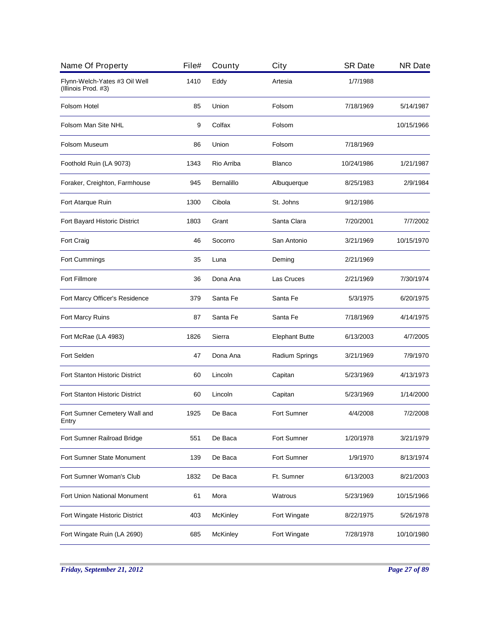| File# | County          | City                  | <b>SR Date</b> | <b>NR Date</b> |
|-------|-----------------|-----------------------|----------------|----------------|
| 1410  | Eddy            | Artesia               | 1/7/1988       |                |
| 85    | Union           | Folsom                | 7/18/1969      | 5/14/1987      |
| 9     | Colfax          | Folsom                |                | 10/15/1966     |
| 86    | Union           | Folsom                | 7/18/1969      |                |
| 1343  | Rio Arriba      | <b>Blanco</b>         | 10/24/1986     | 1/21/1987      |
| 945   | Bernalillo      | Albuquerque           | 8/25/1983      | 2/9/1984       |
| 1300  | Cibola          | St. Johns             | 9/12/1986      |                |
| 1803  | Grant           | Santa Clara           | 7/20/2001      | 7/7/2002       |
| 46    | Socorro         | San Antonio           | 3/21/1969      | 10/15/1970     |
| 35    | Luna            | Deming                | 2/21/1969      |                |
| 36    | Dona Ana        | Las Cruces            | 2/21/1969      | 7/30/1974      |
| 379   | Santa Fe        | Santa Fe              | 5/3/1975       | 6/20/1975      |
| 87    | Santa Fe        | Santa Fe              | 7/18/1969      | 4/14/1975      |
| 1826  | Sierra          | <b>Elephant Butte</b> | 6/13/2003      | 4/7/2005       |
| 47    | Dona Ana        | Radium Springs        | 3/21/1969      | 7/9/1970       |
| 60    | Lincoln         | Capitan               | 5/23/1969      | 4/13/1973      |
| 60    | Lincoln         | Capitan               | 5/23/1969      | 1/14/2000      |
| 1925  | De Baca         | <b>Fort Sumner</b>    | 4/4/2008       | 7/2/2008       |
| 551   | De Baca         | Fort Sumner           | 1/20/1978      | 3/21/1979      |
| 139   | De Baca         | Fort Sumner           | 1/9/1970       | 8/13/1974      |
| 1832  | De Baca         | Ft. Sumner            | 6/13/2003      | 8/21/2003      |
| 61    | Mora            | Watrous               | 5/23/1969      | 10/15/1966     |
| 403   | <b>McKinley</b> | Fort Wingate          | 8/22/1975      | 5/26/1978      |
| 685   | McKinley        | Fort Wingate          | 7/28/1978      | 10/10/1980     |
|       |                 |                       |                |                |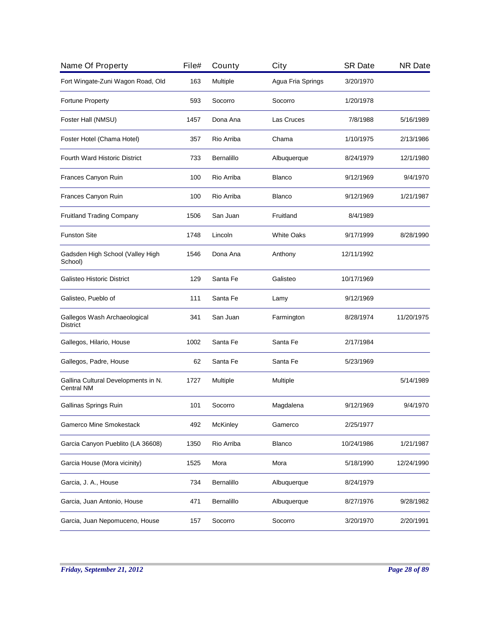| Name Of Property                                         | File# | County     | City              | <b>SR Date</b> | <b>NR Date</b> |
|----------------------------------------------------------|-------|------------|-------------------|----------------|----------------|
| Fort Wingate-Zuni Wagon Road, Old                        | 163   | Multiple   | Agua Fria Springs | 3/20/1970      |                |
| Fortune Property                                         | 593   | Socorro    | Socorro           | 1/20/1978      |                |
| Foster Hall (NMSU)                                       | 1457  | Dona Ana   | Las Cruces        | 7/8/1988       | 5/16/1989      |
| Foster Hotel (Chama Hotel)                               | 357   | Rio Arriba | Chama             | 1/10/1975      | 2/13/1986      |
| <b>Fourth Ward Historic District</b>                     | 733   | Bernalillo | Albuquerque       | 8/24/1979      | 12/1/1980      |
| Frances Canyon Ruin                                      | 100   | Rio Arriba | <b>Blanco</b>     | 9/12/1969      | 9/4/1970       |
| Frances Canyon Ruin                                      | 100   | Rio Arriba | Blanco            | 9/12/1969      | 1/21/1987      |
| <b>Fruitland Trading Company</b>                         | 1506  | San Juan   | Fruitland         | 8/4/1989       |                |
| <b>Funston Site</b>                                      | 1748  | Lincoln    | <b>White Oaks</b> | 9/17/1999      | 8/28/1990      |
| Gadsden High School (Valley High<br>School)              | 1546  | Dona Ana   | Anthony           | 12/11/1992     |                |
| Galisteo Historic District                               | 129   | Santa Fe   | Galisteo          | 10/17/1969     |                |
| Galisteo, Pueblo of                                      | 111   | Santa Fe   | Lamy              | 9/12/1969      |                |
| Gallegos Wash Archaeological<br><b>District</b>          | 341   | San Juan   | Farmington        | 8/28/1974      | 11/20/1975     |
| Gallegos, Hilario, House                                 | 1002  | Santa Fe   | Santa Fe          | 2/17/1984      |                |
| Gallegos, Padre, House                                   | 62    | Santa Fe   | Santa Fe          | 5/23/1969      |                |
| Gallina Cultural Developments in N.<br><b>Central NM</b> | 1727  | Multiple   | Multiple          |                | 5/14/1989      |
| Gallinas Springs Ruin                                    | 101   | Socorro    | Magdalena         | 9/12/1969      | 9/4/1970       |
| Gamerco Mine Smokestack                                  | 492   | McKinley   | Gamerco           | 2/25/1977      |                |
| Garcia Canyon Pueblito (LA 36608)                        | 1350  | Rio Arriba | <b>Blanco</b>     | 10/24/1986     | 1/21/1987      |
| Garcia House (Mora vicinity)                             | 1525  | Mora       | Mora              | 5/18/1990      | 12/24/1990     |
| Garcia, J. A., House                                     | 734   | Bernalillo | Albuquerque       | 8/24/1979      |                |
| Garcia, Juan Antonio, House                              | 471   | Bernalillo | Albuquerque       | 8/27/1976      | 9/28/1982      |
| Garcia, Juan Nepomuceno, House                           | 157   | Socorro    | Socorro           | 3/20/1970      | 2/20/1991      |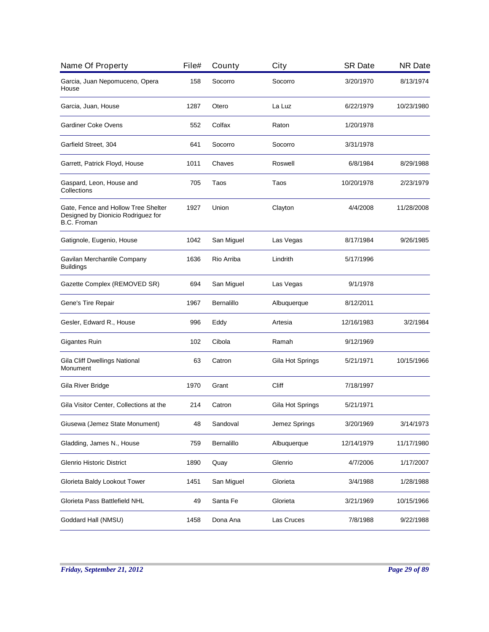| Name Of Property                                                                         | File# | County     | City             | <b>SR Date</b> | <b>NR Date</b> |
|------------------------------------------------------------------------------------------|-------|------------|------------------|----------------|----------------|
| Garcia, Juan Nepomuceno, Opera<br>House                                                  | 158   | Socorro    | Socorro          | 3/20/1970      | 8/13/1974      |
| Garcia, Juan, House                                                                      | 1287  | Otero      | La Luz           | 6/22/1979      | 10/23/1980     |
| Gardiner Coke Ovens                                                                      | 552   | Colfax     | Raton            | 1/20/1978      |                |
| Garfield Street, 304                                                                     | 641   | Socorro    | Socorro          | 3/31/1978      |                |
| Garrett, Patrick Floyd, House                                                            | 1011  | Chaves     | Roswell          | 6/8/1984       | 8/29/1988      |
| Gaspard, Leon, House and<br>Collections                                                  | 705   | Taos       | Taos             | 10/20/1978     | 2/23/1979      |
| Gate, Fence and Hollow Tree Shelter<br>Designed by Dionicio Rodriguez for<br>B.C. Froman | 1927  | Union      | Clayton          | 4/4/2008       | 11/28/2008     |
| Gatignole, Eugenio, House                                                                | 1042  | San Miguel | Las Vegas        | 8/17/1984      | 9/26/1985      |
| Gavilan Merchantile Company<br><b>Buildings</b>                                          | 1636  | Rio Arriba | Lindrith         | 5/17/1996      |                |
| Gazette Complex (REMOVED SR)                                                             | 694   | San Miguel | Las Vegas        | 9/1/1978       |                |
| Gene's Tire Repair                                                                       | 1967  | Bernalillo | Albuquerque      | 8/12/2011      |                |
| Gesler, Edward R., House                                                                 | 996   | Eddy       | Artesia          | 12/16/1983     | 3/2/1984       |
| Gigantes Ruin                                                                            | 102   | Cibola     | Ramah            | 9/12/1969      |                |
| Gila Cliff Dwellings National<br>Monument                                                | 63    | Catron     | Gila Hot Springs | 5/21/1971      | 10/15/1966     |
| Gila River Bridge                                                                        | 1970  | Grant      | Cliff            | 7/18/1997      |                |
| Gila Visitor Center, Collections at the                                                  | 214   | Catron     | Gila Hot Springs | 5/21/1971      |                |
| Giusewa (Jemez State Monument)                                                           | 48    | Sandoval   | Jemez Springs    | 3/20/1969      | 3/14/1973      |
| Gladding, James N., House                                                                | 759   | Bernalillo | Albuquerque      | 12/14/1979     | 11/17/1980     |
| <b>Glenrio Historic District</b>                                                         | 1890  | Quay       | Glenrio          | 4/7/2006       | 1/17/2007      |
| Glorieta Baldy Lookout Tower                                                             | 1451  | San Miguel | Glorieta         | 3/4/1988       | 1/28/1988      |
| Glorieta Pass Battlefield NHL                                                            | 49    | Santa Fe   | Glorieta         | 3/21/1969      | 10/15/1966     |
| Goddard Hall (NMSU)                                                                      | 1458  | Dona Ana   | Las Cruces       | 7/8/1988       | 9/22/1988      |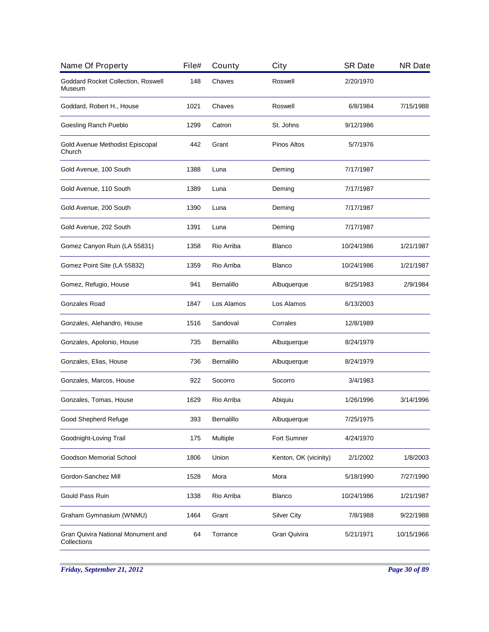| Name Of Property                                  | File# | County            | City                  | <b>SR Date</b> | <b>NR Date</b> |
|---------------------------------------------------|-------|-------------------|-----------------------|----------------|----------------|
| Goddard Rocket Collection, Roswell<br>Museum      | 148   | Chaves            | Roswell               | 2/20/1970      |                |
| Goddard, Robert H., House                         | 1021  | Chaves            | Roswell               | 6/8/1984       | 7/15/1988      |
| Goesling Ranch Pueblo                             | 1299  | Catron            | St. Johns             | 9/12/1986      |                |
| Gold Avenue Methodist Episcopal<br>Church         | 442   | Grant             | <b>Pinos Altos</b>    | 5/7/1976       |                |
| Gold Avenue, 100 South                            | 1388  | Luna              | Deming                | 7/17/1987      |                |
| Gold Avenue, 110 South                            | 1389  | Luna              | Deming                | 7/17/1987      |                |
| Gold Avenue, 200 South                            | 1390  | Luna              | Deming                | 7/17/1987      |                |
| Gold Avenue, 202 South                            | 1391  | Luna              | Deming                | 7/17/1987      |                |
| Gomez Canyon Ruin (LA 55831)                      | 1358  | Rio Arriba        | <b>Blanco</b>         | 10/24/1986     | 1/21/1987      |
| Gomez Point Site (LA 55832)                       | 1359  | Rio Arriba        | <b>Blanco</b>         | 10/24/1986     | 1/21/1987      |
| Gomez, Refugio, House                             | 941   | Bernalillo        | Albuquerque           | 8/25/1983      | 2/9/1984       |
| Gonzales Road                                     | 1847  | Los Alamos        | Los Alamos            | 6/13/2003      |                |
| Gonzales, Alehandro, House                        | 1516  | Sandoval          | Corrales              | 12/8/1989      |                |
| Gonzales, Apolonio, House                         | 735   | Bernalillo        | Albuquerque           | 8/24/1979      |                |
| Gonzales, Elias, House                            | 736   | Bernalillo        | Albuquerque           | 8/24/1979      |                |
| Gonzales, Marcos, House                           | 922   | Socorro           | Socorro               | 3/4/1983       |                |
| Gonzales, Tomas, House                            | 1629  | Rio Arriba        | Abiquiu               | 1/26/1996      | 3/14/1996      |
| Good Shepherd Refuge                              | 393   | <b>Bernalillo</b> | Albuquerque           | 7/25/1975      |                |
| Goodnight-Loving Trail                            | 175   | Multiple          | Fort Sumner           | 4/24/1970      |                |
| Goodson Memorial School                           | 1806  | Union             | Kenton, OK (vicinity) | 2/1/2002       | 1/8/2003       |
| Gordon-Sanchez Mill                               | 1528  | Mora              | Mora                  | 5/18/1990      | 7/27/1990      |
| Gould Pass Ruin                                   | 1338  | Rio Arriba        | Blanco                | 10/24/1986     | 1/21/1987      |
| Graham Gymnasium (WNMU)                           | 1464  | Grant             | <b>Silver City</b>    | 7/8/1988       | 9/22/1988      |
| Gran Quivira National Monument and<br>Collections | 64    | Torrance          | Gran Quivira          | 5/21/1971      | 10/15/1966     |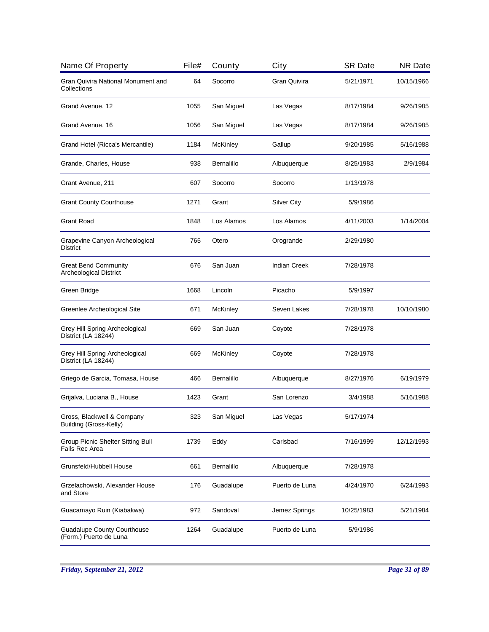| Name Of Property                                             | File# | County            | City                | <b>SR Date</b> | <b>NR Date</b> |
|--------------------------------------------------------------|-------|-------------------|---------------------|----------------|----------------|
| Gran Quivira National Monument and<br>Collections            | 64    | Socorro           | Gran Quivira        | 5/21/1971      | 10/15/1966     |
| Grand Avenue, 12                                             | 1055  | San Miguel        | Las Vegas           | 8/17/1984      | 9/26/1985      |
| Grand Avenue, 16                                             | 1056  | San Miguel        | Las Vegas           | 8/17/1984      | 9/26/1985      |
| Grand Hotel (Ricca's Mercantile)                             | 1184  | McKinley          | Gallup              | 9/20/1985      | 5/16/1988      |
| Grande, Charles, House                                       | 938   | Bernalillo        | Albuquerque         | 8/25/1983      | 2/9/1984       |
| Grant Avenue, 211                                            | 607   | Socorro           | Socorro             | 1/13/1978      |                |
| <b>Grant County Courthouse</b>                               | 1271  | Grant             | <b>Silver City</b>  | 5/9/1986       |                |
| <b>Grant Road</b>                                            | 1848  | Los Alamos        | Los Alamos          | 4/11/2003      | 1/14/2004      |
| Grapevine Canyon Archeological<br><b>District</b>            | 765   | Otero             | Orogrande           | 2/29/1980      |                |
| <b>Great Bend Community</b><br><b>Archeological District</b> | 676   | San Juan          | <b>Indian Creek</b> | 7/28/1978      |                |
| Green Bridge                                                 | 1668  | Lincoln           | Picacho             | 5/9/1997       |                |
| Greenlee Archeological Site                                  | 671   | <b>McKinley</b>   | Seven Lakes         | 7/28/1978      | 10/10/1980     |
| Grey Hill Spring Archeological<br>District (LA 18244)        | 669   | San Juan          | Coyote              | 7/28/1978      |                |
| Grey Hill Spring Archeological<br>District (LA 18244)        | 669   | <b>McKinley</b>   | Coyote              | 7/28/1978      |                |
| Griego de Garcia, Tomasa, House                              | 466   | <b>Bernalillo</b> | Albuquerque         | 8/27/1976      | 6/19/1979      |
| Grijalva, Luciana B., House                                  | 1423  | Grant             | San Lorenzo         | 3/4/1988       | 5/16/1988      |
| Gross, Blackwell & Company<br><b>Building (Gross-Kelly)</b>  | 323   | San Miguel        | Las Vegas           | 5/17/1974      |                |
| Group Picnic Shelter Sitting Bull<br><b>Falls Rec Area</b>   | 1739  | Eddy              | Carlsbad            | 7/16/1999      | 12/12/1993     |
| Grunsfeld/Hubbell House                                      | 661   | Bernalillo        | Albuquerque         | 7/28/1978      |                |
| Grzelachowski, Alexander House<br>and Store                  | 176   | Guadalupe         | Puerto de Luna      | 4/24/1970      | 6/24/1993      |
| Guacamayo Ruin (Kiabakwa)                                    | 972   | Sandoval          | Jemez Springs       | 10/25/1983     | 5/21/1984      |
| <b>Guadalupe County Courthouse</b><br>(Form.) Puerto de Luna | 1264  | Guadalupe         | Puerto de Luna      | 5/9/1986       |                |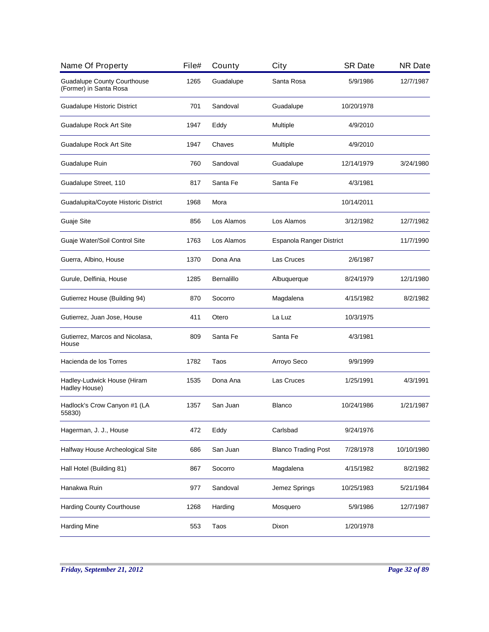| Name Of Property                                             | File# | County     | City                       | <b>SR Date</b> | <b>NR Date</b> |
|--------------------------------------------------------------|-------|------------|----------------------------|----------------|----------------|
| <b>Guadalupe County Courthouse</b><br>(Former) in Santa Rosa | 1265  | Guadalupe  | Santa Rosa                 | 5/9/1986       | 12/7/1987      |
| Guadalupe Historic District                                  | 701   | Sandoval   | Guadalupe                  | 10/20/1978     |                |
| Guadalupe Rock Art Site                                      | 1947  | Eddy       | Multiple                   | 4/9/2010       |                |
| Guadalupe Rock Art Site                                      | 1947  | Chaves     | Multiple                   | 4/9/2010       |                |
| Guadalupe Ruin                                               | 760   | Sandoval   | Guadalupe                  | 12/14/1979     | 3/24/1980      |
| Guadalupe Street, 110                                        | 817   | Santa Fe   | Santa Fe                   | 4/3/1981       |                |
| Guadalupita/Coyote Historic District                         | 1968  | Mora       |                            | 10/14/2011     |                |
| Guaje Site                                                   | 856   | Los Alamos | Los Alamos                 | 3/12/1982      | 12/7/1982      |
| Guaje Water/Soil Control Site                                | 1763  | Los Alamos | Espanola Ranger District   |                | 11/7/1990      |
| Guerra, Albino, House                                        | 1370  | Dona Ana   | Las Cruces                 | 2/6/1987       |                |
| Gurule, Delfinia, House                                      | 1285  | Bernalillo | Albuquerque                | 8/24/1979      | 12/1/1980      |
| Gutierrez House (Building 94)                                | 870   | Socorro    | Magdalena                  | 4/15/1982      | 8/2/1982       |
| Gutierrez, Juan Jose, House                                  | 411   | Otero      | La Luz                     | 10/3/1975      |                |
| Gutierrez, Marcos and Nicolasa,<br>House                     | 809   | Santa Fe   | Santa Fe                   | 4/3/1981       |                |
| Hacienda de los Torres                                       | 1782  | Taos       | Arroyo Seco                | 9/9/1999       |                |
| Hadley-Ludwick House (Hiram<br>Hadley House)                 | 1535  | Dona Ana   | Las Cruces                 | 1/25/1991      | 4/3/1991       |
| Hadlock's Crow Canyon #1 (LA<br>55830)                       | 1357  | San Juan   | <b>Blanco</b>              | 10/24/1986     | 1/21/1987      |
| Hagerman, J. J., House                                       | 472   | Eddy       | Carlsbad                   | 9/24/1976      |                |
| Halfway House Archeological Site                             | 686   | San Juan   | <b>Blanco Trading Post</b> | 7/28/1978      | 10/10/1980     |
| Hall Hotel (Building 81)                                     | 867   | Socorro    | Magdalena                  | 4/15/1982      | 8/2/1982       |
| Hanakwa Ruin                                                 | 977   | Sandoval   | Jemez Springs              | 10/25/1983     | 5/21/1984      |
| <b>Harding County Courthouse</b>                             | 1268  | Harding    | Mosquero                   | 5/9/1986       | 12/7/1987      |
| <b>Harding Mine</b>                                          | 553   | Taos       | Dixon                      | 1/20/1978      |                |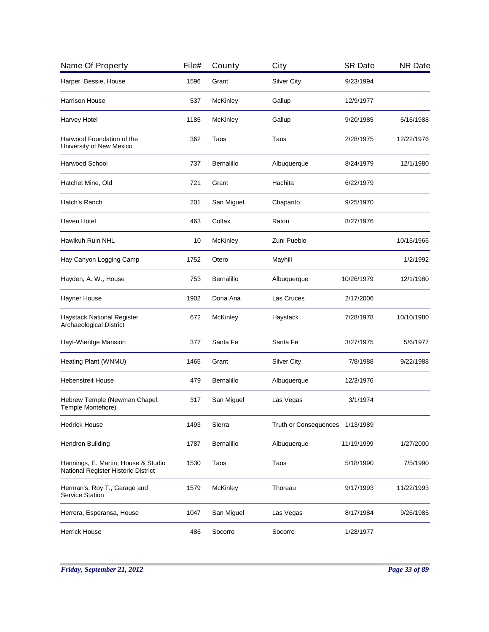| Name Of Property                                                           | File# | County          | City                         | <b>SR Date</b> | <b>NR Date</b> |
|----------------------------------------------------------------------------|-------|-----------------|------------------------------|----------------|----------------|
| Harper, Bessie, House                                                      | 1596  | Grant           | <b>Silver City</b>           | 9/23/1994      |                |
| <b>Harrison House</b>                                                      | 537   | McKinley        | Gallup                       | 12/9/1977      |                |
| Harvey Hotel                                                               | 1185  | McKinley        | Gallup                       | 9/20/1985      | 5/16/1988      |
| Harwood Foundation of the<br>University of New Mexico                      | 362   | Taos            | Taos                         | 2/28/1975      | 12/22/1976     |
| Harwood School                                                             | 737   | Bernalillo      | Albuquerque                  | 8/24/1979      | 12/1/1980      |
| Hatchet Mine, Old                                                          | 721   | Grant           | Hachita                      | 6/22/1979      |                |
| Hatch's Ranch                                                              | 201   | San Miguel      | Chaparito                    | 9/25/1970      |                |
| Haven Hotel                                                                | 463   | Colfax          | Raton                        | 8/27/1976      |                |
| Hawikuh Ruin NHL                                                           | 10    | McKinley        | Zuni Pueblo                  |                | 10/15/1966     |
| Hay Canyon Logging Camp                                                    | 1752  | Otero           | Mayhill                      |                | 1/2/1992       |
| Hayden, A. W., House                                                       | 753   | Bernalillo      | Albuquerque                  | 10/26/1979     | 12/1/1980      |
| Hayner House                                                               | 1902  | Dona Ana        | Las Cruces                   | 2/17/2006      |                |
| Haystack National Register<br>Archaeological District                      | 672   | <b>McKinley</b> | Haystack                     | 7/28/1978      | 10/10/1980     |
| Hayt-Wientge Mansion                                                       | 377   | Santa Fe        | Santa Fe                     | 3/27/1975      | 5/6/1977       |
| Heating Plant (WNMU)                                                       | 1465  | Grant           | <b>Silver City</b>           | 7/8/1988       | 9/22/1988      |
| <b>Hebenstreit House</b>                                                   | 479   | Bernalillo      | Albuquerque                  | 12/3/1976      |                |
| Hebrew Temple (Newman Chapel,<br>Temple Montefiore)                        | 317   | San Miguel      | Las Vegas                    | 3/1/1974       |                |
| <b>Hedrick House</b>                                                       | 1493  | Sierra          | <b>Truth or Consequences</b> | 1/13/1989      |                |
| Hendren Building                                                           | 1787  | Bernalillo      | Albuquerque                  | 11/19/1999     | 1/27/2000      |
| Hennings, E. Martin, House & Studio<br>National Register Historic District | 1530  | Taos            | Taos                         | 5/18/1990      | 7/5/1990       |
| Herman's, Roy T., Garage and<br><b>Service Station</b>                     | 1579  | McKinley        | Thoreau                      | 9/17/1993      | 11/22/1993     |
| Herrera, Esperansa, House                                                  | 1047  | San Miguel      | Las Vegas                    | 8/17/1984      | 9/26/1985      |
| <b>Herrick House</b>                                                       | 486   | Socorro         | Socorro                      | 1/28/1977      |                |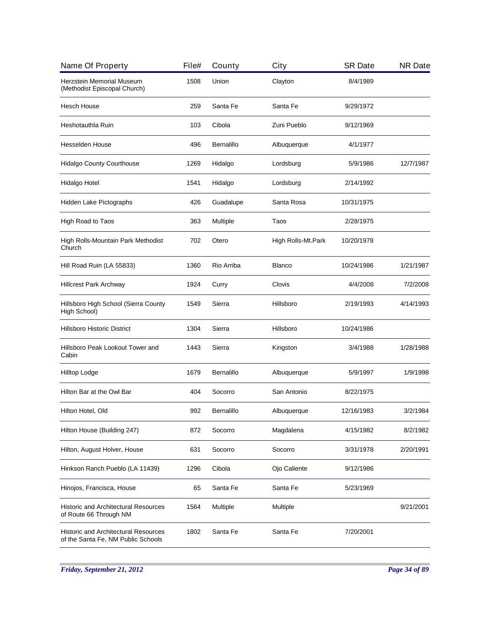| Name Of Property                                                                  | File# | County            | City               | <b>SR Date</b> | <b>NR Date</b> |
|-----------------------------------------------------------------------------------|-------|-------------------|--------------------|----------------|----------------|
| Herzstein Memorial Museum<br>(Methodist Episcopal Church)                         | 1508  | Union             | Clayton            | 8/4/1989       |                |
| <b>Hesch House</b>                                                                | 259   | Santa Fe          | Santa Fe           | 9/29/1972      |                |
| Heshotauthla Ruin                                                                 | 103   | Cibola            | Zuni Pueblo        | 9/12/1969      |                |
| Hesselden House                                                                   | 496   | <b>Bernalillo</b> | Albuquerque        | 4/1/1977       |                |
| Hidalgo County Courthouse                                                         | 1269  | Hidalgo           | Lordsburg          | 5/9/1986       | 12/7/1987      |
| Hidalgo Hotel                                                                     | 1541  | Hidalgo           | Lordsburg          | 2/14/1992      |                |
| Hidden Lake Pictographs                                                           | 426   | Guadalupe         | Santa Rosa         | 10/31/1975     |                |
| High Road to Taos                                                                 | 363   | Multiple          | Taos               | 2/28/1975      |                |
| High Rolls-Mountain Park Methodist<br>Church                                      | 702   | Otero             | High Rolls-Mt.Park | 10/20/1978     |                |
| Hill Road Ruin (LA 55833)                                                         | 1360  | Rio Arriba        | <b>Blanco</b>      | 10/24/1986     | 1/21/1987      |
| <b>Hillcrest Park Archway</b>                                                     | 1924  | Curry             | Clovis             | 4/4/2008       | 7/2/2008       |
| Hillsboro High School (Sierra County<br>High School)                              | 1549  | Sierra            | Hillsboro          | 2/19/1993      | 4/14/1993      |
| <b>Hillsboro Historic District</b>                                                | 1304  | Sierra            | Hillsboro          | 10/24/1986     |                |
| Hillsboro Peak Lookout Tower and<br>Cabin                                         | 1443  | Sierra            | Kingston           | 3/4/1988       | 1/28/1988      |
| Hilltop Lodge                                                                     | 1679  | <b>Bernalillo</b> | Albuquerque        | 5/9/1997       | 1/9/1998       |
| Hilton Bar at the Owl Bar                                                         | 404   | Socorro           | San Antonio        | 8/22/1975      |                |
| Hilton Hotel, Old                                                                 | 992   | <b>Bernalillo</b> | Albuquerque        | 12/16/1983     | 3/2/1984       |
| Hilton House (Building 247)                                                       | 872   | Socorro           | Magdalena          | 4/15/1982      | 8/2/1982       |
| Hilton, August Holver, House                                                      | 631   | Socorro           | Socorro            | 3/31/1978      | 2/20/1991      |
| Hinkson Ranch Pueblo (LA 11439)                                                   | 1296  | Cibola            | Ojo Caliente       | 9/12/1986      |                |
| Hinojos, Francisca, House                                                         | 65    | Santa Fe          | Santa Fe           | 5/23/1969      |                |
| <b>Historic and Architectural Resources</b><br>of Route 66 Through NM             | 1564  | Multiple          | Multiple           |                | 9/21/2001      |
| <b>Historic and Architectural Resources</b><br>of the Santa Fe, NM Public Schools | 1802  | Santa Fe          | Santa Fe           | 7/20/2001      |                |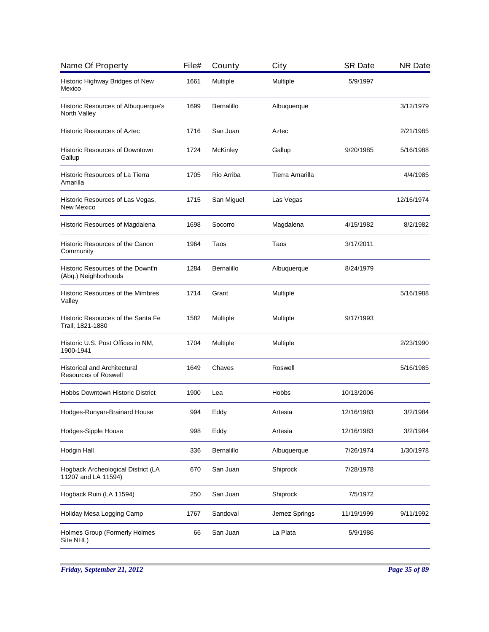| Name Of Property                                                   | File# | County            | City            | <b>SR Date</b> | <b>NR Date</b> |
|--------------------------------------------------------------------|-------|-------------------|-----------------|----------------|----------------|
| Historic Highway Bridges of New<br>Mexico                          | 1661  | Multiple          | Multiple        | 5/9/1997       |                |
| Historic Resources of Albuquerque's<br>North Valley                | 1699  | <b>Bernalillo</b> | Albuquerque     |                | 3/12/1979      |
| <b>Historic Resources of Aztec</b>                                 | 1716  | San Juan          | Aztec           |                | 2/21/1985      |
| <b>Historic Resources of Downtown</b><br>Gallup                    | 1724  | McKinley          | Gallup          | 9/20/1985      | 5/16/1988      |
| Historic Resources of La Tierra<br>Amarilla                        | 1705  | Rio Arriba        | Tierra Amarilla |                | 4/4/1985       |
| Historic Resources of Las Vegas,<br>New Mexico                     | 1715  | San Miguel        | Las Vegas       |                | 12/16/1974     |
| Historic Resources of Magdalena                                    | 1698  | Socorro           | Magdalena       | 4/15/1982      | 8/2/1982       |
| Historic Resources of the Canon<br>Community                       | 1964  | Taos              | Taos            | 3/17/2011      |                |
| Historic Resources of the Downt'n<br>(Abq.) Neighborhoods          | 1284  | <b>Bernalillo</b> | Albuquerque     | 8/24/1979      |                |
| Historic Resources of the Mimbres<br>Valley                        | 1714  | Grant             | Multiple        |                | 5/16/1988      |
| Historic Resources of the Santa Fe<br>Trail, 1821-1880             | 1582  | Multiple          | Multiple        | 9/17/1993      |                |
| Historic U.S. Post Offices in NM,<br>1900-1941                     | 1704  | Multiple          | Multiple        |                | 2/23/1990      |
| <b>Historical and Architectural</b><br><b>Resources of Roswell</b> | 1649  | Chaves            | Roswell         |                | 5/16/1985      |
| Hobbs Downtown Historic District                                   | 1900  | Lea               | Hobbs           | 10/13/2006     |                |
| Hodges-Runyan-Brainard House                                       | 994   | Eddy              | Artesia         | 12/16/1983     | 3/2/1984       |
| <b>Hodges-Sipple House</b>                                         | 998   | Eddy              | Artesia         | 12/16/1983     | 3/2/1984       |
| Hodgin Hall                                                        | 336   | Bernalillo        | Albuquerque     | 7/26/1974      | 1/30/1978      |
| Hogback Archeological District (LA<br>11207 and LA 11594)          | 670   | San Juan          | Shiprock        | 7/28/1978      |                |
| Hogback Ruin (LA 11594)                                            | 250   | San Juan          | Shiprock        | 7/5/1972       |                |
| Holiday Mesa Logging Camp                                          | 1767  | Sandoval          | Jemez Springs   | 11/19/1999     | 9/11/1992      |
| Holmes Group (Formerly Holmes<br>Site NHL)                         | 66    | San Juan          | La Plata        | 5/9/1986       |                |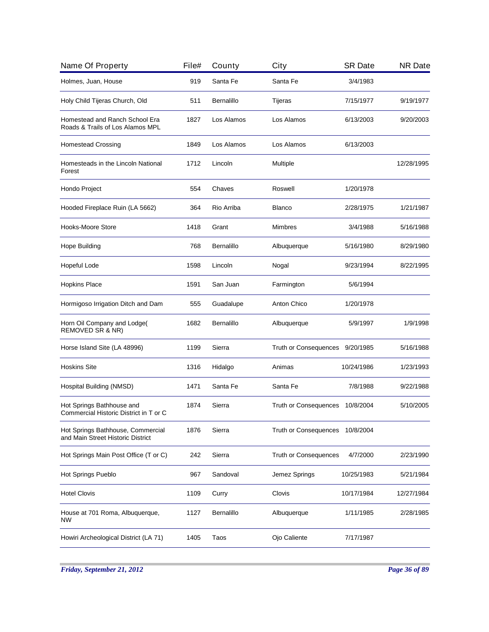| Name Of Property                                                       | File# | County     | City                         | <b>SR Date</b> | <b>NR Date</b> |
|------------------------------------------------------------------------|-------|------------|------------------------------|----------------|----------------|
| Holmes, Juan, House                                                    | 919   | Santa Fe   | Santa Fe                     | 3/4/1983       |                |
| Holy Child Tijeras Church, Old                                         | 511   | Bernalillo | Tijeras                      | 7/15/1977      | 9/19/1977      |
| Homestead and Ranch School Era<br>Roads & Trails of Los Alamos MPL     | 1827  | Los Alamos | Los Alamos                   | 6/13/2003      | 9/20/2003      |
| <b>Homestead Crossing</b>                                              | 1849  | Los Alamos | Los Alamos                   | 6/13/2003      |                |
| Homesteads in the Lincoln National<br>Forest                           | 1712  | Lincoln    | Multiple                     |                | 12/28/1995     |
| Hondo Project                                                          | 554   | Chaves     | Roswell                      | 1/20/1978      |                |
| Hooded Fireplace Ruin (LA 5662)                                        | 364   | Rio Arriba | <b>Blanco</b>                | 2/28/1975      | 1/21/1987      |
| Hooks-Moore Store                                                      | 1418  | Grant      | <b>Mimbres</b>               | 3/4/1988       | 5/16/1988      |
| <b>Hope Building</b>                                                   | 768   | Bernalillo | Albuquerque                  | 5/16/1980      | 8/29/1980      |
| Hopeful Lode                                                           | 1598  | Lincoln    | Nogal                        | 9/23/1994      | 8/22/1995      |
| <b>Hopkins Place</b>                                                   | 1591  | San Juan   | Farmington                   | 5/6/1994       |                |
| Hormigoso Irrigation Ditch and Dam                                     | 555   | Guadalupe  | Anton Chico                  | 1/20/1978      |                |
| Horn Oil Company and Lodge(<br>REMOVED SR & NR)                        | 1682  | Bernalillo | Albuquerque                  | 5/9/1997       | 1/9/1998       |
| Horse Island Site (LA 48996)                                           | 1199  | Sierra     | Truth or Consequences        | 9/20/1985      | 5/16/1988      |
| <b>Hoskins Site</b>                                                    | 1316  | Hidalgo    | Animas                       | 10/24/1986     | 1/23/1993      |
| Hospital Building (NMSD)                                               | 1471  | Santa Fe   | Santa Fe                     | 7/8/1988       | 9/22/1988      |
| Hot Springs Bathhouse and<br>Commercial Historic District in T or C    | 1874  | Sierra     | Truth or Consequences        | 10/8/2004      | 5/10/2005      |
| Hot Springs Bathhouse, Commercial<br>and Main Street Historic District | 1876  | Sierra     | <b>Truth or Consequences</b> | 10/8/2004      |                |
| Hot Springs Main Post Office (T or C)                                  | 242   | Sierra     | <b>Truth or Consequences</b> | 4/7/2000       | 2/23/1990      |
| Hot Springs Pueblo                                                     | 967   | Sandoval   | Jemez Springs                | 10/25/1983     | 5/21/1984      |
| <b>Hotel Clovis</b>                                                    | 1109  | Curry      | Clovis                       | 10/17/1984     | 12/27/1984     |
| House at 701 Roma, Albuquerque,<br>NW                                  | 1127  | Bernalillo | Albuquerque                  | 1/11/1985      | 2/28/1985      |
| Howiri Archeological District (LA 71)                                  | 1405  | Taos       | Ojo Caliente                 | 7/17/1987      |                |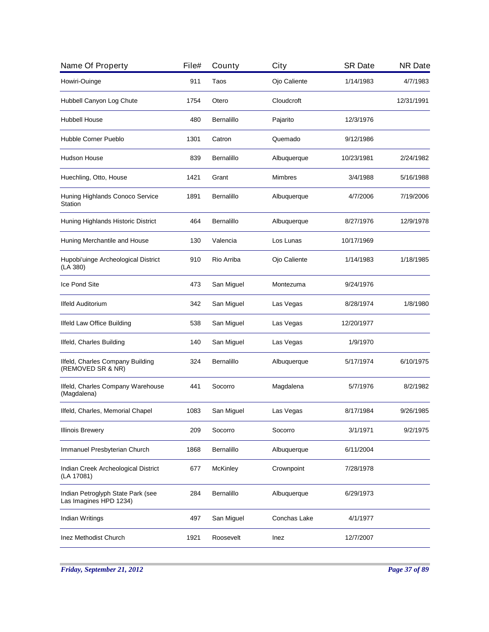| Name Of Property                                            | File# | County     | City           | <b>SR Date</b> | <b>NR Date</b> |
|-------------------------------------------------------------|-------|------------|----------------|----------------|----------------|
| Howiri-Ouinge                                               | 911   | Taos       | Ojo Caliente   | 1/14/1983      | 4/7/1983       |
| Hubbell Canyon Log Chute                                    | 1754  | Otero      | Cloudcroft     |                | 12/31/1991     |
| Hubbell House                                               | 480   | Bernalillo | Pajarito       | 12/3/1976      |                |
| Hubble Corner Pueblo                                        | 1301  | Catron     | Quemado        | 9/12/1986      |                |
| <b>Hudson House</b>                                         | 839   | Bernalillo | Albuquerque    | 10/23/1981     | 2/24/1982      |
| Huechling, Otto, House                                      | 1421  | Grant      | <b>Mimbres</b> | 3/4/1988       | 5/16/1988      |
| Huning Highlands Conoco Service<br>Station                  | 1891  | Bernalillo | Albuquerque    | 4/7/2006       | 7/19/2006      |
| Huning Highlands Historic District                          | 464   | Bernalillo | Albuquerque    | 8/27/1976      | 12/9/1978      |
| Huning Merchantile and House                                | 130   | Valencia   | Los Lunas      | 10/17/1969     |                |
| Hupobi'uinge Archeological District<br>(LA 380)             | 910   | Rio Arriba | Ojo Caliente   | 1/14/1983      | 1/18/1985      |
| Ice Pond Site                                               | 473   | San Miguel | Montezuma      | 9/24/1976      |                |
| Ilfeld Auditorium                                           | 342   | San Miguel | Las Vegas      | 8/28/1974      | 1/8/1980       |
| Ilfeld Law Office Building                                  | 538   | San Miguel | Las Vegas      | 12/20/1977     |                |
| Ilfeld, Charles Building                                    | 140   | San Miguel | Las Vegas      | 1/9/1970       |                |
| Ilfeld, Charles Company Building<br>(REMOVED SR & NR)       | 324   | Bernalillo | Albuquerque    | 5/17/1974      | 6/10/1975      |
| Ilfeld, Charles Company Warehouse<br>(Magdalena)            | 441   | Socorro    | Magdalena      | 5/7/1976       | 8/2/1982       |
| Ilfeld, Charles, Memorial Chapel                            | 1083  | San Miguel | Las Vegas      | 8/17/1984      | 9/26/1985      |
| <b>Illinois Brewery</b>                                     | 209   | Socorro    | Socorro        | 3/1/1971       | 9/2/1975       |
| Immanuel Presbyterian Church                                | 1868  | Bernalillo | Albuquerque    | 6/11/2004      |                |
| Indian Creek Archeological District<br>(LA 17081)           | 677   | McKinley   | Crownpoint     | 7/28/1978      |                |
| Indian Petroglyph State Park (see<br>Las Imagines HPD 1234) | 284   | Bernalillo | Albuquerque    | 6/29/1973      |                |
| Indian Writings                                             | 497   | San Miguel | Conchas Lake   | 4/1/1977       |                |
| Inez Methodist Church                                       | 1921  | Roosevelt  | Inez           | 12/7/2007      |                |

*Friday, September 21, 2012 Page 37 of 89*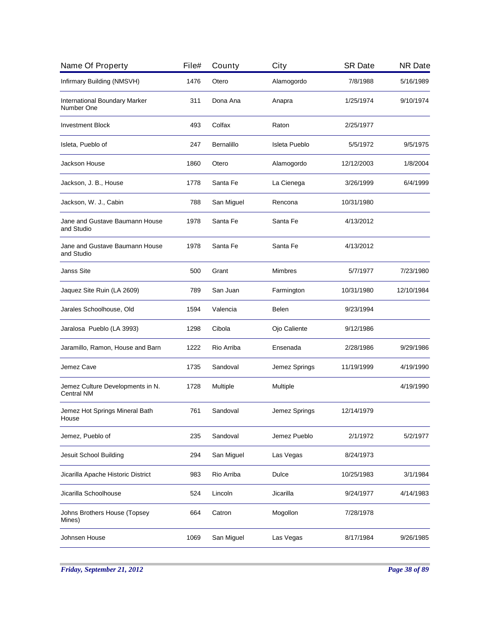| Name Of Property                               | File# | County            | City                 | <b>SR Date</b> | <b>NR Date</b> |
|------------------------------------------------|-------|-------------------|----------------------|----------------|----------------|
| Infirmary Building (NMSVH)                     | 1476  | Otero             | Alamogordo           | 7/8/1988       | 5/16/1989      |
| International Boundary Marker<br>Number One    | 311   | Dona Ana          | Anapra               | 1/25/1974      | 9/10/1974      |
| <b>Investment Block</b>                        | 493   | Colfax            | Raton                | 2/25/1977      |                |
| Isleta, Pueblo of                              | 247   | <b>Bernalillo</b> | <b>Isleta Pueblo</b> | 5/5/1972       | 9/5/1975       |
| Jackson House                                  | 1860  | Otero             | Alamogordo           | 12/12/2003     | 1/8/2004       |
| Jackson, J. B., House                          | 1778  | Santa Fe          | La Cienega           | 3/26/1999      | 6/4/1999       |
| Jackson, W. J., Cabin                          | 788   | San Miguel        | Rencona              | 10/31/1980     |                |
| Jane and Gustave Baumann House<br>and Studio   | 1978  | Santa Fe          | Santa Fe             | 4/13/2012      |                |
| Jane and Gustave Baumann House<br>and Studio   | 1978  | Santa Fe          | Santa Fe             | 4/13/2012      |                |
| <b>Janss Site</b>                              | 500   | Grant             | <b>Mimbres</b>       | 5/7/1977       | 7/23/1980      |
| Jaquez Site Ruin (LA 2609)                     | 789   | San Juan          | Farmington           | 10/31/1980     | 12/10/1984     |
| Jarales Schoolhouse, Old                       | 1594  | Valencia          | Belen                | 9/23/1994      |                |
| Jaralosa Pueblo (LA 3993)                      | 1298  | Cibola            | Ojo Caliente         | 9/12/1986      |                |
| Jaramillo, Ramon, House and Barn               | 1222  | Rio Arriba        | Ensenada             | 2/28/1986      | 9/29/1986      |
| Jemez Cave                                     | 1735  | Sandoval          | Jemez Springs        | 11/19/1999     | 4/19/1990      |
| Jemez Culture Developments in N.<br>Central NM | 1728  | Multiple          | Multiple             |                | 4/19/1990      |
| Jemez Hot Springs Mineral Bath<br>House        | 761   | Sandoval          | Jemez Springs        | 12/14/1979     |                |
| Jemez, Pueblo of                               | 235   | Sandoval          | Jemez Pueblo         | 2/1/1972       | 5/2/1977       |
| Jesuit School Building                         | 294   | San Miguel        | Las Vegas            | 8/24/1973      |                |
| Jicarilla Apache Historic District             | 983   | Rio Arriba        | Dulce                | 10/25/1983     | 3/1/1984       |
| Jicarilla Schoolhouse                          | 524   | Lincoln           | Jicarilla            | 9/24/1977      | 4/14/1983      |
| Johns Brothers House (Topsey<br>Mines)         | 664   | Catron            | Mogollon             | 7/28/1978      |                |
| Johnsen House                                  | 1069  | San Miguel        | Las Vegas            | 8/17/1984      | 9/26/1985      |
|                                                |       |                   |                      |                |                |

*Friday, September 21, 2012 Page 38 of 89*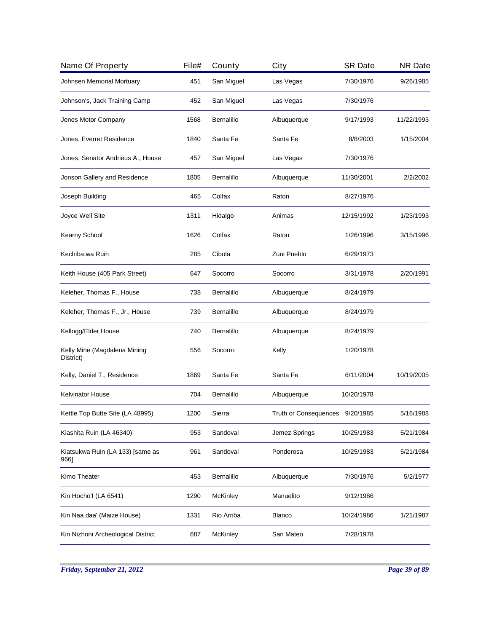| File# | County          | City          | <b>SR Date</b> | <b>NR Date</b>                  |
|-------|-----------------|---------------|----------------|---------------------------------|
| 451   | San Miguel      | Las Vegas     | 7/30/1976      | 9/26/1985                       |
| 452   | San Miguel      | Las Vegas     | 7/30/1976      |                                 |
| 1568  | Bernalillo      | Albuquerque   | 9/17/1993      | 11/22/1993                      |
| 1840  | Santa Fe        | Santa Fe      | 8/8/2003       | 1/15/2004                       |
| 457   | San Miguel      | Las Vegas     | 7/30/1976      |                                 |
| 1805  | Bernalillo      | Albuquerque   | 11/30/2001     | 2/2/2002                        |
| 465   | Colfax          | Raton         | 8/27/1976      |                                 |
| 1311  | Hidalgo         | Animas        | 12/15/1992     | 1/23/1993                       |
| 1626  | Colfax          | Raton         | 1/26/1996      | 3/15/1996                       |
| 285   | Cibola          | Zuni Pueblo   | 6/29/1973      |                                 |
| 647   | Socorro         | Socorro       | 3/31/1978      | 2/20/1991                       |
| 738   | Bernalillo      | Albuquerque   | 8/24/1979      |                                 |
| 739   | Bernalillo      | Albuquerque   | 8/24/1979      |                                 |
| 740   | Bernalillo      | Albuquerque   | 8/24/1979      |                                 |
| 556   | Socorro         | Kelly         | 1/20/1978      |                                 |
| 1869  | Santa Fe        | Santa Fe      | 6/11/2004      | 10/19/2005                      |
| 704   | Bernalillo      | Albuquerque   | 10/20/1978     |                                 |
| 1200  | Sierra          |               |                | 5/16/1988                       |
| 953   | Sandoval        | Jemez Springs | 10/25/1983     | 5/21/1984                       |
| 961   | Sandoval        | Ponderosa     | 10/25/1983     | 5/21/1984                       |
| 453   | Bernalillo      | Albuquerque   | 7/30/1976      | 5/2/1977                        |
| 1290  | <b>McKinley</b> | Manuelito     | 9/12/1986      |                                 |
| 1331  | Rio Arriba      | <b>Blanco</b> | 10/24/1986     | 1/21/1987                       |
| 687   | <b>McKinley</b> | San Mateo     | 7/28/1978      |                                 |
|       |                 |               |                | Truth or Consequences 9/20/1985 |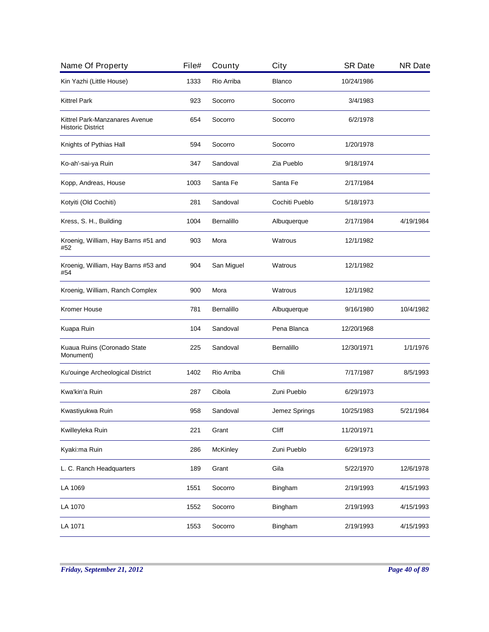| Name Of Property                                           | File# | County     | City           | <b>SR Date</b> | <b>NR Date</b> |
|------------------------------------------------------------|-------|------------|----------------|----------------|----------------|
| Kin Yazhi (Little House)                                   | 1333  | Rio Arriba | <b>Blanco</b>  | 10/24/1986     |                |
| <b>Kittrel Park</b>                                        | 923   | Socorro    | Socorro        | 3/4/1983       |                |
| Kittrel Park-Manzanares Avenue<br><b>Historic District</b> | 654   | Socorro    | Socorro        | 6/2/1978       |                |
| Knights of Pythias Hall                                    | 594   | Socorro    | Socorro        | 1/20/1978      |                |
| Ko-ah'-sai-ya Ruin                                         | 347   | Sandoval   | Zia Pueblo     | 9/18/1974      |                |
| Kopp, Andreas, House                                       | 1003  | Santa Fe   | Santa Fe       | 2/17/1984      |                |
| Kotyiti (Old Cochiti)                                      | 281   | Sandoval   | Cochiti Pueblo | 5/18/1973      |                |
| Kress, S. H., Building                                     | 1004  | Bernalillo | Albuquerque    | 2/17/1984      | 4/19/1984      |
| Kroenig, William, Hay Barns #51 and<br>#52                 | 903   | Mora       | Watrous        | 12/1/1982      |                |
| Kroenig, William, Hay Barns #53 and<br>#54                 | 904   | San Miguel | Watrous        | 12/1/1982      |                |
| Kroenig, William, Ranch Complex                            | 900   | Mora       | Watrous        | 12/1/1982      |                |
| Kromer House                                               | 781   | Bernalillo | Albuquerque    | 9/16/1980      | 10/4/1982      |
| Kuapa Ruin                                                 | 104   | Sandoval   | Pena Blanca    | 12/20/1968     |                |
| Kuaua Ruins (Coronado State<br>Monument)                   | 225   | Sandoval   | Bernalillo     | 12/30/1971     | 1/1/1976       |
| Ku'ouinge Archeological District                           | 1402  | Rio Arriba | Chili          | 7/17/1987      | 8/5/1993       |
| Kwa'kin'a Ruin                                             | 287   | Cibola     | Zuni Pueblo    | 6/29/1973      |                |
| Kwastiyukwa Ruin                                           | 958   | Sandoval   | Jemez Springs  | 10/25/1983     | 5/21/1984      |
| Kwilleyleka Ruin                                           | 221   | Grant      | Cliff          | 11/20/1971     |                |
| Kyaki:ma Ruin                                              | 286   | McKinley   | Zuni Pueblo    | 6/29/1973      |                |
| L. C. Ranch Headquarters                                   | 189   | Grant      | Gila           | 5/22/1970      | 12/6/1978      |
| LA 1069                                                    | 1551  | Socorro    | Bingham        | 2/19/1993      | 4/15/1993      |
| LA 1070                                                    | 1552  | Socorro    | Bingham        | 2/19/1993      | 4/15/1993      |
| LA 1071                                                    | 1553  | Socorro    | Bingham        | 2/19/1993      | 4/15/1993      |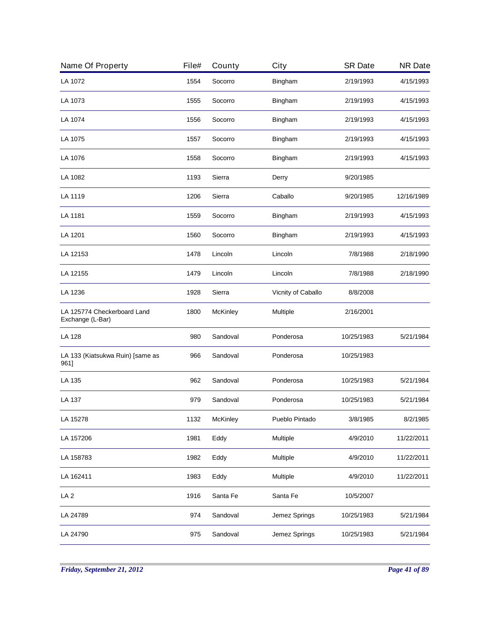| 1554<br>1555<br>1556<br>1557 | Socorro<br>Socorro<br>Socorro | Bingham<br>Bingham | 2/19/1993<br>2/19/1993 | 4/15/1993<br>4/15/1993 |
|------------------------------|-------------------------------|--------------------|------------------------|------------------------|
|                              |                               |                    |                        |                        |
|                              |                               |                    |                        |                        |
|                              |                               | Bingham            | 2/19/1993              | 4/15/1993              |
|                              | Socorro                       | Bingham            | 2/19/1993              | 4/15/1993              |
| 1558                         | Socorro                       | Bingham            | 2/19/1993              | 4/15/1993              |
| 1193                         | Sierra                        | Derry              | 9/20/1985              |                        |
| 1206                         | Sierra                        | Caballo            | 9/20/1985              | 12/16/1989             |
| 1559                         | Socorro                       | Bingham            | 2/19/1993              | 4/15/1993              |
| 1560                         | Socorro                       | Bingham            | 2/19/1993              | 4/15/1993              |
| 1478                         | Lincoln                       | Lincoln            | 7/8/1988               | 2/18/1990              |
| 1479                         | Lincoln                       | Lincoln            | 7/8/1988               | 2/18/1990              |
| 1928                         | Sierra                        | Vicnity of Caballo | 8/8/2008               |                        |
| 1800                         | McKinley                      | Multiple           | 2/16/2001              |                        |
| 980                          | Sandoval                      | Ponderosa          | 10/25/1983             | 5/21/1984              |
| 966                          | Sandoval                      | Ponderosa          | 10/25/1983             |                        |
| 962                          | Sandoval                      | Ponderosa          | 10/25/1983             | 5/21/1984              |
| 979                          | Sandoval                      | Ponderosa          | 10/25/1983             | 5/21/1984              |
| 1132                         | McKinley                      | Pueblo Pintado     | 3/8/1985               | 8/2/1985               |
| 1981                         | Eddy                          | Multiple           | 4/9/2010               | 11/22/2011             |
| 1982                         | Eddy                          | Multiple           | 4/9/2010               | 11/22/2011             |
| 1983                         | Eddy                          | Multiple           | 4/9/2010               | 11/22/2011             |
| 1916                         | Santa Fe                      | Santa Fe           | 10/5/2007              |                        |
| 974                          | Sandoval                      | Jemez Springs      | 10/25/1983             | 5/21/1984              |
| 975                          | Sandoval                      | Jemez Springs      | 10/25/1983             | 5/21/1984              |
|                              |                               |                    |                        |                        |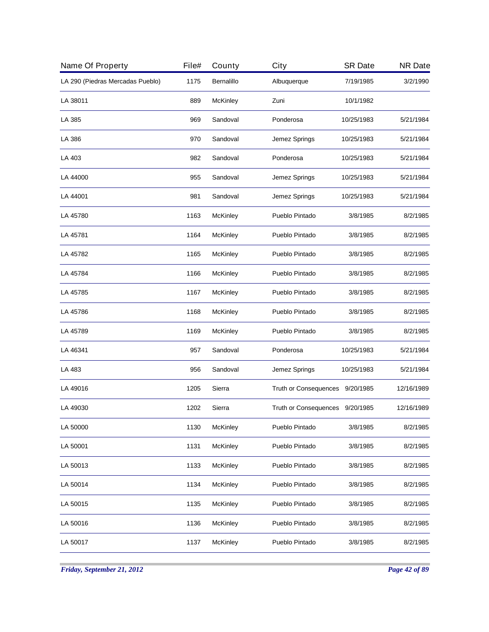| Name Of Property                 | File# | County          | City                            | <b>SR Date</b> | <b>NR Date</b> |
|----------------------------------|-------|-----------------|---------------------------------|----------------|----------------|
| LA 290 (Piedras Mercadas Pueblo) | 1175  | Bernalillo      | Albuquerque                     | 7/19/1985      | 3/2/1990       |
| LA 38011                         | 889   | McKinley        | Zuni                            | 10/1/1982      |                |
| LA 385                           | 969   | Sandoval        | Ponderosa                       | 10/25/1983     | 5/21/1984      |
| LA 386                           | 970   | Sandoval        | Jemez Springs                   | 10/25/1983     | 5/21/1984      |
| LA 403                           | 982   | Sandoval        | Ponderosa                       | 10/25/1983     | 5/21/1984      |
| LA 44000                         | 955   | Sandoval        | Jemez Springs                   | 10/25/1983     | 5/21/1984      |
| LA 44001                         | 981   | Sandoval        | Jemez Springs                   | 10/25/1983     | 5/21/1984      |
| LA 45780                         | 1163  | McKinley        | Pueblo Pintado                  | 3/8/1985       | 8/2/1985       |
| LA 45781                         | 1164  | McKinley        | Pueblo Pintado                  | 3/8/1985       | 8/2/1985       |
| LA 45782                         | 1165  | McKinley        | Pueblo Pintado                  | 3/8/1985       | 8/2/1985       |
| LA 45784                         | 1166  | <b>McKinley</b> | Pueblo Pintado                  | 3/8/1985       | 8/2/1985       |
| LA 45785                         | 1167  | <b>McKinley</b> | Pueblo Pintado                  | 3/8/1985       | 8/2/1985       |
| LA 45786                         | 1168  | <b>McKinley</b> | Pueblo Pintado                  | 3/8/1985       | 8/2/1985       |
| LA 45789                         | 1169  | <b>McKinley</b> | Pueblo Pintado                  | 3/8/1985       | 8/2/1985       |
| LA 46341                         | 957   | Sandoval        | Ponderosa                       | 10/25/1983     | 5/21/1984      |
| LA 483                           | 956   | Sandoval        | Jemez Springs                   | 10/25/1983     | 5/21/1984      |
| LA 49016                         | 1205  | Sierra          | Truth or Consequences 9/20/1985 |                | 12/16/1989     |
| LA 49030                         | 1202  | Sierra          | Truth or Consequences 9/20/1985 |                | 12/16/1989     |
| LA 50000                         | 1130  | McKinley        | Pueblo Pintado                  | 3/8/1985       | 8/2/1985       |
| LA 50001                         | 1131  | McKinley        | Pueblo Pintado                  | 3/8/1985       | 8/2/1985       |
| LA 50013                         | 1133  | McKinley        | Pueblo Pintado                  | 3/8/1985       | 8/2/1985       |
| LA 50014                         | 1134  | McKinley        | Pueblo Pintado                  | 3/8/1985       | 8/2/1985       |
| LA 50015                         | 1135  | McKinley        | Pueblo Pintado                  | 3/8/1985       | 8/2/1985       |
| LA 50016                         | 1136  | McKinley        | Pueblo Pintado                  | 3/8/1985       | 8/2/1985       |
| LA 50017                         | 1137  | McKinley        | Pueblo Pintado                  | 3/8/1985       | 8/2/1985       |
|                                  |       |                 |                                 |                |                |

*Friday, September 21, 2012 Page 42 of 89*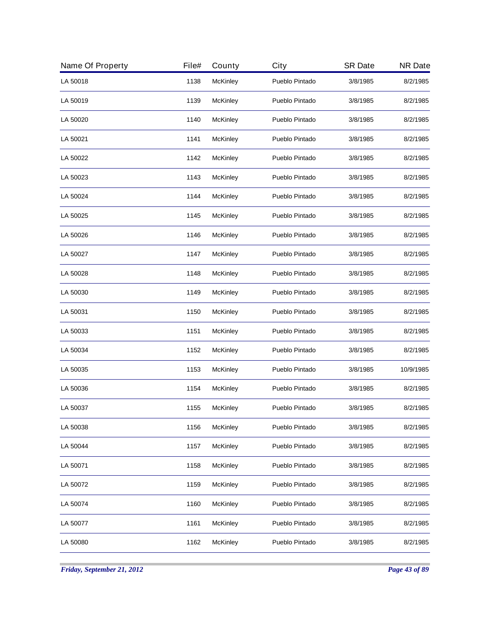| Name Of Property | File# | County          | City           | <b>SR Date</b> | <b>NR Date</b> |
|------------------|-------|-----------------|----------------|----------------|----------------|
| LA 50018         | 1138  | McKinley        | Pueblo Pintado | 3/8/1985       | 8/2/1985       |
| LA 50019         | 1139  | McKinley        | Pueblo Pintado | 3/8/1985       | 8/2/1985       |
| LA 50020         | 1140  | McKinley        | Pueblo Pintado | 3/8/1985       | 8/2/1985       |
| LA 50021         | 1141  | McKinley        | Pueblo Pintado | 3/8/1985       | 8/2/1985       |
| LA 50022         | 1142  | McKinley        | Pueblo Pintado | 3/8/1985       | 8/2/1985       |
| LA 50023         | 1143  | McKinley        | Pueblo Pintado | 3/8/1985       | 8/2/1985       |
| LA 50024         | 1144  | McKinley        | Pueblo Pintado | 3/8/1985       | 8/2/1985       |
| LA 50025         | 1145  | McKinley        | Pueblo Pintado | 3/8/1985       | 8/2/1985       |
| LA 50026         | 1146  | McKinley        | Pueblo Pintado | 3/8/1985       | 8/2/1985       |
| LA 50027         | 1147  | McKinley        | Pueblo Pintado | 3/8/1985       | 8/2/1985       |
| LA 50028         | 1148  | <b>McKinley</b> | Pueblo Pintado | 3/8/1985       | 8/2/1985       |
| LA 50030         | 1149  | <b>McKinley</b> | Pueblo Pintado | 3/8/1985       | 8/2/1985       |
| LA 50031         | 1150  | <b>McKinley</b> | Pueblo Pintado | 3/8/1985       | 8/2/1985       |
| LA 50033         | 1151  | <b>McKinley</b> | Pueblo Pintado | 3/8/1985       | 8/2/1985       |
| LA 50034         | 1152  | McKinley        | Pueblo Pintado | 3/8/1985       | 8/2/1985       |
| LA 50035         | 1153  | McKinley        | Pueblo Pintado | 3/8/1985       | 10/9/1985      |
| LA 50036         | 1154  | McKinley        | Pueblo Pintado | 3/8/1985       | 8/2/1985       |
| LA 50037         | 1155  | McKinley        | Pueblo Pintado | 3/8/1985       | 8/2/1985       |
| LA 50038         | 1156  | McKinley        | Pueblo Pintado | 3/8/1985       | 8/2/1985       |
| LA 50044         | 1157  | McKinley        | Pueblo Pintado | 3/8/1985       | 8/2/1985       |
| LA 50071         | 1158  | McKinley        | Pueblo Pintado | 3/8/1985       | 8/2/1985       |
| LA 50072         | 1159  | McKinley        | Pueblo Pintado | 3/8/1985       | 8/2/1985       |
| LA 50074         | 1160  | McKinley        | Pueblo Pintado | 3/8/1985       | 8/2/1985       |
| LA 50077         | 1161  | McKinley        | Pueblo Pintado | 3/8/1985       | 8/2/1985       |
| LA 50080         | 1162  | McKinley        | Pueblo Pintado | 3/8/1985       | 8/2/1985       |
|                  |       |                 |                |                |                |

*Friday, September 21, 2012 Page 43 of 89*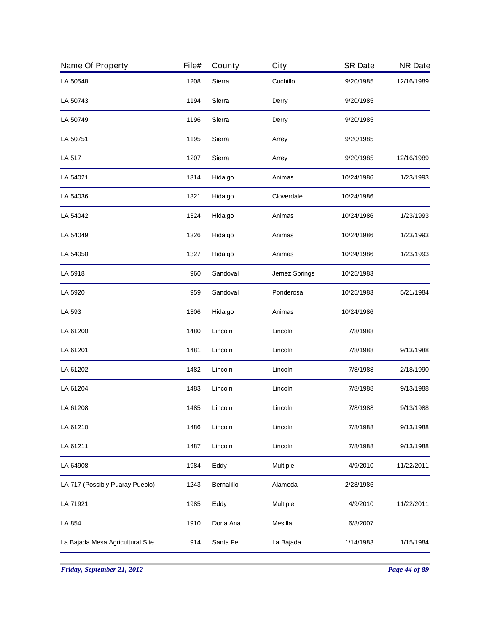| Name Of Property                 | File# | County     | City          | <b>SR Date</b> | <b>NR Date</b> |
|----------------------------------|-------|------------|---------------|----------------|----------------|
| LA 50548                         | 1208  | Sierra     | Cuchillo      | 9/20/1985      | 12/16/1989     |
| LA 50743                         | 1194  | Sierra     | Derry         | 9/20/1985      |                |
| LA 50749                         | 1196  | Sierra     | Derry         | 9/20/1985      |                |
| LA 50751                         | 1195  | Sierra     | Arrey         | 9/20/1985      |                |
| LA 517                           | 1207  | Sierra     | Arrey         | 9/20/1985      | 12/16/1989     |
| LA 54021                         | 1314  | Hidalgo    | Animas        | 10/24/1986     | 1/23/1993      |
| LA 54036                         | 1321  | Hidalgo    | Cloverdale    | 10/24/1986     |                |
| LA 54042                         | 1324  | Hidalgo    | Animas        | 10/24/1986     | 1/23/1993      |
| LA 54049                         | 1326  | Hidalgo    | Animas        | 10/24/1986     | 1/23/1993      |
| LA 54050                         | 1327  | Hidalgo    | Animas        | 10/24/1986     | 1/23/1993      |
| LA 5918                          | 960   | Sandoval   | Jemez Springs | 10/25/1983     |                |
| LA 5920                          | 959   | Sandoval   | Ponderosa     | 10/25/1983     | 5/21/1984      |
| LA 593                           | 1306  | Hidalgo    | Animas        | 10/24/1986     |                |
| LA 61200                         | 1480  | Lincoln    | Lincoln       | 7/8/1988       |                |
| LA 61201                         | 1481  | Lincoln    | Lincoln       | 7/8/1988       | 9/13/1988      |
| LA 61202                         | 1482  | Lincoln    | Lincoln       | 7/8/1988       | 2/18/1990      |
| LA 61204                         | 1483  | Lincoln    | Lincoln       | 7/8/1988       | 9/13/1988      |
| LA 61208                         | 1485  | Lincoln    | Lincoln       | 7/8/1988       | 9/13/1988      |
| LA 61210                         | 1486  | Lincoln    | Lincoln       | 7/8/1988       | 9/13/1988      |
| LA 61211                         | 1487  | Lincoln    | Lincoln       | 7/8/1988       | 9/13/1988      |
| LA 64908                         | 1984  | Eddy       | Multiple      | 4/9/2010       | 11/22/2011     |
| LA 717 (Possibly Puaray Pueblo)  | 1243  | Bernalillo | Alameda       | 2/28/1986      |                |
| LA 71921                         | 1985  | Eddy       | Multiple      | 4/9/2010       | 11/22/2011     |
| LA 854                           | 1910  | Dona Ana   | Mesilla       | 6/8/2007       |                |
| La Bajada Mesa Agricultural Site | 914   | Santa Fe   | La Bajada     | 1/14/1983      | 1/15/1984      |
|                                  |       |            |               |                |                |

*Friday, September 21, 2012 Page 44 of 89*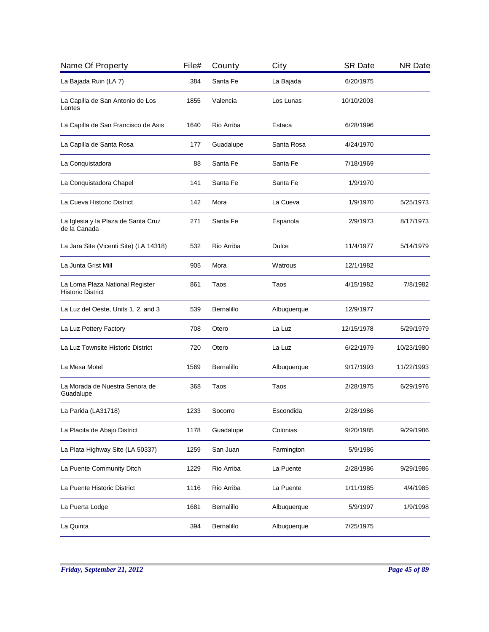| Name Of Property                                            | File# | County            | City        | <b>SR Date</b> | <b>NR Date</b> |
|-------------------------------------------------------------|-------|-------------------|-------------|----------------|----------------|
| La Bajada Ruin (LA 7)                                       | 384   | Santa Fe          | La Bajada   | 6/20/1975      |                |
| La Capilla de San Antonio de Los<br>Lentes                  | 1855  | Valencia          | Los Lunas   | 10/10/2003     |                |
| La Capilla de San Francisco de Asis                         | 1640  | Rio Arriba        | Estaca      | 6/28/1996      |                |
| La Capilla de Santa Rosa                                    | 177   | Guadalupe         | Santa Rosa  | 4/24/1970      |                |
| La Conquistadora                                            | 88    | Santa Fe          | Santa Fe    | 7/18/1969      |                |
| La Conquistadora Chapel                                     | 141   | Santa Fe          | Santa Fe    | 1/9/1970       |                |
| La Cueva Historic District                                  | 142   | Mora              | La Cueva    | 1/9/1970       | 5/25/1973      |
| La Iglesia y la Plaza de Santa Cruz<br>de la Canada         | 271   | Santa Fe          | Espanola    | 2/9/1973       | 8/17/1973      |
| La Jara Site (Vicenti Site) (LA 14318)                      | 532   | Rio Arriba        | Dulce       | 11/4/1977      | 5/14/1979      |
| La Junta Grist Mill                                         | 905   | Mora              | Watrous     | 12/1/1982      |                |
| La Loma Plaza National Register<br><b>Historic District</b> | 861   | Taos              | Taos        | 4/15/1982      | 7/8/1982       |
| La Luz del Oeste, Units 1, 2, and 3                         | 539   | <b>Bernalillo</b> | Albuquerque | 12/9/1977      |                |
| La Luz Pottery Factory                                      | 708   | Otero             | La Luz      | 12/15/1978     | 5/29/1979      |
| La Luz Townsite Historic District                           | 720   | Otero             | La Luz      | 6/22/1979      | 10/23/1980     |
| La Mesa Motel                                               | 1569  | <b>Bernalillo</b> | Albuquerque | 9/17/1993      | 11/22/1993     |
| La Morada de Nuestra Senora de<br>Guadalupe                 | 368   | Taos              | Taos        | 2/28/1975      | 6/29/1976      |
| La Parida (LA31718)                                         | 1233  | Socorro           | Escondida   | 2/28/1986      |                |
| La Placita de Abajo District                                | 1178  | Guadalupe         | Colonias    | 9/20/1985      | 9/29/1986      |
| La Plata Highway Site (LA 50337)                            | 1259  | San Juan          | Farmington  | 5/9/1986       |                |
| La Puente Community Ditch                                   | 1229  | Rio Arriba        | La Puente   | 2/28/1986      | 9/29/1986      |
| La Puente Historic District                                 | 1116  | Rio Arriba        | La Puente   | 1/11/1985      | 4/4/1985       |
| La Puerta Lodge                                             | 1681  | Bernalillo        | Albuquerque | 5/9/1997       | 1/9/1998       |
| La Quinta                                                   | 394   | Bernalillo        | Albuquerque | 7/25/1975      |                |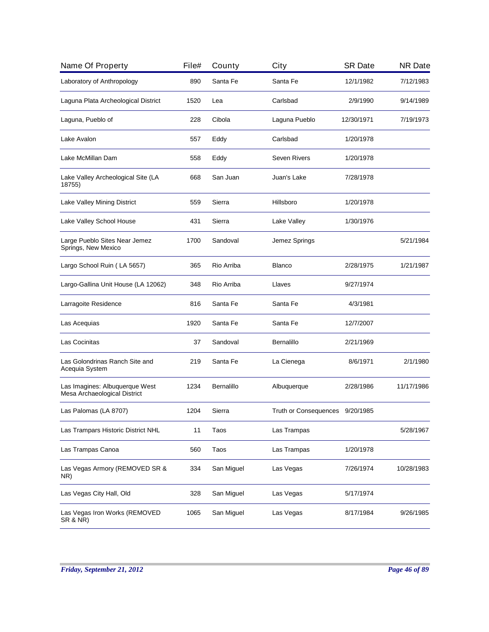| Name Of Property                                               | File# | County     | City                            | <b>SR Date</b> | <b>NR Date</b> |
|----------------------------------------------------------------|-------|------------|---------------------------------|----------------|----------------|
| Laboratory of Anthropology                                     | 890   | Santa Fe   | Santa Fe                        | 12/1/1982      | 7/12/1983      |
| Laguna Plata Archeological District                            | 1520  | Lea        | Carlsbad                        | 2/9/1990       | 9/14/1989      |
| Laguna, Pueblo of                                              | 228   | Cibola     | Laguna Pueblo                   | 12/30/1971     | 7/19/1973      |
| Lake Avalon                                                    | 557   | Eddy       | Carlsbad                        | 1/20/1978      |                |
| Lake McMillan Dam                                              | 558   | Eddy       | <b>Seven Rivers</b>             | 1/20/1978      |                |
| Lake Valley Archeological Site (LA<br>18755)                   | 668   | San Juan   | Juan's Lake                     | 7/28/1978      |                |
| Lake Valley Mining District                                    | 559   | Sierra     | Hillsboro                       | 1/20/1978      |                |
| Lake Valley School House                                       | 431   | Sierra     | Lake Valley                     | 1/30/1976      |                |
| Large Pueblo Sites Near Jemez<br>Springs, New Mexico           | 1700  | Sandoval   | Jemez Springs                   |                | 5/21/1984      |
| Largo School Ruin (LA 5657)                                    | 365   | Rio Arriba | <b>Blanco</b>                   | 2/28/1975      | 1/21/1987      |
| Largo-Gallina Unit House (LA 12062)                            | 348   | Rio Arriba | Llaves                          | 9/27/1974      |                |
| Larragoite Residence                                           | 816   | Santa Fe   | Santa Fe                        | 4/3/1981       |                |
| Las Acequias                                                   | 1920  | Santa Fe   | Santa Fe                        | 12/7/2007      |                |
| Las Cocinitas                                                  | 37    | Sandoval   | Bernalillo                      | 2/21/1969      |                |
| Las Golondrinas Ranch Site and<br>Acequia System               | 219   | Santa Fe   | La Cienega                      | 8/6/1971       | 2/1/1980       |
| Las Imagines: Albuquerque West<br>Mesa Archaeological District | 1234  | Bernalillo | Albuquerque                     | 2/28/1986      | 11/17/1986     |
| Las Palomas (LA 8707)                                          | 1204  | Sierra     | Truth or Consequences 9/20/1985 |                |                |
| Las Trampars Historic District NHL                             | 11    | Taos       | Las Trampas                     |                | 5/28/1967      |
| Las Trampas Canoa                                              | 560   | Taos       | Las Trampas                     | 1/20/1978      |                |
| Las Vegas Armory (REMOVED SR &<br>NR)                          | 334   | San Miguel | Las Vegas                       | 7/26/1974      | 10/28/1983     |
| Las Vegas City Hall, Old                                       | 328   | San Miguel | Las Vegas                       | 5/17/1974      |                |
| Las Vegas Iron Works (REMOVED<br><b>SR &amp; NR)</b>           | 1065  | San Miguel | Las Vegas                       | 8/17/1984      | 9/26/1985      |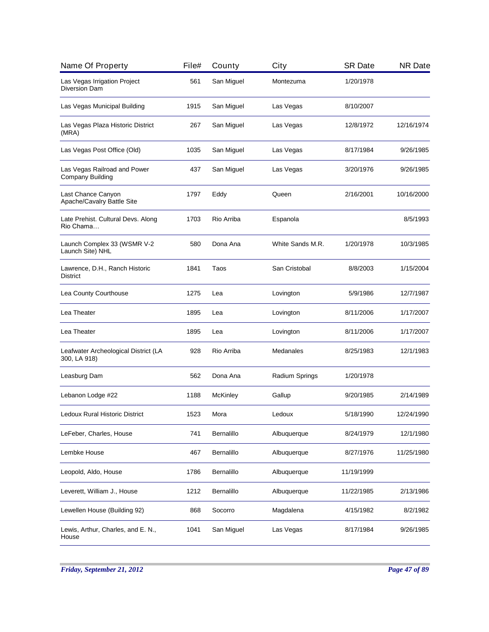| Name Of Property                                        | File# | County          | City             | <b>SR Date</b> | <b>NR Date</b> |
|---------------------------------------------------------|-------|-----------------|------------------|----------------|----------------|
| Las Vegas Irrigation Project<br>Diversion Dam           | 561   | San Miguel      | Montezuma        | 1/20/1978      |                |
| Las Vegas Municipal Building                            | 1915  | San Miguel      | Las Vegas        | 8/10/2007      |                |
| Las Vegas Plaza Historic District<br>(MRA)              | 267   | San Miguel      | Las Vegas        | 12/8/1972      | 12/16/1974     |
| Las Vegas Post Office (Old)                             | 1035  | San Miguel      | Las Vegas        | 8/17/1984      | 9/26/1985      |
| Las Vegas Railroad and Power<br><b>Company Building</b> | 437   | San Miguel      | Las Vegas        | 3/20/1976      | 9/26/1985      |
| Last Chance Canyon<br>Apache/Cavalry Battle Site        | 1797  | Eddy            | Queen            | 2/16/2001      | 10/16/2000     |
| Late Prehist. Cultural Devs. Along<br>Rio Chama         | 1703  | Rio Arriba      | Espanola         |                | 8/5/1993       |
| Launch Complex 33 (WSMR V-2<br>Launch Site) NHL         | 580   | Dona Ana        | White Sands M.R. | 1/20/1978      | 10/3/1985      |
| Lawrence, D.H., Ranch Historic<br><b>District</b>       | 1841  | Taos            | San Cristobal    | 8/8/2003       | 1/15/2004      |
| Lea County Courthouse                                   | 1275  | Lea             | Lovington        | 5/9/1986       | 12/7/1987      |
| Lea Theater                                             | 1895  | Lea             | Lovington        | 8/11/2006      | 1/17/2007      |
| Lea Theater                                             | 1895  | Lea             | Lovington        | 8/11/2006      | 1/17/2007      |
| Leafwater Archeological District (LA<br>300, LA 918)    | 928   | Rio Arriba      | Medanales        | 8/25/1983      | 12/1/1983      |
| Leasburg Dam                                            | 562   | Dona Ana        | Radium Springs   | 1/20/1978      |                |
| Lebanon Lodge #22                                       | 1188  | <b>McKinley</b> | Gallup           | 9/20/1985      | 2/14/1989      |
| Ledoux Rural Historic District                          | 1523  | Mora            | Ledoux           | 5/18/1990      | 12/24/1990     |
| LeFeber, Charles, House                                 | 741   | Bernalillo      | Albuquerque      | 8/24/1979      | 12/1/1980      |
| Lembke House                                            | 467   | Bernalillo      | Albuquerque      | 8/27/1976      | 11/25/1980     |
| Leopold, Aldo, House                                    | 1786  | Bernalillo      | Albuquerque      | 11/19/1999     |                |
| Leverett, William J., House                             | 1212  | Bernalillo      | Albuquerque      | 11/22/1985     | 2/13/1986      |
| Lewellen House (Building 92)                            | 868   | Socorro         | Magdalena        | 4/15/1982      | 8/2/1982       |
| Lewis, Arthur, Charles, and E. N.,<br>House             | 1041  | San Miguel      | Las Vegas        | 8/17/1984      | 9/26/1985      |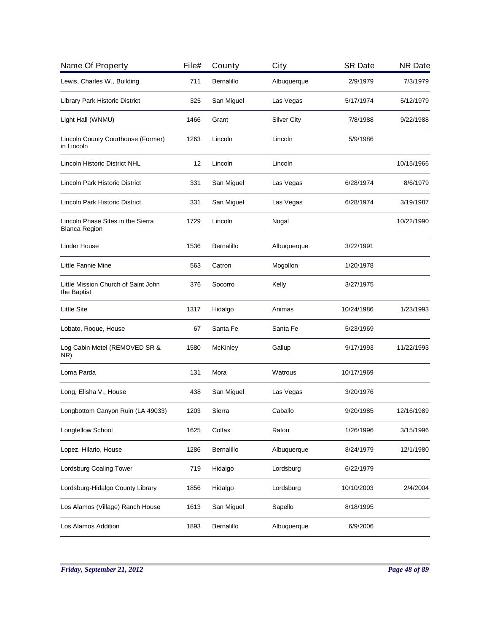| Name Of Property                                          | File# | County          | City               | <b>SR Date</b> | <b>NR Date</b> |
|-----------------------------------------------------------|-------|-----------------|--------------------|----------------|----------------|
| Lewis, Charles W., Building                               | 711   | Bernalillo      | Albuquerque        | 2/9/1979       | 7/3/1979       |
| Library Park Historic District                            | 325   | San Miguel      | Las Vegas          | 5/17/1974      | 5/12/1979      |
| Light Hall (WNMU)                                         | 1466  | Grant           | <b>Silver City</b> | 7/8/1988       | 9/22/1988      |
| Lincoln County Courthouse (Former)<br>in Lincoln          | 1263  | Lincoln         | Lincoln            | 5/9/1986       |                |
| <b>Lincoln Historic District NHL</b>                      | 12    | Lincoln         | Lincoln            |                | 10/15/1966     |
| Lincoln Park Historic District                            | 331   | San Miguel      | Las Vegas          | 6/28/1974      | 8/6/1979       |
| Lincoln Park Historic District                            | 331   | San Miguel      | Las Vegas          | 6/28/1974      | 3/19/1987      |
| Lincoln Phase Sites in the Sierra<br><b>Blanca Region</b> | 1729  | Lincoln         | Nogal              |                | 10/22/1990     |
| Linder House                                              | 1536  | Bernalillo      | Albuquerque        | 3/22/1991      |                |
| Little Fannie Mine                                        | 563   | Catron          | Mogollon           | 1/20/1978      |                |
| Little Mission Church of Saint John<br>the Baptist        | 376   | Socorro         | Kelly              | 3/27/1975      |                |
| <b>Little Site</b>                                        | 1317  | Hidalgo         | Animas             | 10/24/1986     | 1/23/1993      |
| Lobato, Roque, House                                      | 67    | Santa Fe        | Santa Fe           | 5/23/1969      |                |
| Log Cabin Motel (REMOVED SR &<br>NR)                      | 1580  | <b>McKinley</b> | Gallup             | 9/17/1993      | 11/22/1993     |
| Loma Parda                                                | 131   | Mora            | Watrous            | 10/17/1969     |                |
| Long, Elisha V., House                                    | 438   | San Miguel      | Las Vegas          | 3/20/1976      |                |
| Longbottom Canyon Ruin (LA 49033)                         | 1203  | Sierra          | Caballo            | 9/20/1985      | 12/16/1989     |
| Longfellow School                                         | 1625  | Colfax          | Raton              | 1/26/1996      | 3/15/1996      |
| Lopez, Hilario, House                                     | 1286  | Bernalillo      | Albuquerque        | 8/24/1979      | 12/1/1980      |
| Lordsburg Coaling Tower                                   | 719   | Hidalgo         | Lordsburg          | 6/22/1979      |                |
| Lordsburg-Hidalgo County Library                          | 1856  | Hidalgo         | Lordsburg          | 10/10/2003     | 2/4/2004       |
| Los Alamos (Village) Ranch House                          | 1613  | San Miguel      | Sapello            | 8/18/1995      |                |
| Los Alamos Addition                                       | 1893  | Bernalillo      | Albuquerque        | 6/9/2006       |                |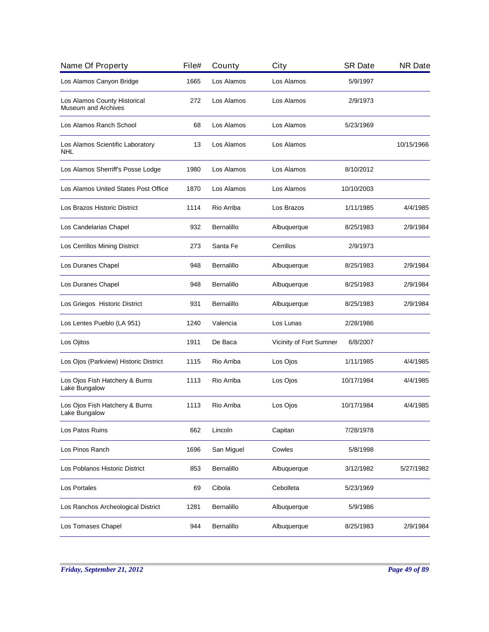| Name Of Property                                    | File# | County     | City                    | <b>SR Date</b> | <b>NR Date</b> |
|-----------------------------------------------------|-------|------------|-------------------------|----------------|----------------|
| Los Alamos Canyon Bridge                            | 1665  | Los Alamos | Los Alamos              | 5/9/1997       |                |
| Los Alamos County Historical<br>Museum and Archives | 272   | Los Alamos | Los Alamos              | 2/9/1973       |                |
| Los Alamos Ranch School                             | 68    | Los Alamos | Los Alamos              | 5/23/1969      |                |
| Los Alamos Scientific Laboratory<br>NHL             | 13    | Los Alamos | Los Alamos              |                | 10/15/1966     |
| Los Alamos Sherriff's Posse Lodge                   | 1980  | Los Alamos | Los Alamos              | 8/10/2012      |                |
| Los Alamos United States Post Office                | 1870  | Los Alamos | Los Alamos              | 10/10/2003     |                |
| Los Brazos Historic District                        | 1114  | Rio Arriba | Los Brazos              | 1/11/1985      | 4/4/1985       |
| Los Candelarias Chapel                              | 932   | Bernalillo | Albuquerque             | 8/25/1983      | 2/9/1984       |
| Los Cerrillos Mining District                       | 273   | Santa Fe   | Cerrillos               | 2/9/1973       |                |
| Los Duranes Chapel                                  | 948   | Bernalillo | Albuquerque             | 8/25/1983      | 2/9/1984       |
| Los Duranes Chapel                                  | 948   | Bernalillo | Albuquerque             | 8/25/1983      | 2/9/1984       |
| Los Griegos Historic District                       | 931   | Bernalillo | Albuquerque             | 8/25/1983      | 2/9/1984       |
| Los Lentes Pueblo (LA 951)                          | 1240  | Valencia   | Los Lunas               | 2/28/1986      |                |
| Los Ojitos                                          | 1911  | De Baca    | Vicinity of Fort Sumner | 6/8/2007       |                |
| Los Ojos (Parkview) Historic District               | 1115  | Rio Arriba | Los Ojos                | 1/11/1985      | 4/4/1985       |
| Los Ojos Fish Hatchery & Burns<br>Lake Bungalow     | 1113  | Rio Arriba | Los Ojos                | 10/17/1984     | 4/4/1985       |
| Los Ojos Fish Hatchery & Burns<br>Lake Bungalow     | 1113  | Rio Arriba | Los Ojos                | 10/17/1984     | 4/4/1985       |
| Los Patos Ruins                                     | 662   | Lincoln    | Capitan                 | 7/28/1978      |                |
| Los Pinos Ranch                                     | 1696  | San Miguel | Cowles                  | 5/8/1998       |                |
| Los Poblanos Historic District                      | 853   | Bernalillo | Albuquerque             | 3/12/1982      | 5/27/1982      |
| Los Portales                                        | 69    | Cibola     | Cebolleta               | 5/23/1969      |                |
| Los Ranchos Archeological District                  | 1281  | Bernalillo | Albuquerque             | 5/9/1986       |                |
| Los Tomases Chapel                                  | 944   | Bernalillo | Albuquerque             | 8/25/1983      | 2/9/1984       |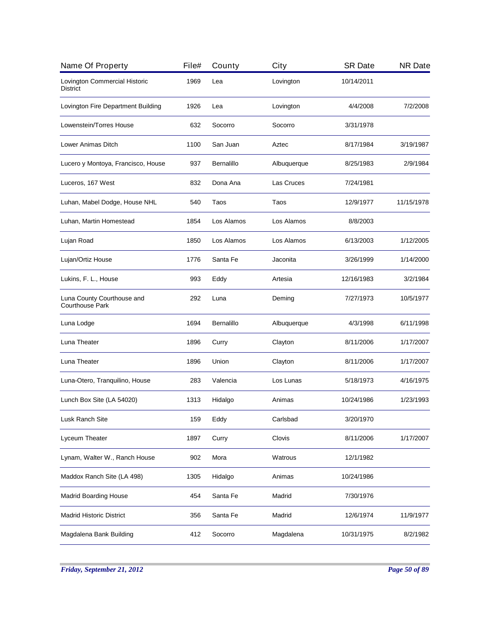| Name Of Property                                     | File# | County     | City        | <b>SR Date</b> | <b>NR Date</b> |
|------------------------------------------------------|-------|------------|-------------|----------------|----------------|
| Lovington Commercial Historic<br>District            | 1969  | Lea        | Lovington   | 10/14/2011     |                |
| Lovington Fire Department Building                   | 1926  | Lea        | Lovington   | 4/4/2008       | 7/2/2008       |
| Lowenstein/Torres House                              | 632   | Socorro    | Socorro     | 3/31/1978      |                |
| Lower Animas Ditch                                   | 1100  | San Juan   | Aztec       | 8/17/1984      | 3/19/1987      |
| Lucero y Montoya, Francisco, House                   | 937   | Bernalillo | Albuquerque | 8/25/1983      | 2/9/1984       |
| Luceros, 167 West                                    | 832   | Dona Ana   | Las Cruces  | 7/24/1981      |                |
| Luhan, Mabel Dodge, House NHL                        | 540   | Taos       | Taos        | 12/9/1977      | 11/15/1978     |
| Luhan, Martin Homestead                              | 1854  | Los Alamos | Los Alamos  | 8/8/2003       |                |
| Lujan Road                                           | 1850  | Los Alamos | Los Alamos  | 6/13/2003      | 1/12/2005      |
| Lujan/Ortiz House                                    | 1776  | Santa Fe   | Jaconita    | 3/26/1999      | 1/14/2000      |
| Lukins, F. L., House                                 | 993   | Eddy       | Artesia     | 12/16/1983     | 3/2/1984       |
| Luna County Courthouse and<br><b>Courthouse Park</b> | 292   | Luna       | Deming      | 7/27/1973      | 10/5/1977      |
| Luna Lodge                                           | 1694  | Bernalillo | Albuquerque | 4/3/1998       | 6/11/1998      |
| Luna Theater                                         | 1896  | Curry      | Clayton     | 8/11/2006      | 1/17/2007      |
| Luna Theater                                         | 1896  | Union      | Clayton     | 8/11/2006      | 1/17/2007      |
| Luna-Otero, Tranquilino, House                       | 283   | Valencia   | Los Lunas   | 5/18/1973      | 4/16/1975      |
| Lunch Box Site (LA 54020)                            | 1313  | Hidalgo    | Animas      | 10/24/1986     | 1/23/1993      |
| Lusk Ranch Site                                      | 159   | Eddy       | Carlsbad    | 3/20/1970      |                |
| Lyceum Theater                                       | 1897  | Curry      | Clovis      | 8/11/2006      | 1/17/2007      |
| Lynam, Walter W., Ranch House                        | 902   | Mora       | Watrous     | 12/1/1982      |                |
| Maddox Ranch Site (LA 498)                           | 1305  | Hidalgo    | Animas      | 10/24/1986     |                |
| <b>Madrid Boarding House</b>                         | 454   | Santa Fe   | Madrid      | 7/30/1976      |                |
| <b>Madrid Historic District</b>                      | 356   | Santa Fe   | Madrid      | 12/6/1974      | 11/9/1977      |
| Magdalena Bank Building                              | 412   | Socorro    | Magdalena   | 10/31/1975     | 8/2/1982       |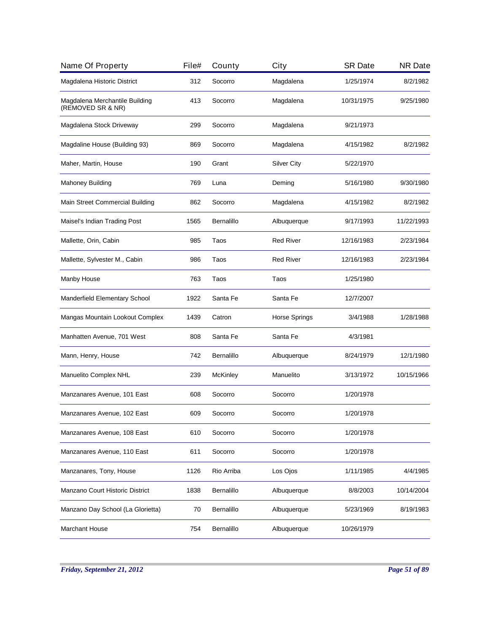| Name Of Property                                    | File# | County          | City               | <b>SR Date</b> | <b>NR Date</b> |
|-----------------------------------------------------|-------|-----------------|--------------------|----------------|----------------|
| Magdalena Historic District                         | 312   | Socorro         | Magdalena          | 1/25/1974      | 8/2/1982       |
| Magdalena Merchantile Building<br>(REMOVED SR & NR) | 413   | Socorro         | Magdalena          | 10/31/1975     | 9/25/1980      |
| Magdalena Stock Driveway                            | 299   | Socorro         | Magdalena          | 9/21/1973      |                |
| Magdaline House (Building 93)                       | 869   | Socorro         | Magdalena          | 4/15/1982      | 8/2/1982       |
| Maher, Martin, House                                | 190   | Grant           | <b>Silver City</b> | 5/22/1970      |                |
| <b>Mahoney Building</b>                             | 769   | Luna            | Deming             | 5/16/1980      | 9/30/1980      |
| Main Street Commercial Building                     | 862   | Socorro         | Magdalena          | 4/15/1982      | 8/2/1982       |
| Maisel's Indian Trading Post                        | 1565  | Bernalillo      | Albuquerque        | 9/17/1993      | 11/22/1993     |
| Mallette, Orin, Cabin                               | 985   | Taos            | <b>Red River</b>   | 12/16/1983     | 2/23/1984      |
| Mallette, Sylvester M., Cabin                       | 986   | Taos            | <b>Red River</b>   | 12/16/1983     | 2/23/1984      |
| Manby House                                         | 763   | Taos            | Taos               | 1/25/1980      |                |
| Manderfield Elementary School                       | 1922  | Santa Fe        | Santa Fe           | 12/7/2007      |                |
| Mangas Mountain Lookout Complex                     | 1439  | Catron          | Horse Springs      | 3/4/1988       | 1/28/1988      |
| Manhatten Avenue, 701 West                          | 808   | Santa Fe        | Santa Fe           | 4/3/1981       |                |
| Mann, Henry, House                                  | 742   | Bernalillo      | Albuquerque        | 8/24/1979      | 12/1/1980      |
| Manuelito Complex NHL                               | 239   | <b>McKinley</b> | Manuelito          | 3/13/1972      | 10/15/1966     |
| Manzanares Avenue, 101 East                         | 608   | Socorro         | Socorro            | 1/20/1978      |                |
| Manzanares Avenue, 102 East                         | 609   | Socorro         | Socorro            | 1/20/1978      |                |
| Manzanares Avenue, 108 East                         | 610   | Socorro         | Socorro            | 1/20/1978      |                |
| Manzanares Avenue, 110 East                         | 611   | Socorro         | Socorro            | 1/20/1978      |                |
| Manzanares, Tony, House                             | 1126  | Rio Arriba      | Los Ojos           | 1/11/1985      | 4/4/1985       |
| Manzano Court Historic District                     | 1838  | Bernalillo      | Albuquerque        | 8/8/2003       | 10/14/2004     |
| Manzano Day School (La Glorietta)                   | 70    | Bernalillo      | Albuquerque        | 5/23/1969      | 8/19/1983      |
| <b>Marchant House</b>                               | 754   | Bernalillo      | Albuquerque        | 10/26/1979     |                |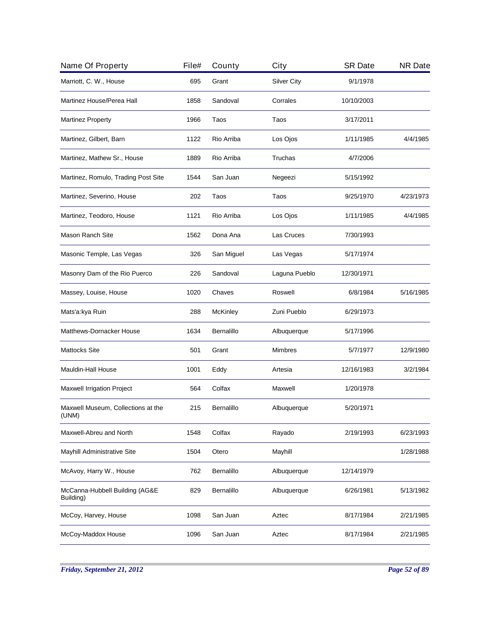| Name Of Property                            | File# | County          | City               | <b>SR Date</b> | <b>NR Date</b> |
|---------------------------------------------|-------|-----------------|--------------------|----------------|----------------|
| Marriott, C. W., House                      | 695   | Grant           | <b>Silver City</b> | 9/1/1978       |                |
| Martinez House/Perea Hall                   | 1858  | Sandoval        | Corrales           | 10/10/2003     |                |
| <b>Martinez Property</b>                    | 1966  | Taos            | Taos               | 3/17/2011      |                |
| Martinez, Gilbert, Barn                     | 1122  | Rio Arriba      | Los Ojos           | 1/11/1985      | 4/4/1985       |
| Martinez, Mathew Sr., House                 | 1889  | Rio Arriba      | Truchas            | 4/7/2006       |                |
| Martinez, Romulo, Trading Post Site         | 1544  | San Juan        | Negeezi            | 5/15/1992      |                |
| Martinez, Severino, House                   | 202   | Taos            | Taos               | 9/25/1970      | 4/23/1973      |
| Martinez, Teodoro, House                    | 1121  | Rio Arriba      | Los Ojos           | 1/11/1985      | 4/4/1985       |
| <b>Mason Ranch Site</b>                     | 1562  | Dona Ana        | Las Cruces         | 7/30/1993      |                |
| Masonic Temple, Las Vegas                   | 326   | San Miguel      | Las Vegas          | 5/17/1974      |                |
| Masonry Dam of the Rio Puerco               | 226   | Sandoval        | Laguna Pueblo      | 12/30/1971     |                |
| Massey, Louise, House                       | 1020  | Chaves          | Roswell            | 6/8/1984       | 5/16/1985      |
| Mats'a:kya Ruin                             | 288   | <b>McKinley</b> | Zuni Pueblo        | 6/29/1973      |                |
| Matthews-Dornacker House                    | 1634  | Bernalillo      | Albuquerque        | 5/17/1996      |                |
| <b>Mattocks Site</b>                        | 501   | Grant           | <b>Mimbres</b>     | 5/7/1977       | 12/9/1980      |
| Mauldin-Hall House                          | 1001  | Eddy            | Artesia            | 12/16/1983     | 3/2/1984       |
| Maxwell Irrigation Project                  | 564   | Colfax          | Maxwell            | 1/20/1978      |                |
| Maxwell Museum, Collections at the<br>(UNM) | 215   | Bernalillo      | Albuquerque        | 5/20/1971      |                |
| Maxwell-Abreu and North                     | 1548  | Colfax          | Rayado             | 2/19/1993      | 6/23/1993      |
| Mayhill Administrative Site                 | 1504  | Otero           | Mayhill            |                | 1/28/1988      |
| McAvoy, Harry W., House                     | 762   | Bernalillo      | Albuquerque        | 12/14/1979     |                |
| McCanna-Hubbell Building (AG&E<br>Building) | 829   | Bernalillo      | Albuquerque        | 6/26/1981      | 5/13/1982      |
| McCoy, Harvey, House                        | 1098  | San Juan        | Aztec              | 8/17/1984      | 2/21/1985      |
| McCoy-Maddox House                          | 1096  | San Juan        | Aztec              | 8/17/1984      | 2/21/1985      |
|                                             |       |                 |                    |                |                |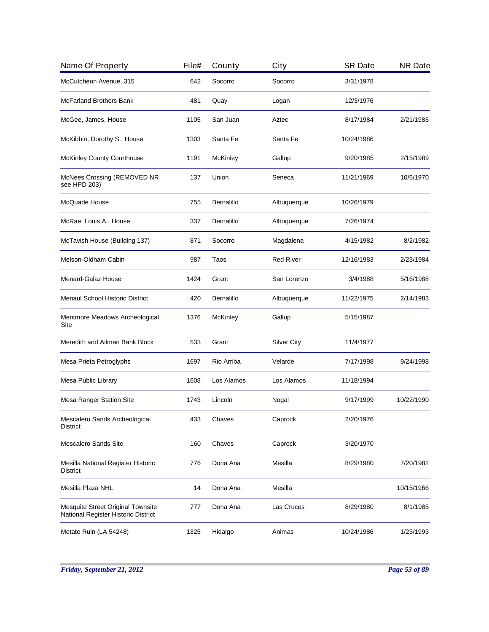| Name Of Property                                                         | File# | County            | City               | <b>SR Date</b> | <b>NR Date</b> |
|--------------------------------------------------------------------------|-------|-------------------|--------------------|----------------|----------------|
| McCutcheon Avenue, 315                                                   | 642   | Socorro           | Socorro            | 3/31/1978      |                |
| <b>McFarland Brothers Bank</b>                                           | 481   | Quay              | Logan              | 12/3/1976      |                |
| McGee, James, House                                                      | 1105  | San Juan          | Aztec              | 8/17/1984      | 2/21/1985      |
| McKibbin, Dorothy S., House                                              | 1303  | Santa Fe          | Santa Fe           | 10/24/1986     |                |
| McKinley County Courthouse                                               | 1191  | McKinley          | Gallup             | 9/20/1985      | 2/15/1989      |
| McNees Crossing (REMOVED NR<br>see HPD 203)                              | 137   | Union             | Seneca             | 11/21/1969     | 10/6/1970      |
| McQuade House                                                            | 755   | Bernalillo        | Albuquerque        | 10/26/1979     |                |
| McRae, Louis A., House                                                   | 337   | <b>Bernalillo</b> | Albuquerque        | 7/26/1974      |                |
| McTavish House (Building 137)                                            | 871   | Socorro           | Magdalena          | 4/15/1982      | 8/2/1982       |
| Melson-Oldham Cabin                                                      | 987   | Taos              | <b>Red River</b>   | 12/16/1983     | 2/23/1984      |
| Menard-Galaz House                                                       | 1424  | Grant             | San Lorenzo        | 3/4/1988       | 5/16/1988      |
| <b>Menaul School Historic District</b>                                   | 420   | Bernalillo        | Albuquerque        | 11/22/1975     | 2/14/1983      |
| Mentmore Meadows Archeological<br>Site                                   | 1376  | <b>McKinley</b>   | Gallup             | 5/15/1987      |                |
| Meredith and Ailman Bank Block                                           | 533   | Grant             | <b>Silver City</b> | 11/4/1977      |                |
| Mesa Prieta Petroglyphs                                                  | 1697  | Rio Arriba        | Velarde            | 7/17/1998      | 9/24/1998      |
| Mesa Public Library                                                      | 1608  | Los Alamos        | Los Alamos         | 11/18/1994     |                |
| Mesa Ranger Station Site                                                 | 1743  | Lincoln           | Nogal              | 9/17/1999      | 10/22/1990     |
| Mescalero Sands Archeological<br>District                                | 433   | Chaves            | Caprock            | 2/20/1976      |                |
| <b>Mescalero Sands Site</b>                                              | 160   | Chaves            | Caprock            | 3/20/1970      |                |
| Mesilla National Register Historic<br><b>District</b>                    | 776   | Dona Ana          | Mesilla            | 8/29/1980      | 7/20/1982      |
| Mesilla Plaza NHL                                                        | 14    | Dona Ana          | Mesilla            |                | 10/15/1966     |
| Mesquite Street Original Townsite<br>National Register Historic District | 777   | Dona Ana          | Las Cruces         | 8/29/1980      | 8/1/1985       |
| Metate Ruin (LA 54248)                                                   | 1325  | Hidalgo           | Animas             | 10/24/1986     | 1/23/1993      |
|                                                                          |       |                   |                    |                |                |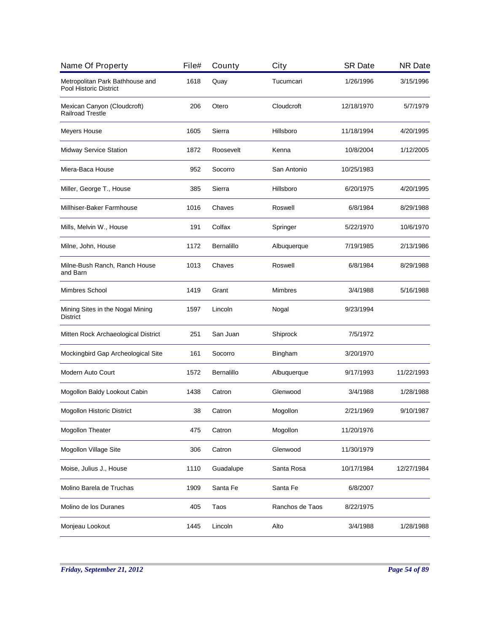| Name Of Property                                          | File# | County            | City            | <b>SR Date</b> | <b>NR Date</b> |
|-----------------------------------------------------------|-------|-------------------|-----------------|----------------|----------------|
| Metropolitan Park Bathhouse and<br>Pool Historic District | 1618  | Quay              | Tucumcari       | 1/26/1996      | 3/15/1996      |
| Mexican Canyon (Cloudcroft)<br><b>Railroad Trestle</b>    | 206   | Otero             | Cloudcroft      | 12/18/1970     | 5/7/1979       |
| Meyers House                                              | 1605  | Sierra            | Hillsboro       | 11/18/1994     | 4/20/1995      |
| Midway Service Station                                    | 1872  | Roosevelt         | Kenna           | 10/8/2004      | 1/12/2005      |
| Miera-Baca House                                          | 952   | Socorro           | San Antonio     | 10/25/1983     |                |
| Miller, George T., House                                  | 385   | Sierra            | Hillsboro       | 6/20/1975      | 4/20/1995      |
| Millhiser-Baker Farmhouse                                 | 1016  | Chaves            | Roswell         | 6/8/1984       | 8/29/1988      |
| Mills, Melvin W., House                                   | 191   | Colfax            | Springer        | 5/22/1970      | 10/6/1970      |
| Milne, John, House                                        | 1172  | <b>Bernalillo</b> | Albuquerque     | 7/19/1985      | 2/13/1986      |
| Milne-Bush Ranch, Ranch House<br>and Barn                 | 1013  | Chaves            | Roswell         | 6/8/1984       | 8/29/1988      |
| Mimbres School                                            | 1419  | Grant             | <b>Mimbres</b>  | 3/4/1988       | 5/16/1988      |
| Mining Sites in the Nogal Mining<br><b>District</b>       | 1597  | Lincoln           | Nogal           | 9/23/1994      |                |
| Mitten Rock Archaeological District                       | 251   | San Juan          | Shiprock        | 7/5/1972       |                |
| Mockingbird Gap Archeological Site                        | 161   | Socorro           | <b>Bingham</b>  | 3/20/1970      |                |
| Modern Auto Court                                         | 1572  | <b>Bernalillo</b> | Albuquerque     | 9/17/1993      | 11/22/1993     |
| Mogollon Baldy Lookout Cabin                              | 1438  | Catron            | Glenwood        | 3/4/1988       | 1/28/1988      |
| Mogollon Historic District                                | 38    | Catron            | Mogollon        | 2/21/1969      | 9/10/1987      |
| Mogollon Theater                                          | 475   | Catron            | Mogollon        | 11/20/1976     |                |
| Mogollon Village Site                                     | 306   | Catron            | Glenwood        | 11/30/1979     |                |
| Moise, Julius J., House                                   | 1110  | Guadalupe         | Santa Rosa      | 10/17/1984     | 12/27/1984     |
| Molino Barela de Truchas                                  | 1909  | Santa Fe          | Santa Fe        | 6/8/2007       |                |
| Molino de los Duranes                                     | 405   | Taos              | Ranchos de Taos | 8/22/1975      |                |
| Monjeau Lookout                                           | 1445  | Lincoln           | Alto            | 3/4/1988       | 1/28/1988      |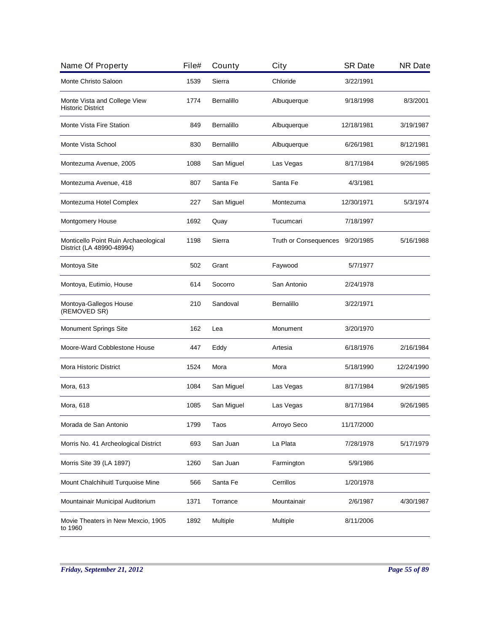| Name Of Property                                                  | File# | County     | City                         | <b>SR Date</b> | <b>NR Date</b> |
|-------------------------------------------------------------------|-------|------------|------------------------------|----------------|----------------|
| Monte Christo Saloon                                              | 1539  | Sierra     | Chloride                     | 3/22/1991      |                |
| Monte Vista and College View<br><b>Historic District</b>          | 1774  | Bernalillo | Albuquerque                  | 9/18/1998      | 8/3/2001       |
| Monte Vista Fire Station                                          | 849   | Bernalillo | Albuquerque                  | 12/18/1981     | 3/19/1987      |
| Monte Vista School                                                | 830   | Bernalillo | Albuquerque                  | 6/26/1981      | 8/12/1981      |
| Montezuma Avenue, 2005                                            | 1088  | San Miguel | Las Vegas                    | 8/17/1984      | 9/26/1985      |
| Montezuma Avenue, 418                                             | 807   | Santa Fe   | Santa Fe                     | 4/3/1981       |                |
| Montezuma Hotel Complex                                           | 227   | San Miguel | Montezuma                    | 12/30/1971     | 5/3/1974       |
| Montgomery House                                                  | 1692  | Quay       | Tucumcari                    | 7/18/1997      |                |
| Monticello Point Ruin Archaeological<br>District (LA 48990-48994) | 1198  | Sierra     | <b>Truth or Consequences</b> | 9/20/1985      | 5/16/1988      |
| Montoya Site                                                      | 502   | Grant      | Faywood                      | 5/7/1977       |                |
| Montoya, Eutimio, House                                           | 614   | Socorro    | San Antonio                  | 2/24/1978      |                |
| Montoya-Gallegos House<br>(REMOVED SR)                            | 210   | Sandoval   | <b>Bernalillo</b>            | 3/22/1971      |                |
| <b>Monument Springs Site</b>                                      | 162   | Lea        | Monument                     | 3/20/1970      |                |
| Moore-Ward Cobblestone House                                      | 447   | Eddy       | Artesia                      | 6/18/1976      | 2/16/1984      |
| <b>Mora Historic District</b>                                     | 1524  | Mora       | Mora                         | 5/18/1990      | 12/24/1990     |
| Mora, 613                                                         | 1084  | San Miguel | Las Vegas                    | 8/17/1984      | 9/26/1985      |
| Mora, 618                                                         | 1085  | San Miguel | Las Vegas                    | 8/17/1984      | 9/26/1985      |
| Morada de San Antonio                                             | 1799  | Taos       | Arroyo Seco                  | 11/17/2000     |                |
| Morris No. 41 Archeological District                              | 693   | San Juan   | La Plata                     | 7/28/1978      | 5/17/1979      |
| Morris Site 39 (LA 1897)                                          | 1260  | San Juan   | Farmington                   | 5/9/1986       |                |
| Mount Chalchihuitl Turquoise Mine                                 | 566   | Santa Fe   | Cerrillos                    | 1/20/1978      |                |
| Mountainair Municipal Auditorium                                  | 1371  | Torrance   | Mountainair                  | 2/6/1987       | 4/30/1987      |
| Movie Theaters in New Mexcio, 1905<br>to 1960                     | 1892  | Multiple   | Multiple                     | 8/11/2006      |                |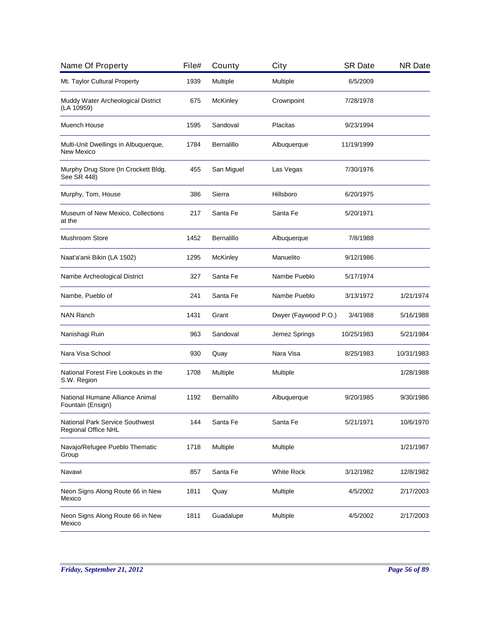| Name Of Property                                       | File# | County            | City                 | <b>SR Date</b> | <b>NR Date</b> |
|--------------------------------------------------------|-------|-------------------|----------------------|----------------|----------------|
| Mt. Taylor Cultural Property                           | 1939  | Multiple          | Multiple             | 6/5/2009       |                |
| Muddy Water Archeological District<br>(LA 10959)       | 675   | McKinley          | Crownpoint           | 7/28/1978      |                |
| Muench House                                           | 1595  | Sandoval          | Placitas             | 9/23/1994      |                |
| Multi-Unit Dwellings in Albuquerque,<br>New Mexico     | 1784  | <b>Bernalillo</b> | Albuquerque          | 11/19/1999     |                |
| Murphy Drug Store (In Crockett Bldg.<br>See SR 448)    | 455   | San Miguel        | Las Vegas            | 7/30/1976      |                |
| Murphy, Tom, House                                     | 386   | Sierra            | Hillsboro            | 6/20/1975      |                |
| Museum of New Mexico, Collections<br>at the            | 217   | Santa Fe          | Santa Fe             | 5/20/1971      |                |
| <b>Mushroom Store</b>                                  | 1452  | <b>Bernalillo</b> | Albuquerque          | 7/8/1988       |                |
| Naat'a'anii Bikin (LA 1502)                            | 1295  | McKinley          | Manuelito            | 9/12/1986      |                |
| Nambe Archeological District                           | 327   | Santa Fe          | Nambe Pueblo         | 5/17/1974      |                |
| Nambe, Pueblo of                                       | 241   | Santa Fe          | Nambe Pueblo         | 3/13/1972      | 1/21/1974      |
| <b>NAN Ranch</b>                                       | 1431  | Grant             | Dwyer (Faywood P.O.) | 3/4/1988       | 5/16/1988      |
| Nanishagi Ruin                                         | 963   | Sandoval          | Jemez Springs        | 10/25/1983     | 5/21/1984      |
| Nara Visa School                                       | 930   | Quay              | Nara Visa            | 8/25/1983      | 10/31/1983     |
| National Forest Fire Lookouts in the<br>S.W. Region    | 1708  | Multiple          | Multiple             |                | 1/28/1988      |
| National Humane Alliance Animal<br>Fountain (Ensign)   | 1192  | <b>Bernalillo</b> | Albuquerque          | 9/20/1985      | 9/30/1986      |
| National Park Service Southwest<br>Regional Office NHL | 144   | Santa Fe          | Santa Fe             | 5/21/1971      | 10/6/1970      |
| Navajo/Refugee Pueblo Thematic<br>Group                | 1718  | Multiple          | Multiple             |                | 1/21/1987      |
| Navawi                                                 | 857   | Santa Fe          | <b>White Rock</b>    | 3/12/1982      | 12/8/1982      |
| Neon Signs Along Route 66 in New<br>Mexico             | 1811  | Quay              | Multiple             | 4/5/2002       | 2/17/2003      |
| Neon Signs Along Route 66 in New<br>Mexico             | 1811  | Guadalupe         | Multiple             | 4/5/2002       | 2/17/2003      |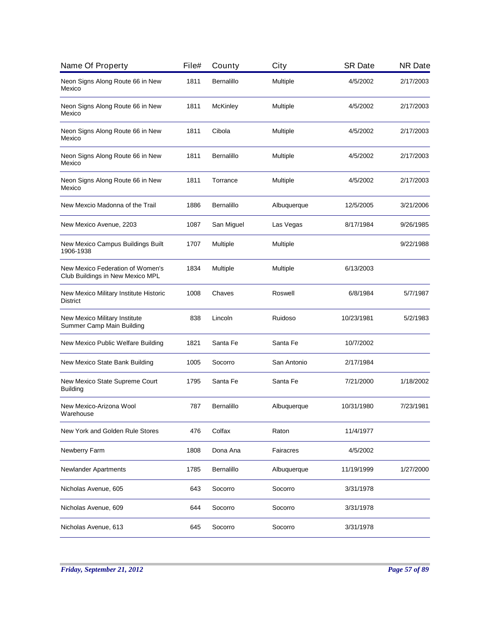| Name Of Property                                                     | File# | County          | City        | <b>SR Date</b> | <b>NR Date</b> |
|----------------------------------------------------------------------|-------|-----------------|-------------|----------------|----------------|
| Neon Signs Along Route 66 in New<br>Mexico                           | 1811  | Bernalillo      | Multiple    | 4/5/2002       | 2/17/2003      |
| Neon Signs Along Route 66 in New<br>Mexico                           | 1811  | <b>McKinley</b> | Multiple    | 4/5/2002       | 2/17/2003      |
| Neon Signs Along Route 66 in New<br>Mexico                           | 1811  | Cibola          | Multiple    | 4/5/2002       | 2/17/2003      |
| Neon Signs Along Route 66 in New<br>Mexico                           | 1811  | Bernalillo      | Multiple    | 4/5/2002       | 2/17/2003      |
| Neon Signs Along Route 66 in New<br>Mexico                           | 1811  | Torrance        | Multiple    | 4/5/2002       | 2/17/2003      |
| New Mexcio Madonna of the Trail                                      | 1886  | Bernalillo      | Albuquerque | 12/5/2005      | 3/21/2006      |
| New Mexico Avenue, 2203                                              | 1087  | San Miguel      | Las Vegas   | 8/17/1984      | 9/26/1985      |
| New Mexico Campus Buildings Built<br>1906-1938                       | 1707  | Multiple        | Multiple    |                | 9/22/1988      |
| New Mexico Federation of Women's<br>Club Buildings in New Mexico MPL | 1834  | Multiple        | Multiple    | 6/13/2003      |                |
| New Mexico Military Institute Historic<br>District                   | 1008  | Chaves          | Roswell     | 6/8/1984       | 5/7/1987       |
| New Mexico Military Institute<br>Summer Camp Main Building           | 838   | Lincoln         | Ruidoso     | 10/23/1981     | 5/2/1983       |
| New Mexico Public Welfare Building                                   | 1821  | Santa Fe        | Santa Fe    | 10/7/2002      |                |
| New Mexico State Bank Building                                       | 1005  | Socorro         | San Antonio | 2/17/1984      |                |
| New Mexico State Supreme Court<br><b>Building</b>                    | 1795  | Santa Fe        | Santa Fe    | 7/21/2000      | 1/18/2002      |
| New Mexico-Arizona Wool<br>Warehouse                                 | 787   | Bernalillo      | Albuquerque | 10/31/1980     | 7/23/1981      |
| New York and Golden Rule Stores                                      | 476   | Colfax          | Raton       | 11/4/1977      |                |
| Newberry Farm                                                        | 1808  | Dona Ana        | Fairacres   | 4/5/2002       |                |
| <b>Newlander Apartments</b>                                          | 1785  | Bernalillo      | Albuquerque | 11/19/1999     | 1/27/2000      |
| Nicholas Avenue, 605                                                 | 643   | Socorro         | Socorro     | 3/31/1978      |                |
| Nicholas Avenue, 609                                                 | 644   | Socorro         | Socorro     | 3/31/1978      |                |
| Nicholas Avenue, 613                                                 | 645   | Socorro         | Socorro     | 3/31/1978      |                |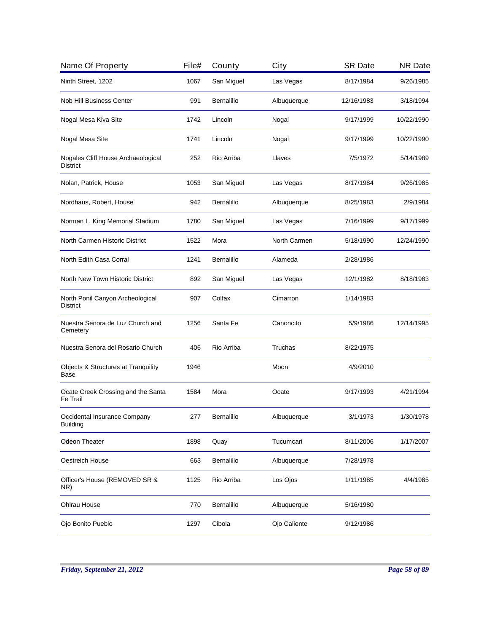| Name Of Property                                      | File# | County     | City         | <b>SR Date</b> | <b>NR Date</b> |
|-------------------------------------------------------|-------|------------|--------------|----------------|----------------|
| Ninth Street, 1202                                    | 1067  | San Miguel | Las Vegas    | 8/17/1984      | 9/26/1985      |
| Nob Hill Business Center                              | 991   | Bernalillo | Albuquerque  | 12/16/1983     | 3/18/1994      |
| Nogal Mesa Kiva Site                                  | 1742  | Lincoln    | Nogal        | 9/17/1999      | 10/22/1990     |
| Nogal Mesa Site                                       | 1741  | Lincoln    | Nogal        | 9/17/1999      | 10/22/1990     |
| Nogales Cliff House Archaeological<br><b>District</b> | 252   | Rio Arriba | Llaves       | 7/5/1972       | 5/14/1989      |
| Nolan, Patrick, House                                 | 1053  | San Miguel | Las Vegas    | 8/17/1984      | 9/26/1985      |
| Nordhaus, Robert, House                               | 942   | Bernalillo | Albuquerque  | 8/25/1983      | 2/9/1984       |
| Norman L. King Memorial Stadium                       | 1780  | San Miguel | Las Vegas    | 7/16/1999      | 9/17/1999      |
| North Carmen Historic District                        | 1522  | Mora       | North Carmen | 5/18/1990      | 12/24/1990     |
| North Edith Casa Corral                               | 1241  | Bernalillo | Alameda      | 2/28/1986      |                |
| North New Town Historic District                      | 892   | San Miguel | Las Vegas    | 12/1/1982      | 8/18/1983      |
| North Ponil Canyon Archeological<br><b>District</b>   | 907   | Colfax     | Cimarron     | 1/14/1983      |                |
| Nuestra Senora de Luz Church and<br>Cemetery          | 1256  | Santa Fe   | Canoncito    | 5/9/1986       | 12/14/1995     |
| Nuestra Senora del Rosario Church                     | 406   | Rio Arriba | Truchas      | 8/22/1975      |                |
| Objects & Structures at Tranquility<br>Base           | 1946  |            | Moon         | 4/9/2010       |                |
| Ocate Creek Crossing and the Santa<br>Fe Trail        | 1584  | Mora       | Ocate        | 9/17/1993      | 4/21/1994      |
| Occidental Insurance Company<br><b>Building</b>       | 277   | Bernalillo | Albuquerque  | 3/1/1973       | 1/30/1978      |
| <b>Odeon Theater</b>                                  | 1898  | Quay       | Tucumcari    | 8/11/2006      | 1/17/2007      |
| Oestreich House                                       | 663   | Bernalillo | Albuquerque  | 7/28/1978      |                |
| Officer's House (REMOVED SR &<br>NR)                  | 1125  | Rio Arriba | Los Ojos     | 1/11/1985      | 4/4/1985       |
| Ohlrau House                                          | 770   | Bernalillo | Albuquerque  | 5/16/1980      |                |
| Ojo Bonito Pueblo                                     | 1297  | Cibola     | Ojo Caliente | 9/12/1986      |                |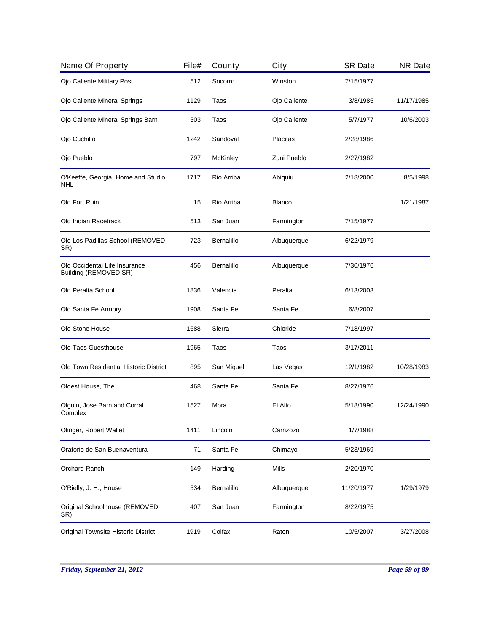| Name Of Property                                       | File# | County          | City          | <b>SR Date</b> | <b>NR Date</b> |
|--------------------------------------------------------|-------|-----------------|---------------|----------------|----------------|
| Ojo Caliente Military Post                             | 512   | Socorro         | Winston       | 7/15/1977      |                |
| Ojo Caliente Mineral Springs                           | 1129  | Taos            | Ojo Caliente  | 3/8/1985       | 11/17/1985     |
| Ojo Caliente Mineral Springs Barn                      | 503   | Taos            | Ojo Caliente  | 5/7/1977       | 10/6/2003      |
| Ojo Cuchillo                                           | 1242  | Sandoval        | Placitas      | 2/28/1986      |                |
| Ojo Pueblo                                             | 797   | <b>McKinley</b> | Zuni Pueblo   | 2/27/1982      |                |
| O'Keeffe, Georgia, Home and Studio<br>NHL              | 1717  | Rio Arriba      | Abiquiu       | 2/18/2000      | 8/5/1998       |
| Old Fort Ruin                                          | 15    | Rio Arriba      | <b>Blanco</b> |                | 1/21/1987      |
| Old Indian Racetrack                                   | 513   | San Juan        | Farmington    | 7/15/1977      |                |
| Old Los Padillas School (REMOVED<br>SR)                | 723   | Bernalillo      | Albuquerque   | 6/22/1979      |                |
| Old Occidental Life Insurance<br>Building (REMOVED SR) | 456   | Bernalillo      | Albuquerque   | 7/30/1976      |                |
| Old Peralta School                                     | 1836  | Valencia        | Peralta       | 6/13/2003      |                |
| Old Santa Fe Armory                                    | 1908  | Santa Fe        | Santa Fe      | 6/8/2007       |                |
| Old Stone House                                        | 1688  | Sierra          | Chloride      | 7/18/1997      |                |
| Old Taos Guesthouse                                    | 1965  | Taos            | Taos          | 3/17/2011      |                |
| Old Town Residential Historic District                 | 895   | San Miguel      | Las Vegas     | 12/1/1982      | 10/28/1983     |
| Oldest House, The                                      | 468   | Santa Fe        | Santa Fe      | 8/27/1976      |                |
| Olguin, Jose Barn and Corral<br>Complex                | 1527  | Mora            | El Alto       | 5/18/1990      | 12/24/1990     |
| Olinger, Robert Wallet                                 | 1411  | Lincoln         | Carrizozo     | 1/7/1988       |                |
| Oratorio de San Buenaventura                           | 71    | Santa Fe        | Chimayo       | 5/23/1969      |                |
| Orchard Ranch                                          | 149   | Harding         | Mills         | 2/20/1970      |                |
| O'Rielly, J. H., House                                 | 534   | Bernalillo      | Albuquerque   | 11/20/1977     | 1/29/1979      |
| Original Schoolhouse (REMOVED<br>SR)                   | 407   | San Juan        | Farmington    | 8/22/1975      |                |
| Original Townsite Historic District                    | 1919  | Colfax          | Raton         | 10/5/2007      | 3/27/2008      |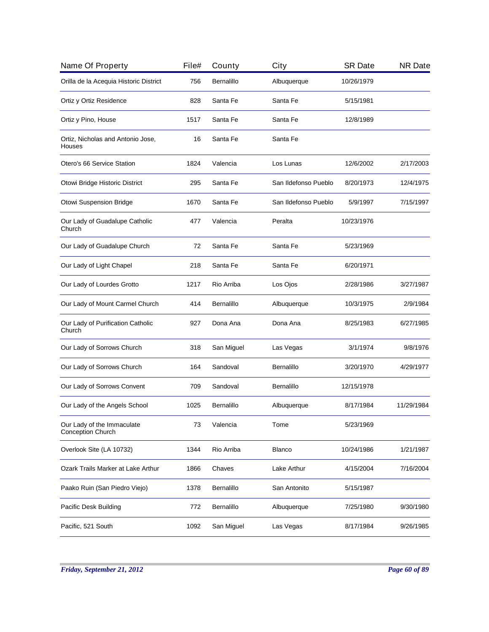| Name Of Property                                | File# | County     | City                 | <b>SR Date</b> | <b>NR Date</b> |
|-------------------------------------------------|-------|------------|----------------------|----------------|----------------|
| Orilla de la Acequia Historic District          | 756   | Bernalillo | Albuquerque          | 10/26/1979     |                |
| Ortiz y Ortiz Residence                         | 828   | Santa Fe   | Santa Fe             | 5/15/1981      |                |
| Ortiz y Pino, House                             | 1517  | Santa Fe   | Santa Fe             | 12/8/1989      |                |
| Ortiz, Nicholas and Antonio Jose,<br>Houses     | 16    | Santa Fe   | Santa Fe             |                |                |
| Otero's 66 Service Station                      | 1824  | Valencia   | Los Lunas            | 12/6/2002      | 2/17/2003      |
| Otowi Bridge Historic District                  | 295   | Santa Fe   | San Ildefonso Pueblo | 8/20/1973      | 12/4/1975      |
| Otowi Suspension Bridge                         | 1670  | Santa Fe   | San Ildefonso Pueblo | 5/9/1997       | 7/15/1997      |
| Our Lady of Guadalupe Catholic<br>Church        | 477   | Valencia   | Peralta              | 10/23/1976     |                |
| Our Lady of Guadalupe Church                    | 72    | Santa Fe   | Santa Fe             | 5/23/1969      |                |
| Our Lady of Light Chapel                        | 218   | Santa Fe   | Santa Fe             | 6/20/1971      |                |
| Our Lady of Lourdes Grotto                      | 1217  | Rio Arriba | Los Ojos             | 2/28/1986      | 3/27/1987      |
| Our Lady of Mount Carmel Church                 | 414   | Bernalillo | Albuquerque          | 10/3/1975      | 2/9/1984       |
| Our Lady of Purification Catholic<br>Church     | 927   | Dona Ana   | Dona Ana             | 8/25/1983      | 6/27/1985      |
| Our Lady of Sorrows Church                      | 318   | San Miguel | Las Vegas            | 3/1/1974       | 9/8/1976       |
| Our Lady of Sorrows Church                      | 164   | Sandoval   | Bernalillo           | 3/20/1970      | 4/29/1977      |
| Our Lady of Sorrows Convent                     | 709   | Sandoval   | <b>Bernalillo</b>    | 12/15/1978     |                |
| Our Lady of the Angels School                   | 1025  | Bernalillo | Albuquerque          | 8/17/1984      | 11/29/1984     |
| Our Lady of the Immaculate<br>Conception Church | 73    | Valencia   | Tome                 | 5/23/1969      |                |
| Overlook Site (LA 10732)                        | 1344  | Rio Arriba | <b>Blanco</b>        | 10/24/1986     | 1/21/1987      |
| Ozark Trails Marker at Lake Arthur              | 1866  | Chaves     | Lake Arthur          | 4/15/2004      | 7/16/2004      |
| Paako Ruin (San Piedro Viejo)                   | 1378  | Bernalillo | San Antonito         | 5/15/1987      |                |
| Pacific Desk Building                           | 772   | Bernalillo | Albuquerque          | 7/25/1980      | 9/30/1980      |
| Pacific, 521 South                              | 1092  | San Miguel | Las Vegas            | 8/17/1984      | 9/26/1985      |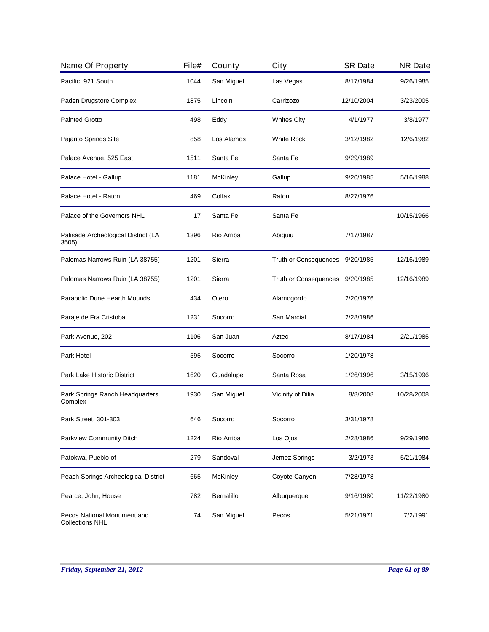| Name Of Property                                      | File# | County          | City                            | <b>SR Date</b> | <b>NR Date</b> |
|-------------------------------------------------------|-------|-----------------|---------------------------------|----------------|----------------|
| Pacific, 921 South                                    | 1044  | San Miguel      | Las Vegas                       | 8/17/1984      | 9/26/1985      |
| Paden Drugstore Complex                               | 1875  | Lincoln         | Carrizozo                       | 12/10/2004     | 3/23/2005      |
| <b>Painted Grotto</b>                                 | 498   | Eddy            | <b>Whites City</b>              | 4/1/1977       | 3/8/1977       |
| Pajarito Springs Site                                 | 858   | Los Alamos      | White Rock                      | 3/12/1982      | 12/6/1982      |
| Palace Avenue, 525 East                               | 1511  | Santa Fe        | Santa Fe                        | 9/29/1989      |                |
| Palace Hotel - Gallup                                 | 1181  | <b>McKinley</b> | Gallup                          | 9/20/1985      | 5/16/1988      |
| Palace Hotel - Raton                                  | 469   | Colfax          | Raton                           | 8/27/1976      |                |
| Palace of the Governors NHL                           | 17    | Santa Fe        | Santa Fe                        |                | 10/15/1966     |
| Palisade Archeological District (LA<br>3505)          | 1396  | Rio Arriba      | Abiquiu                         | 7/17/1987      |                |
| Palomas Narrows Ruin (LA 38755)                       | 1201  | Sierra          | Truth or Consequences 9/20/1985 |                | 12/16/1989     |
| Palomas Narrows Ruin (LA 38755)                       | 1201  | Sierra          | Truth or Consequences           | 9/20/1985      | 12/16/1989     |
| Parabolic Dune Hearth Mounds                          | 434   | Otero           | Alamogordo                      | 2/20/1976      |                |
| Paraje de Fra Cristobal                               | 1231  | Socorro         | San Marcial                     | 2/28/1986      |                |
| Park Avenue, 202                                      | 1106  | San Juan        | Aztec                           | 8/17/1984      | 2/21/1985      |
| Park Hotel                                            | 595   | Socorro         | Socorro                         | 1/20/1978      |                |
| Park Lake Historic District                           | 1620  | Guadalupe       | Santa Rosa                      | 1/26/1996      | 3/15/1996      |
| Park Springs Ranch Headquarters<br>Complex            | 1930  | San Miguel      | Vicinity of Dilia               | 8/8/2008       | 10/28/2008     |
| Park Street, 301-303                                  | 646   | Socorro         | Socorro                         | 3/31/1978      |                |
| Parkview Community Ditch                              | 1224  | Rio Arriba      | Los Ojos                        | 2/28/1986      | 9/29/1986      |
| Patokwa, Pueblo of                                    | 279   | Sandoval        | Jemez Springs                   | 3/2/1973       | 5/21/1984      |
| Peach Springs Archeological District                  | 665   | McKinley        | Coyote Canyon                   | 7/28/1978      |                |
| Pearce, John, House                                   | 782   | Bernalillo      | Albuquerque                     | 9/16/1980      | 11/22/1980     |
| Pecos National Monument and<br><b>Collections NHL</b> | 74    | San Miguel      | Pecos                           | 5/21/1971      | 7/2/1991       |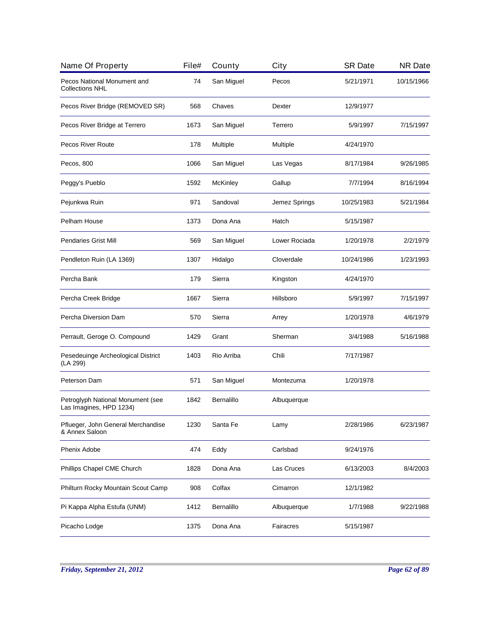| Name Of Property                                             | File# | County     | City          | <b>SR Date</b> | <b>NR Date</b> |
|--------------------------------------------------------------|-------|------------|---------------|----------------|----------------|
| Pecos National Monument and<br><b>Collections NHL</b>        | 74    | San Miguel | Pecos         | 5/21/1971      | 10/15/1966     |
| Pecos River Bridge (REMOVED SR)                              | 568   | Chaves     | Dexter        | 12/9/1977      |                |
| Pecos River Bridge at Terrero                                | 1673  | San Miguel | Terrero       | 5/9/1997       | 7/15/1997      |
| <b>Pecos River Route</b>                                     | 178   | Multiple   | Multiple      | 4/24/1970      |                |
| Pecos, 800                                                   | 1066  | San Miguel | Las Vegas     | 8/17/1984      | 9/26/1985      |
| Peggy's Pueblo                                               | 1592  | McKinley   | Gallup        | 7/7/1994       | 8/16/1994      |
| Pejunkwa Ruin                                                | 971   | Sandoval   | Jemez Springs | 10/25/1983     | 5/21/1984      |
| Pelham House                                                 | 1373  | Dona Ana   | Hatch         | 5/15/1987      |                |
| <b>Pendaries Grist Mill</b>                                  | 569   | San Miguel | Lower Rociada | 1/20/1978      | 2/2/1979       |
| Pendleton Ruin (LA 1369)                                     | 1307  | Hidalgo    | Cloverdale    | 10/24/1986     | 1/23/1993      |
| Percha Bank                                                  | 179   | Sierra     | Kingston      | 4/24/1970      |                |
| Percha Creek Bridge                                          | 1667  | Sierra     | Hillsboro     | 5/9/1997       | 7/15/1997      |
| Percha Diversion Dam                                         | 570   | Sierra     | Arrey         | 1/20/1978      | 4/6/1979       |
| Perrault, Geroge O. Compound                                 | 1429  | Grant      | Sherman       | 3/4/1988       | 5/16/1988      |
| Pesedeuinge Archeological District<br>(LA 299)               | 1403  | Rio Arriba | Chili         | 7/17/1987      |                |
| Peterson Dam                                                 | 571   | San Miguel | Montezuma     | 1/20/1978      |                |
| Petroglyph National Monument (see<br>Las Imagines, HPD 1234) | 1842  | Bernalillo | Albuquerque   |                |                |
| Pflueger, John General Merchandise<br>& Annex Saloon         | 1230  | Santa Fe   | Lamy          | 2/28/1986      | 6/23/1987      |
| Phenix Adobe                                                 | 474   | Eddy       | Carlsbad      | 9/24/1976      |                |
| Phillips Chapel CME Church                                   | 1828  | Dona Ana   | Las Cruces    | 6/13/2003      | 8/4/2003       |
| Philturn Rocky Mountain Scout Camp                           | 908   | Colfax     | Cimarron      | 12/1/1982      |                |
| Pi Kappa Alpha Estufa (UNM)                                  | 1412  | Bernalillo | Albuquerque   | 1/7/1988       | 9/22/1988      |
| Picacho Lodge                                                | 1375  | Dona Ana   | Fairacres     | 5/15/1987      |                |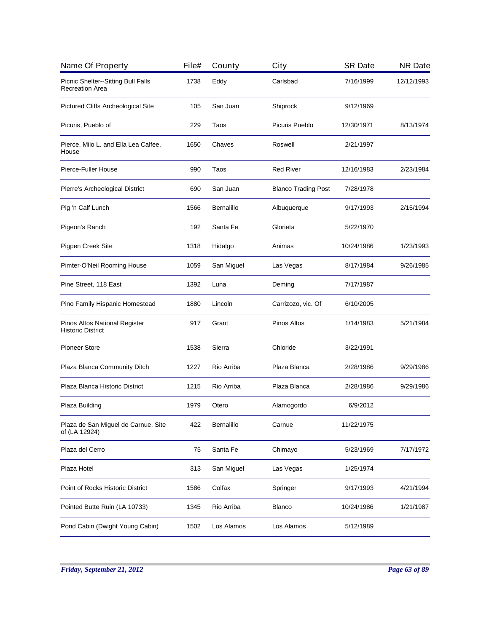| Name Of Property                                          | File# | County     | City                       | <b>SR Date</b> | <b>NR Date</b> |
|-----------------------------------------------------------|-------|------------|----------------------------|----------------|----------------|
| Picnic Shelter--Sitting Bull Falls<br>Recreation Area     | 1738  | Eddy       | Carlsbad                   | 7/16/1999      | 12/12/1993     |
| <b>Pictured Cliffs Archeological Site</b>                 | 105   | San Juan   | Shiprock                   | 9/12/1969      |                |
| Picuris, Pueblo of                                        | 229   | Taos       | Picuris Pueblo             | 12/30/1971     | 8/13/1974      |
| Pierce, Milo L. and Ella Lea Calfee,<br>House             | 1650  | Chaves     | Roswell                    | 2/21/1997      |                |
| Pierce-Fuller House                                       | 990   | Taos       | <b>Red River</b>           | 12/16/1983     | 2/23/1984      |
| Pierre's Archeological District                           | 690   | San Juan   | <b>Blanco Trading Post</b> | 7/28/1978      |                |
| Pig 'n Calf Lunch                                         | 1566  | Bernalillo | Albuquerque                | 9/17/1993      | 2/15/1994      |
| Pigeon's Ranch                                            | 192   | Santa Fe   | Glorieta                   | 5/22/1970      |                |
| Pigpen Creek Site                                         | 1318  | Hidalgo    | Animas                     | 10/24/1986     | 1/23/1993      |
| Pimter-O'Neil Rooming House                               | 1059  | San Miguel | Las Vegas                  | 8/17/1984      | 9/26/1985      |
| Pine Street, 118 East                                     | 1392  | Luna       | Deming                     | 7/17/1987      |                |
| Pino Family Hispanic Homestead                            | 1880  | Lincoln    | Carrizozo, vic. Of         | 6/10/2005      |                |
| Pinos Altos National Register<br><b>Historic District</b> | 917   | Grant      | <b>Pinos Altos</b>         | 1/14/1983      | 5/21/1984      |
| <b>Pioneer Store</b>                                      | 1538  | Sierra     | Chloride                   | 3/22/1991      |                |
| Plaza Blanca Community Ditch                              | 1227  | Rio Arriba | Plaza Blanca               | 2/28/1986      | 9/29/1986      |
| Plaza Blanca Historic District                            | 1215  | Rio Arriba | Plaza Blanca               | 2/28/1986      | 9/29/1986      |
| Plaza Building                                            | 1979  | Otero      | Alamogordo                 | 6/9/2012       |                |
| Plaza de San Miguel de Carnue, Site<br>of (LA 12924)      | 422   | Bernalillo | Carnue                     | 11/22/1975     |                |
| Plaza del Cerro                                           | 75    | Santa Fe   | Chimayo                    | 5/23/1969      | 7/17/1972      |
| Plaza Hotel                                               | 313   | San Miguel | Las Vegas                  | 1/25/1974      |                |
| Point of Rocks Historic District                          | 1586  | Colfax     | Springer                   | 9/17/1993      | 4/21/1994      |
| Pointed Butte Ruin (LA 10733)                             | 1345  | Rio Arriba | Blanco                     | 10/24/1986     | 1/21/1987      |
| Pond Cabin (Dwight Young Cabin)                           | 1502  | Los Alamos | Los Alamos                 | 5/12/1989      |                |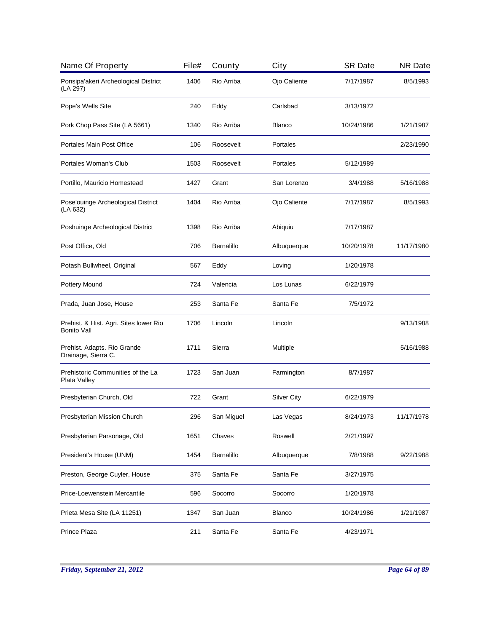| Name Of Property                                             | File# | County     | City               | <b>SR Date</b> | <b>NR Date</b> |
|--------------------------------------------------------------|-------|------------|--------------------|----------------|----------------|
| Ponsipa'akeri Archeological District<br>(LA 297)             | 1406  | Rio Arriba | Ojo Caliente       | 7/17/1987      | 8/5/1993       |
| Pope's Wells Site                                            | 240   | Eddy       | Carlsbad           | 3/13/1972      |                |
| Pork Chop Pass Site (LA 5661)                                | 1340  | Rio Arriba | <b>Blanco</b>      | 10/24/1986     | 1/21/1987      |
| Portales Main Post Office                                    | 106   | Roosevelt  | Portales           |                | 2/23/1990      |
| Portales Woman's Club                                        | 1503  | Roosevelt  | Portales           | 5/12/1989      |                |
| Portillo, Mauricio Homestead                                 | 1427  | Grant      | San Lorenzo        | 3/4/1988       | 5/16/1988      |
| Pose'ouinge Archeological District<br>(LA 632)               | 1404  | Rio Arriba | Ojo Caliente       | 7/17/1987      | 8/5/1993       |
| Poshuinge Archeological District                             | 1398  | Rio Arriba | Abiquiu            | 7/17/1987      |                |
| Post Office, Old                                             | 706   | Bernalillo | Albuquerque        | 10/20/1978     | 11/17/1980     |
| Potash Bullwheel, Original                                   | 567   | Eddy       | Loving             | 1/20/1978      |                |
| Pottery Mound                                                | 724   | Valencia   | Los Lunas          | 6/22/1979      |                |
| Prada, Juan Jose, House                                      | 253   | Santa Fe   | Santa Fe           | 7/5/1972       |                |
| Prehist. & Hist. Agri. Sites lower Rio<br><b>Bonito Vall</b> | 1706  | Lincoln    | Lincoln            |                | 9/13/1988      |
| Prehist. Adapts. Rio Grande<br>Drainage, Sierra C.           | 1711  | Sierra     | Multiple           |                | 5/16/1988      |
| Prehistoric Communities of the La<br>Plata Valley            | 1723  | San Juan   | Farmington         | 8/7/1987       |                |
| Presbyterian Church, Old                                     | 722   | Grant      | <b>Silver City</b> | 6/22/1979      |                |
| Presbyterian Mission Church                                  | 296   | San Miguel | Las Vegas          | 8/24/1973      | 11/17/1978     |
| Presbyterian Parsonage, Old                                  | 1651  | Chaves     | Roswell            | 2/21/1997      |                |
| President's House (UNM)                                      | 1454  | Bernalillo | Albuquerque        | 7/8/1988       | 9/22/1988      |
| Preston, George Cuyler, House                                | 375   | Santa Fe   | Santa Fe           | 3/27/1975      |                |
| Price-Loewenstein Mercantile                                 | 596   | Socorro    | Socorro            | 1/20/1978      |                |
| Prieta Mesa Site (LA 11251)                                  | 1347  | San Juan   | Blanco             | 10/24/1986     | 1/21/1987      |
| Prince Plaza                                                 | 211   | Santa Fe   | Santa Fe           | 4/23/1971      |                |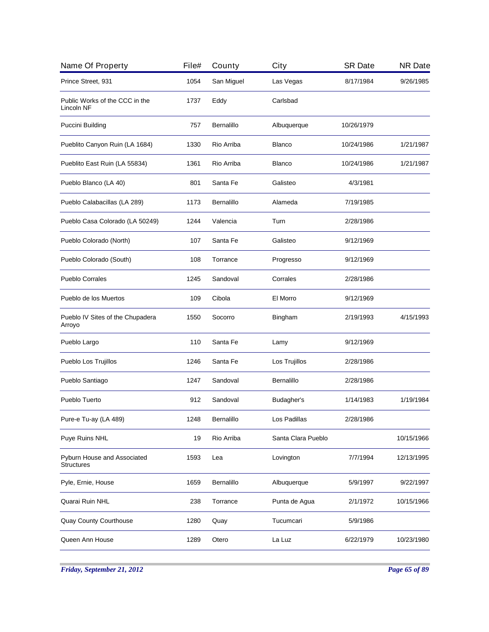| Name Of Property                                 | File# | County            | City               | <b>SR Date</b> | <b>NR Date</b> |
|--------------------------------------------------|-------|-------------------|--------------------|----------------|----------------|
| Prince Street, 931                               | 1054  | San Miguel        | Las Vegas          | 8/17/1984      | 9/26/1985      |
| Public Works of the CCC in the<br>Lincoln NF     | 1737  | Eddy              | Carlsbad           |                |                |
| Puccini Building                                 | 757   | Bernalillo        | Albuquerque        | 10/26/1979     |                |
| Pueblito Canyon Ruin (LA 1684)                   | 1330  | Rio Arriba        | <b>Blanco</b>      | 10/24/1986     | 1/21/1987      |
| Pueblito East Ruin (LA 55834)                    | 1361  | Rio Arriba        | <b>Blanco</b>      | 10/24/1986     | 1/21/1987      |
| Pueblo Blanco (LA 40)                            | 801   | Santa Fe          | Galisteo           | 4/3/1981       |                |
| Pueblo Calabacillas (LA 289)                     | 1173  | Bernalillo        | Alameda            | 7/19/1985      |                |
| Pueblo Casa Colorado (LA 50249)                  | 1244  | Valencia          | Turn               | 2/28/1986      |                |
| Pueblo Colorado (North)                          | 107   | Santa Fe          | Galisteo           | 9/12/1969      |                |
| Pueblo Colorado (South)                          | 108   | Torrance          | Progresso          | 9/12/1969      |                |
| <b>Pueblo Corrales</b>                           | 1245  | Sandoval          | Corrales           | 2/28/1986      |                |
| Pueblo de los Muertos                            | 109   | Cibola            | El Morro           | 9/12/1969      |                |
| Pueblo IV Sites of the Chupadera<br>Arroyo       | 1550  | Socorro           | Bingham            | 2/19/1993      | 4/15/1993      |
| Pueblo Largo                                     | 110   | Santa Fe          | Lamy               | 9/12/1969      |                |
| Pueblo Los Trujillos                             | 1246  | Santa Fe          | Los Trujillos      | 2/28/1986      |                |
| Pueblo Santiago                                  | 1247  | Sandoval          | <b>Bernalillo</b>  | 2/28/1986      |                |
| Pueblo Tuerto                                    | 912   | Sandoval          | Budagher's         | 1/14/1983      | 1/19/1984      |
| Pure-e Tu-ay (LA 489)                            | 1248  | <b>Bernalillo</b> | Los Padillas       | 2/28/1986      |                |
| Puye Ruins NHL                                   | 19    | Rio Arriba        | Santa Clara Pueblo |                | 10/15/1966     |
| Pyburn House and Associated<br><b>Structures</b> | 1593  | Lea               | Lovington          | 7/7/1994       | 12/13/1995     |
| Pyle, Ernie, House                               | 1659  | Bernalillo        | Albuquerque        | 5/9/1997       | 9/22/1997      |
| Quarai Ruin NHL                                  | 238   | Torrance          | Punta de Agua      | 2/1/1972       | 10/15/1966     |
| <b>Quay County Courthouse</b>                    | 1280  | Quay              | Tucumcari          | 5/9/1986       |                |
| Queen Ann House                                  | 1289  | Otero             | La Luz             | 6/22/1979      | 10/23/1980     |
|                                                  |       |                   |                    |                |                |

*Friday, September 21, 2012 Page 65 of 89*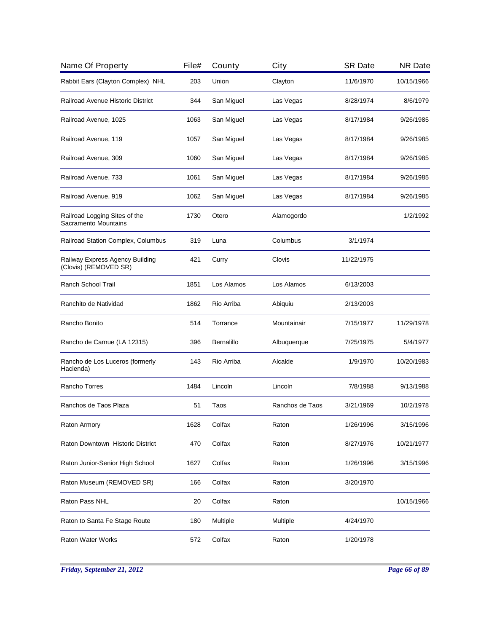| Name Of Property                                         | File# | County            | City            | <b>SR Date</b> | <b>NR Date</b> |
|----------------------------------------------------------|-------|-------------------|-----------------|----------------|----------------|
| Rabbit Ears (Clayton Complex) NHL                        | 203   | Union             | Clayton         | 11/6/1970      | 10/15/1966     |
| Railroad Avenue Historic District                        | 344   | San Miguel        | Las Vegas       | 8/28/1974      | 8/6/1979       |
| Railroad Avenue, 1025                                    | 1063  | San Miguel        | Las Vegas       | 8/17/1984      | 9/26/1985      |
| Railroad Avenue, 119                                     | 1057  | San Miguel        | Las Vegas       | 8/17/1984      | 9/26/1985      |
| Railroad Avenue, 309                                     | 1060  | San Miguel        | Las Vegas       | 8/17/1984      | 9/26/1985      |
| Railroad Avenue, 733                                     | 1061  | San Miguel        | Las Vegas       | 8/17/1984      | 9/26/1985      |
| Railroad Avenue, 919                                     | 1062  | San Miguel        | Las Vegas       | 8/17/1984      | 9/26/1985      |
| Railroad Logging Sites of the<br>Sacramento Mountains    | 1730  | Otero             | Alamogordo      |                | 1/2/1992       |
| Railroad Station Complex, Columbus                       | 319   | Luna              | Columbus        | 3/1/1974       |                |
| Railway Express Agency Building<br>(Clovis) (REMOVED SR) | 421   | Curry             | Clovis          | 11/22/1975     |                |
| Ranch School Trail                                       | 1851  | Los Alamos        | Los Alamos      | 6/13/2003      |                |
| Ranchito de Natividad                                    | 1862  | Rio Arriba        | Abiquiu         | 2/13/2003      |                |
| Rancho Bonito                                            | 514   | Torrance          | Mountainair     | 7/15/1977      | 11/29/1978     |
| Rancho de Carnue (LA 12315)                              | 396   | <b>Bernalillo</b> | Albuquerque     | 7/25/1975      | 5/4/1977       |
| Rancho de Los Luceros (formerly<br>Hacienda)             | 143   | Rio Arriba        | Alcalde         | 1/9/1970       | 10/20/1983     |
| Rancho Torres                                            | 1484  | Lincoln           | Lincoln         | 7/8/1988       | 9/13/1988      |
| Ranchos de Taos Plaza                                    | 51    | Taos              | Ranchos de Taos | 3/21/1969      | 10/2/1978      |
| Raton Armory                                             | 1628  | Colfax            | Raton           | 1/26/1996      | 3/15/1996      |
| Raton Downtown Historic District                         | 470   | Colfax            | Raton           | 8/27/1976      | 10/21/1977     |
| Raton Junior-Senior High School                          | 1627  | Colfax            | Raton           | 1/26/1996      | 3/15/1996      |
| Raton Museum (REMOVED SR)                                | 166   | Colfax            | Raton           | 3/20/1970      |                |
| Raton Pass NHL                                           | 20    | Colfax            | Raton           |                | 10/15/1966     |
| Raton to Santa Fe Stage Route                            | 180   | Multiple          | Multiple        | 4/24/1970      |                |
| <b>Raton Water Works</b>                                 | 572   | Colfax            | Raton           | 1/20/1978      |                |
|                                                          |       |                   |                 |                |                |

*Friday, September 21, 2012 Page 66 of 89*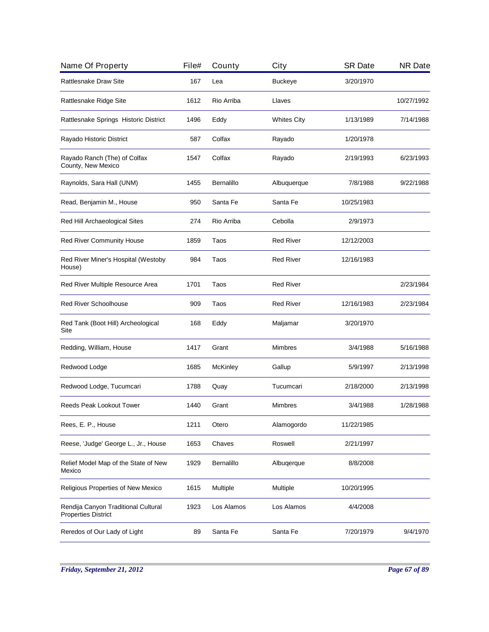| Name Of Property                                                  | File# | County          | City               | <b>SR Date</b> | <b>NR Date</b> |
|-------------------------------------------------------------------|-------|-----------------|--------------------|----------------|----------------|
| <b>Rattlesnake Draw Site</b>                                      | 167   | Lea             | <b>Buckeye</b>     | 3/20/1970      |                |
| Rattlesnake Ridge Site                                            | 1612  | Rio Arriba      | Llaves             |                | 10/27/1992     |
| Rattlesnake Springs Historic District                             | 1496  | Eddy            | <b>Whites City</b> | 1/13/1989      | 7/14/1988      |
| Rayado Historic District                                          | 587   | Colfax          | Rayado             | 1/20/1978      |                |
| Rayado Ranch (The) of Colfax<br>County, New Mexico                | 1547  | Colfax          | Rayado             | 2/19/1993      | 6/23/1993      |
| Raynolds, Sara Hall (UNM)                                         | 1455  | Bernalillo      | Albuquerque        | 7/8/1988       | 9/22/1988      |
| Read, Benjamin M., House                                          | 950   | Santa Fe        | Santa Fe           | 10/25/1983     |                |
| Red Hill Archaeological Sites                                     | 274   | Rio Arriba      | Cebolla            | 2/9/1973       |                |
| Red River Community House                                         | 1859  | Taos            | <b>Red River</b>   | 12/12/2003     |                |
| Red River Miner's Hospital (Westoby<br>House)                     | 984   | Taos            | <b>Red River</b>   | 12/16/1983     |                |
| Red River Multiple Resource Area                                  | 1701  | Taos            | <b>Red River</b>   |                | 2/23/1984      |
| <b>Red River Schoolhouse</b>                                      | 909   | Taos            | <b>Red River</b>   | 12/16/1983     | 2/23/1984      |
| Red Tank (Boot Hill) Archeological<br>Site                        | 168   | Eddy            | Maljamar           | 3/20/1970      |                |
| Redding, William, House                                           | 1417  | Grant           | <b>Mimbres</b>     | 3/4/1988       | 5/16/1988      |
| Redwood Lodge                                                     | 1685  | <b>McKinley</b> | Gallup             | 5/9/1997       | 2/13/1998      |
| Redwood Lodge, Tucumcari                                          | 1788  | Quay            | Tucumcari          | 2/18/2000      | 2/13/1998      |
| Reeds Peak Lookout Tower                                          | 1440  | Grant           | <b>Mimbres</b>     | 3/4/1988       | 1/28/1988      |
| Rees, E. P., House                                                | 1211  | Otero           | Alamogordo         | 11/22/1985     |                |
| Reese, 'Judge' George L., Jr., House                              | 1653  | Chaves          | Roswell            | 2/21/1997      |                |
| Relief Model Map of the State of New<br>Mexico                    | 1929  | Bernalillo      | Albugerque         | 8/8/2008       |                |
| Religious Properties of New Mexico                                | 1615  | Multiple        | Multiple           | 10/20/1995     |                |
| Rendija Canyon Traditional Cultural<br><b>Properties District</b> | 1923  | Los Alamos      | Los Alamos         | 4/4/2008       |                |
| Reredos of Our Lady of Light                                      | 89    | Santa Fe        | Santa Fe           | 7/20/1979      | 9/4/1970       |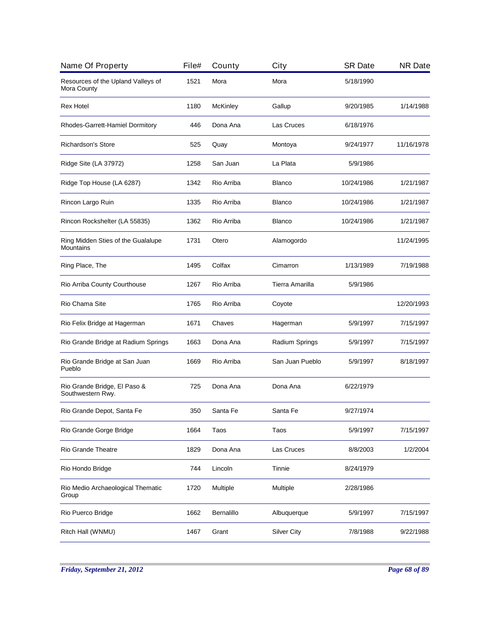| Name Of Property                                  | File# | County          | City               | <b>SR Date</b> | <b>NR Date</b> |
|---------------------------------------------------|-------|-----------------|--------------------|----------------|----------------|
| Resources of the Upland Valleys of<br>Mora County | 1521  | Mora            | Mora               | 5/18/1990      |                |
| Rex Hotel                                         | 1180  | <b>McKinley</b> | Gallup             | 9/20/1985      | 1/14/1988      |
| Rhodes-Garrett-Hamiel Dormitory                   | 446   | Dona Ana        | Las Cruces         | 6/18/1976      |                |
| <b>Richardson's Store</b>                         | 525   | Quay            | Montoya            | 9/24/1977      | 11/16/1978     |
| Ridge Site (LA 37972)                             | 1258  | San Juan        | La Plata           | 5/9/1986       |                |
| Ridge Top House (LA 6287)                         | 1342  | Rio Arriba      | <b>Blanco</b>      | 10/24/1986     | 1/21/1987      |
| Rincon Largo Ruin                                 | 1335  | Rio Arriba      | <b>Blanco</b>      | 10/24/1986     | 1/21/1987      |
| Rincon Rockshelter (LA 55835)                     | 1362  | Rio Arriba      | <b>Blanco</b>      | 10/24/1986     | 1/21/1987      |
| Ring Midden Sties of the Gualalupe<br>Mountains   | 1731  | Otero           | Alamogordo         |                | 11/24/1995     |
| Ring Place, The                                   | 1495  | Colfax          | Cimarron           | 1/13/1989      | 7/19/1988      |
| Rio Arriba County Courthouse                      | 1267  | Rio Arriba      | Tierra Amarilla    | 5/9/1986       |                |
| Rio Chama Site                                    | 1765  | Rio Arriba      | Coyote             |                | 12/20/1993     |
| Rio Felix Bridge at Hagerman                      | 1671  | Chaves          | Hagerman           | 5/9/1997       | 7/15/1997      |
| Rio Grande Bridge at Radium Springs               | 1663  | Dona Ana        | Radium Springs     | 5/9/1997       | 7/15/1997      |
| Rio Grande Bridge at San Juan<br>Pueblo           | 1669  | Rio Arriba      | San Juan Pueblo    | 5/9/1997       | 8/18/1997      |
| Rio Grande Bridge, El Paso &<br>Southwestern Rwy. | 725   | Dona Ana        | Dona Ana           | 6/22/1979      |                |
| Rio Grande Depot, Santa Fe                        | 350   | Santa Fe        | Santa Fe           | 9/27/1974      |                |
| Rio Grande Gorge Bridge                           | 1664  | Taos            | Taos               | 5/9/1997       | 7/15/1997      |
| <b>Rio Grande Theatre</b>                         | 1829  | Dona Ana        | Las Cruces         | 8/8/2003       | 1/2/2004       |
| Rio Hondo Bridge                                  | 744   | Lincoln         | Tinnie             | 8/24/1979      |                |
| Rio Medio Archaeological Thematic<br>Group        | 1720  | Multiple        | Multiple           | 2/28/1986      |                |
| Rio Puerco Bridge                                 | 1662  | Bernalillo      | Albuquerque        | 5/9/1997       | 7/15/1997      |
| Ritch Hall (WNMU)                                 | 1467  | Grant           | <b>Silver City</b> | 7/8/1988       | 9/22/1988      |
|                                                   |       |                 |                    |                |                |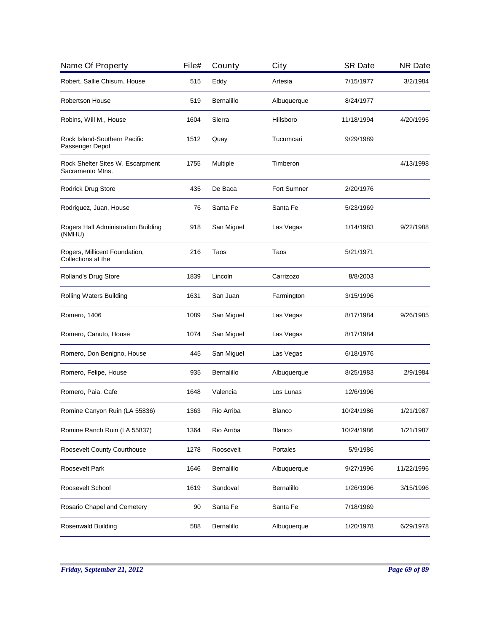| Name Of Property                                     | File# | County     | City          | <b>SR Date</b> | <b>NR Date</b> |
|------------------------------------------------------|-------|------------|---------------|----------------|----------------|
| Robert, Sallie Chisum, House                         | 515   | Eddy       | Artesia       | 7/15/1977      | 3/2/1984       |
| <b>Robertson House</b>                               | 519   | Bernalillo | Albuquerque   | 8/24/1977      |                |
| Robins, Will M., House                               | 1604  | Sierra     | Hillsboro     | 11/18/1994     | 4/20/1995      |
| Rock Island-Southern Pacific<br>Passenger Depot      | 1512  | Quay       | Tucumcari     | 9/29/1989      |                |
| Rock Shelter Sites W. Escarpment<br>Sacramento Mtns. | 1755  | Multiple   | Timberon      |                | 4/13/1998      |
| Rodrick Drug Store                                   | 435   | De Baca    | Fort Sumner   | 2/20/1976      |                |
| Rodriguez, Juan, House                               | 76    | Santa Fe   | Santa Fe      | 5/23/1969      |                |
| Rogers Hall Administration Building<br>(NMHU)        | 918   | San Miguel | Las Vegas     | 1/14/1983      | 9/22/1988      |
| Rogers, Millicent Foundation,<br>Collections at the  | 216   | Taos       | Taos          | 5/21/1971      |                |
| Rolland's Drug Store                                 | 1839  | Lincoln    | Carrizozo     | 8/8/2003       |                |
| Rolling Waters Building                              | 1631  | San Juan   | Farmington    | 3/15/1996      |                |
| Romero, 1406                                         | 1089  | San Miguel | Las Vegas     | 8/17/1984      | 9/26/1985      |
| Romero, Canuto, House                                | 1074  | San Miguel | Las Vegas     | 8/17/1984      |                |
| Romero, Don Benigno, House                           | 445   | San Miguel | Las Vegas     | 6/18/1976      |                |
| Romero, Felipe, House                                | 935   | Bernalillo | Albuquerque   | 8/25/1983      | 2/9/1984       |
| Romero, Paia, Cafe                                   | 1648  | Valencia   | Los Lunas     | 12/6/1996      |                |
| Romine Canyon Ruin (LA 55836)                        | 1363  | Rio Arriba | <b>Blanco</b> | 10/24/1986     | 1/21/1987      |
| Romine Ranch Ruin (LA 55837)                         | 1364  | Rio Arriba | <b>Blanco</b> | 10/24/1986     | 1/21/1987      |
| Roosevelt County Courthouse                          | 1278  | Roosevelt  | Portales      | 5/9/1986       |                |
| Roosevelt Park                                       | 1646  | Bernalillo | Albuquerque   | 9/27/1996      | 11/22/1996     |
| Roosevelt School                                     | 1619  | Sandoval   | Bernalillo    | 1/26/1996      | 3/15/1996      |
| Rosario Chapel and Cemetery                          | 90    | Santa Fe   | Santa Fe      | 7/18/1969      |                |
| Rosenwald Building                                   | 588   | Bernalillo | Albuquerque   | 1/20/1978      | 6/29/1978      |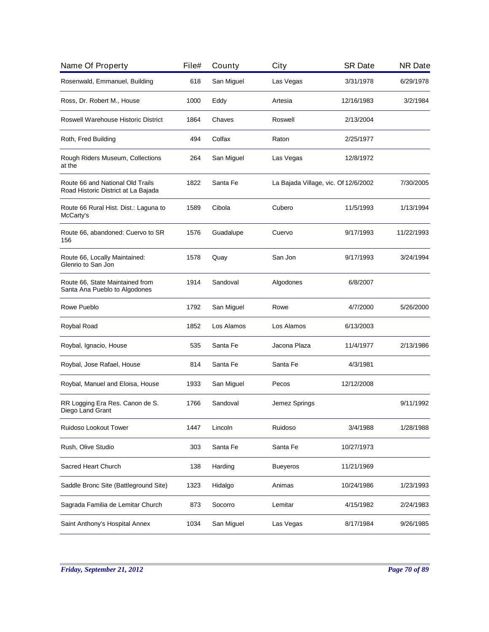| Name Of Property                                                        | File# | County     | City                                 | <b>SR Date</b> | <b>NR Date</b> |
|-------------------------------------------------------------------------|-------|------------|--------------------------------------|----------------|----------------|
| Rosenwald, Emmanuel, Building                                           | 618   | San Miguel | Las Vegas                            | 3/31/1978      | 6/29/1978      |
| Ross, Dr. Robert M., House                                              | 1000  | Eddy       | Artesia                              | 12/16/1983     | 3/2/1984       |
| <b>Roswell Warehouse Historic District</b>                              | 1864  | Chaves     | Roswell                              | 2/13/2004      |                |
| Roth, Fred Building                                                     | 494   | Colfax     | Raton                                | 2/25/1977      |                |
| Rough Riders Museum, Collections<br>at the                              | 264   | San Miguel | Las Vegas                            | 12/8/1972      |                |
| Route 66 and National Old Trails<br>Road Historic District at La Bajada | 1822  | Santa Fe   | La Bajada Village, vic. Of 12/6/2002 |                | 7/30/2005      |
| Route 66 Rural Hist. Dist.: Laguna to<br>McCarty's                      | 1589  | Cibola     | Cubero                               | 11/5/1993      | 1/13/1994      |
| Route 66, abandoned: Cuervo to SR<br>156                                | 1576  | Guadalupe  | Cuervo                               | 9/17/1993      | 11/22/1993     |
| Route 66, Locally Maintained:<br>Glenrio to San Jon                     | 1578  | Quay       | San Jon                              | 9/17/1993      | 3/24/1994      |
| Route 66, State Maintained from<br>Santa Ana Pueblo to Algodones        | 1914  | Sandoval   | Algodones                            | 6/8/2007       |                |
| Rowe Pueblo                                                             | 1792  | San Miguel | Rowe                                 | 4/7/2000       | 5/26/2000      |
| Roybal Road                                                             | 1852  | Los Alamos | Los Alamos                           | 6/13/2003      |                |
| Roybal, Ignacio, House                                                  | 535   | Santa Fe   | Jacona Plaza                         | 11/4/1977      | 2/13/1986      |
| Roybal, Jose Rafael, House                                              | 814   | Santa Fe   | Santa Fe                             | 4/3/1981       |                |
| Roybal, Manuel and Eloisa, House                                        | 1933  | San Miguel | Pecos                                | 12/12/2008     |                |
| RR Logging Era Res. Canon de S.<br>Diego Land Grant                     | 1766  | Sandoval   | Jemez Springs                        |                | 9/11/1992      |
| Ruidoso Lookout Tower                                                   | 1447  | Lincoln    | Ruidoso                              | 3/4/1988       | 1/28/1988      |
| Rush, Olive Studio                                                      | 303   | Santa Fe   | Santa Fe                             | 10/27/1973     |                |
| Sacred Heart Church                                                     | 138   | Harding    | <b>Bueyeros</b>                      | 11/21/1969     |                |
| Saddle Bronc Site (Battleground Site)                                   | 1323  | Hidalgo    | Animas                               | 10/24/1986     | 1/23/1993      |
| Sagrada Familia de Lemitar Church                                       | 873   | Socorro    | Lemitar                              | 4/15/1982      | 2/24/1983      |
| Saint Anthony's Hospital Annex                                          | 1034  | San Miguel | Las Vegas                            | 8/17/1984      | 9/26/1985      |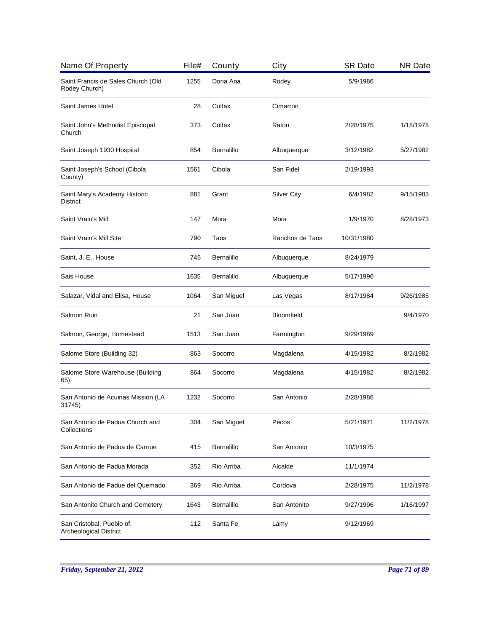| Name Of Property                                    | File# | County            | City               | <b>SR Date</b> | <b>NR Date</b> |
|-----------------------------------------------------|-------|-------------------|--------------------|----------------|----------------|
| Saint Francis de Sales Church (Old<br>Rodey Church) | 1255  | Dona Ana          | Rodey              | 5/9/1986       |                |
| Saint James Hotel                                   | 28    | Colfax            | Cimarron           |                |                |
| Saint John's Methodist Episcopal<br>Church          | 373   | Colfax            | Raton              | 2/28/1975      | 1/18/1978      |
| Saint Joseph 1930 Hospital                          | 854   | <b>Bernalillo</b> | Albuquerque        | 3/12/1982      | 5/27/1982      |
| Saint Joseph's School (Cibola<br>County)            | 1561  | Cibola            | San Fidel          | 2/19/1993      |                |
| Saint Mary's Academy Historic<br><b>District</b>    | 881   | Grant             | <b>Silver City</b> | 6/4/1982       | 9/15/1983      |
| Saint Vrain's Mill                                  | 147   | Mora              | Mora               | 1/9/1970       | 8/28/1973      |
| Saint Vrain's Mill Site                             | 790   | Taos              | Ranchos de Taos    | 10/31/1980     |                |
| Saint, J. E., House                                 | 745   | Bernalillo        | Albuquerque        | 8/24/1979      |                |
| Sais House                                          | 1635  | Bernalillo        | Albuquerque        | 5/17/1996      |                |
| Salazar, Vidal and Elisa, House                     | 1064  | San Miguel        | Las Vegas          | 8/17/1984      | 9/26/1985      |
| Salmon Ruin                                         | 21    | San Juan          | Bloomfield         |                | 9/4/1970       |
| Salmon, George, Homestead                           | 1513  | San Juan          | Farmington         | 9/29/1989      |                |
| Salome Store (Building 32)                          | 863   | Socorro           | Magdalena          | 4/15/1982      | 8/2/1982       |
| Salome Store Warehouse (Building<br>65)             | 864   | Socorro           | Magdalena          | 4/15/1982      | 8/2/1982       |
| San Antonio de Acuinas Mission (LA<br>31745)        | 1232  | Socorro           | San Antonio        | 2/28/1986      |                |
| San Antonio de Padua Church and<br>Collections      | 304   | San Miguel        | Pecos              | 5/21/1971      | 11/2/1978      |
| San Antonio de Padua de Carnue                      | 415   | Bernalillo        | San Antonio        | 10/3/1975      |                |
| San Antonio de Padua Morada                         | 352   | Rio Arriba        | Alcalde            | 11/1/1974      |                |
| San Antonio de Padue del Quemado                    | 369   | Rio Arriba        | Cordova            | 2/28/1975      | 11/2/1978      |
| San Antonito Church and Cemetery                    | 1643  | Bernalillo        | San Antonito       | 9/27/1996      | 1/16/1997      |
| San Cristobal, Pueblo of,<br>Archeological District | 112   | Santa Fe          | Lamy               | 9/12/1969      |                |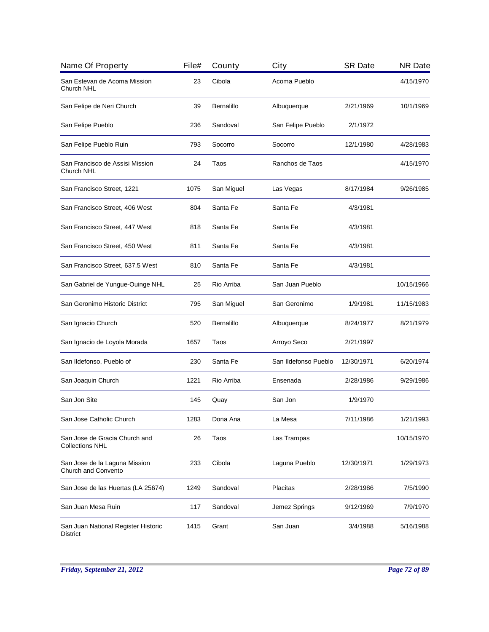| Name Of Property                                        | File# | County     | City                 | <b>SR Date</b> | <b>NR Date</b> |
|---------------------------------------------------------|-------|------------|----------------------|----------------|----------------|
| San Estevan de Acoma Mission<br>Church NHL              | 23    | Cibola     | Acoma Pueblo         |                | 4/15/1970      |
| San Felipe de Neri Church                               | 39    | Bernalillo | Albuquerque          | 2/21/1969      | 10/1/1969      |
| San Felipe Pueblo                                       | 236   | Sandoval   | San Felipe Pueblo    | 2/1/1972       |                |
| San Felipe Pueblo Ruin                                  | 793   | Socorro    | Socorro              | 12/1/1980      | 4/28/1983      |
| San Francisco de Assisi Mission<br>Church NHL           | 24    | Taos       | Ranchos de Taos      |                | 4/15/1970      |
| San Francisco Street, 1221                              | 1075  | San Miguel | Las Vegas            | 8/17/1984      | 9/26/1985      |
| San Francisco Street, 406 West                          | 804   | Santa Fe   | Santa Fe             | 4/3/1981       |                |
| San Francisco Street, 447 West                          | 818   | Santa Fe   | Santa Fe             | 4/3/1981       |                |
| San Francisco Street, 450 West                          | 811   | Santa Fe   | Santa Fe             | 4/3/1981       |                |
| San Francisco Street, 637.5 West                        | 810   | Santa Fe   | Santa Fe             | 4/3/1981       |                |
| San Gabriel de Yungue-Ouinge NHL                        | 25    | Rio Arriba | San Juan Pueblo      |                | 10/15/1966     |
| San Geronimo Historic District                          | 795   | San Miguel | San Geronimo         | 1/9/1981       | 11/15/1983     |
| San Ignacio Church                                      | 520   | Bernalillo | Albuquerque          | 8/24/1977      | 8/21/1979      |
| San Ignacio de Loyola Morada                            | 1657  | Taos       | Arroyo Seco          | 2/21/1997      |                |
| San Ildefonso, Pueblo of                                | 230   | Santa Fe   | San Ildefonso Pueblo | 12/30/1971     | 6/20/1974      |
| San Joaquin Church                                      | 1221  | Rio Arriba | Ensenada             | 2/28/1986      | 9/29/1986      |
| San Jon Site                                            | 145   | Quay       | San Jon              | 1/9/1970       |                |
| San Jose Catholic Church                                | 1283  | Dona Ana   | La Mesa              | 7/11/1986      | 1/21/1993      |
| San Jose de Gracia Church and<br><b>Collections NHL</b> | 26    | Taos       | Las Trampas          |                | 10/15/1970     |
| San Jose de la Laguna Mission<br>Church and Convento    | 233   | Cibola     | Laguna Pueblo        | 12/30/1971     | 1/29/1973      |
| San Jose de las Huertas (LA 25674)                      | 1249  | Sandoval   | Placitas             | 2/28/1986      | 7/5/1990       |
| San Juan Mesa Ruin                                      | 117   | Sandoval   | Jemez Springs        | 9/12/1969      | 7/9/1970       |
| San Juan National Register Historic<br>District         | 1415  | Grant      | San Juan             | 3/4/1988       | 5/16/1988      |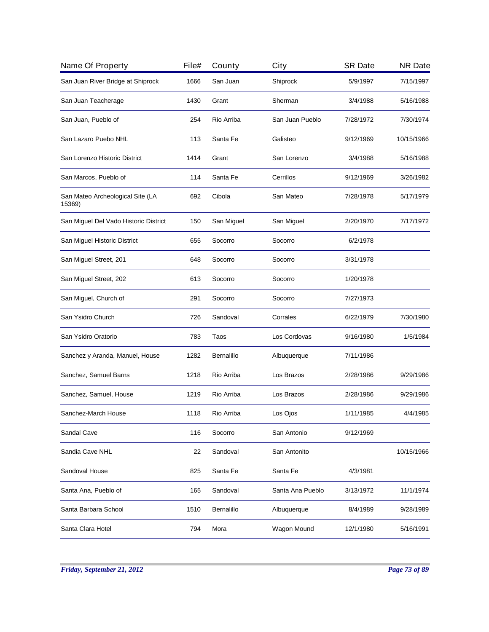| Name Of Property                           | File# | County     | City             | <b>SR Date</b> | <b>NR Date</b> |
|--------------------------------------------|-------|------------|------------------|----------------|----------------|
| San Juan River Bridge at Shiprock          | 1666  | San Juan   | Shiprock         | 5/9/1997       | 7/15/1997      |
| San Juan Teacherage                        | 1430  | Grant      | Sherman          | 3/4/1988       | 5/16/1988      |
| San Juan, Pueblo of                        | 254   | Rio Arriba | San Juan Pueblo  | 7/28/1972      | 7/30/1974      |
| San Lazaro Puebo NHL                       | 113   | Santa Fe   | Galisteo         | 9/12/1969      | 10/15/1966     |
| San Lorenzo Historic District              | 1414  | Grant      | San Lorenzo      | 3/4/1988       | 5/16/1988      |
| San Marcos, Pueblo of                      | 114   | Santa Fe   | Cerrillos        | 9/12/1969      | 3/26/1982      |
| San Mateo Archeological Site (LA<br>15369) | 692   | Cibola     | San Mateo        | 7/28/1978      | 5/17/1979      |
| San Miguel Del Vado Historic District      | 150   | San Miguel | San Miguel       | 2/20/1970      | 7/17/1972      |
| San Miguel Historic District               | 655   | Socorro    | Socorro          | 6/2/1978       |                |
| San Miguel Street, 201                     | 648   | Socorro    | Socorro          | 3/31/1978      |                |
| San Miguel Street, 202                     | 613   | Socorro    | Socorro          | 1/20/1978      |                |
| San Miguel, Church of                      | 291   | Socorro    | Socorro          | 7/27/1973      |                |
| San Ysidro Church                          | 726   | Sandoval   | Corrales         | 6/22/1979      | 7/30/1980      |
| San Ysidro Oratorio                        | 783   | Taos       | Los Cordovas     | 9/16/1980      | 1/5/1984       |
| Sanchez y Aranda, Manuel, House            | 1282  | Bernalillo | Albuquerque      | 7/11/1986      |                |
| Sanchez, Samuel Barns                      | 1218  | Rio Arriba | Los Brazos       | 2/28/1986      | 9/29/1986      |
| Sanchez, Samuel, House                     | 1219  | Rio Arriba | Los Brazos       | 2/28/1986      | 9/29/1986      |
| Sanchez-March House                        | 1118  | Rio Arriba | Los Ojos         | 1/11/1985      | 4/4/1985       |
| Sandal Cave                                | 116   | Socorro    | San Antonio      | 9/12/1969      |                |
| Sandia Cave NHL                            | 22    | Sandoval   | San Antonito     |                | 10/15/1966     |
| Sandoval House                             | 825   | Santa Fe   | Santa Fe         | 4/3/1981       |                |
| Santa Ana, Pueblo of                       | 165   | Sandoval   | Santa Ana Pueblo | 3/13/1972      | 11/1/1974      |
| Santa Barbara School                       | 1510  | Bernalillo | Albuquerque      | 8/4/1989       | 9/28/1989      |
| Santa Clara Hotel                          | 794   | Mora       | Wagon Mound      | 12/1/1980      | 5/16/1991      |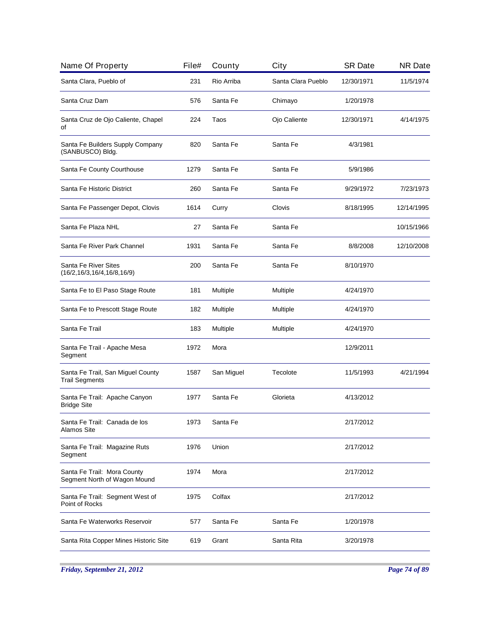| Name Of Property                                            | File# | County     | City               | <b>SR Date</b> | <b>NR Date</b> |
|-------------------------------------------------------------|-------|------------|--------------------|----------------|----------------|
| Santa Clara, Pueblo of                                      | 231   | Rio Arriba | Santa Clara Pueblo | 12/30/1971     | 11/5/1974      |
| Santa Cruz Dam                                              | 576   | Santa Fe   | Chimayo            | 1/20/1978      |                |
| Santa Cruz de Ojo Caliente, Chapel<br>οf                    | 224   | Taos       | Ojo Caliente       | 12/30/1971     | 4/14/1975      |
| Santa Fe Builders Supply Company<br>(SANBUSCO) Bldg.        | 820   | Santa Fe   | Santa Fe           | 4/3/1981       |                |
| Santa Fe County Courthouse                                  | 1279  | Santa Fe   | Santa Fe           | 5/9/1986       |                |
| Santa Fe Historic District                                  | 260   | Santa Fe   | Santa Fe           | 9/29/1972      | 7/23/1973      |
| Santa Fe Passenger Depot, Clovis                            | 1614  | Curry      | Clovis             | 8/18/1995      | 12/14/1995     |
| Santa Fe Plaza NHL                                          | 27    | Santa Fe   | Santa Fe           |                | 10/15/1966     |
| Santa Fe River Park Channel                                 | 1931  | Santa Fe   | Santa Fe           | 8/8/2008       | 12/10/2008     |
| Santa Fe River Sites<br>(16/2, 16/3, 16/4, 16/8, 16/9)      | 200   | Santa Fe   | Santa Fe           | 8/10/1970      |                |
| Santa Fe to El Paso Stage Route                             | 181   | Multiple   | Multiple           | 4/24/1970      |                |
| Santa Fe to Prescott Stage Route                            | 182   | Multiple   | Multiple           | 4/24/1970      |                |
| Santa Fe Trail                                              | 183   | Multiple   | Multiple           | 4/24/1970      |                |
| Santa Fe Trail - Apache Mesa<br>Segment                     | 1972  | Mora       |                    | 12/9/2011      |                |
| Santa Fe Trail, San Miguel County<br><b>Trail Segments</b>  | 1587  | San Miguel | Tecolote           | 11/5/1993      | 4/21/1994      |
| Santa Fe Trail: Apache Canyon<br><b>Bridge Site</b>         | 1977  | Santa Fe   | Glorieta           | 4/13/2012      |                |
| Santa Fe Trail: Canada de los<br>Alamos Site                | 1973  | Santa Fe   |                    | 2/17/2012      |                |
| Santa Fe Trail: Magazine Ruts<br>Segment                    | 1976  | Union      |                    | 2/17/2012      |                |
| Santa Fe Trail: Mora County<br>Segment North of Wagon Mound | 1974  | Mora       |                    | 2/17/2012      |                |
| Santa Fe Trail: Segment West of<br>Point of Rocks           | 1975  | Colfax     |                    | 2/17/2012      |                |
| Santa Fe Waterworks Reservoir                               | 577   | Santa Fe   | Santa Fe           | 1/20/1978      |                |
| Santa Rita Copper Mines Historic Site                       | 619   | Grant      | Santa Rita         | 3/20/1978      |                |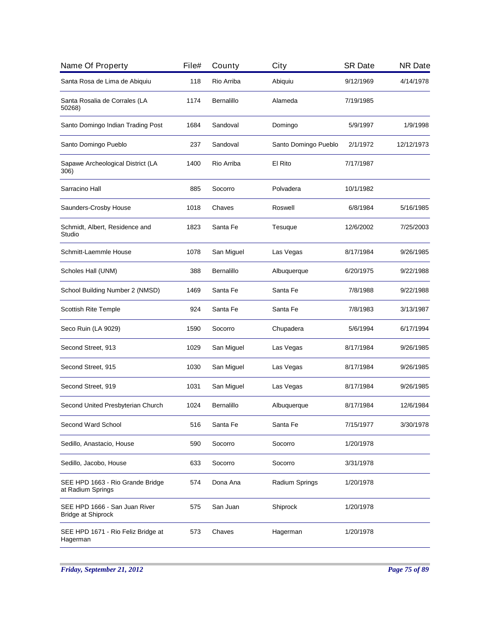| Name Of Property                                      | File# | County     | City                 | <b>SR Date</b> | <b>NR Date</b> |
|-------------------------------------------------------|-------|------------|----------------------|----------------|----------------|
| Santa Rosa de Lima de Abiquiu                         | 118   | Rio Arriba | Abiquiu              | 9/12/1969      | 4/14/1978      |
| Santa Rosalia de Corrales (LA<br>50268)               | 1174  | Bernalillo | Alameda              | 7/19/1985      |                |
| Santo Domingo Indian Trading Post                     | 1684  | Sandoval   | Domingo              | 5/9/1997       | 1/9/1998       |
| Santo Domingo Pueblo                                  | 237   | Sandoval   | Santo Domingo Pueblo | 2/1/1972       | 12/12/1973     |
| Sapawe Archeological District (LA<br>306)             | 1400  | Rio Arriba | El Rito              | 7/17/1987      |                |
| Sarracino Hall                                        | 885   | Socorro    | Polvadera            | 10/1/1982      |                |
| Saunders-Crosby House                                 | 1018  | Chaves     | Roswell              | 6/8/1984       | 5/16/1985      |
| Schmidt, Albert, Residence and<br>Studio              | 1823  | Santa Fe   | Tesuque              | 12/6/2002      | 7/25/2003      |
| Schmitt-Laemmle House                                 | 1078  | San Miguel | Las Vegas            | 8/17/1984      | 9/26/1985      |
| Scholes Hall (UNM)                                    | 388   | Bernalillo | Albuquerque          | 6/20/1975      | 9/22/1988      |
| School Building Number 2 (NMSD)                       | 1469  | Santa Fe   | Santa Fe             | 7/8/1988       | 9/22/1988      |
| Scottish Rite Temple                                  | 924   | Santa Fe   | Santa Fe             | 7/8/1983       | 3/13/1987      |
| Seco Ruin (LA 9029)                                   | 1590  | Socorro    | Chupadera            | 5/6/1994       | 6/17/1994      |
| Second Street, 913                                    | 1029  | San Miguel | Las Vegas            | 8/17/1984      | 9/26/1985      |
| Second Street, 915                                    | 1030  | San Miguel | Las Vegas            | 8/17/1984      | 9/26/1985      |
| Second Street, 919                                    | 1031  | San Miguel | Las Vegas            | 8/17/1984      | 9/26/1985      |
| Second United Presbyterian Church                     | 1024  | Bernalillo | Albuquerque          | 8/17/1984      | 12/6/1984      |
| Second Ward School                                    | 516   | Santa Fe   | Santa Fe             | 7/15/1977      | 3/30/1978      |
| Sedillo, Anastacio, House                             | 590   | Socorro    | Socorro              | 1/20/1978      |                |
| Sedillo, Jacobo, House                                | 633   | Socorro    | Socorro              | 3/31/1978      |                |
| SEE HPD 1663 - Rio Grande Bridge<br>at Radium Springs | 574   | Dona Ana   | Radium Springs       | 1/20/1978      |                |
| SEE HPD 1666 - San Juan River<br>Bridge at Shiprock   | 575   | San Juan   | Shiprock             | 1/20/1978      |                |
| SEE HPD 1671 - Rio Feliz Bridge at<br>Hagerman        | 573   | Chaves     | Hagerman             | 1/20/1978      |                |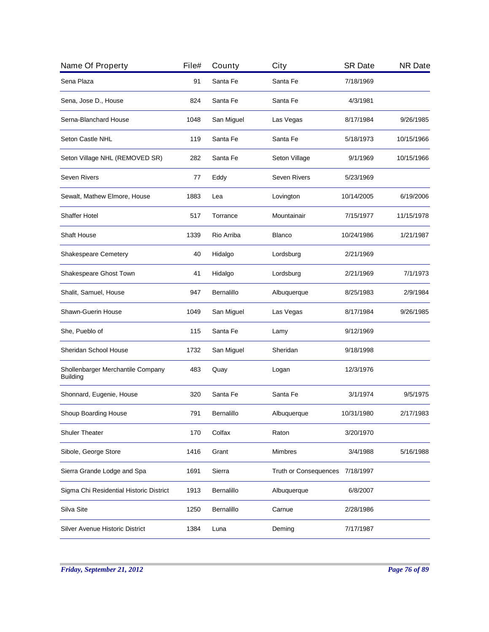| Name Of Property                                     | File# | County     | City                         | <b>SR Date</b> | <b>NR Date</b> |
|------------------------------------------------------|-------|------------|------------------------------|----------------|----------------|
| Sena Plaza                                           | 91    | Santa Fe   | Santa Fe                     | 7/18/1969      |                |
| Sena, Jose D., House                                 | 824   | Santa Fe   | Santa Fe                     | 4/3/1981       |                |
| Serna-Blanchard House                                | 1048  | San Miguel | Las Vegas                    | 8/17/1984      | 9/26/1985      |
| Seton Castle NHL                                     | 119   | Santa Fe   | Santa Fe                     | 5/18/1973      | 10/15/1966     |
| Seton Village NHL (REMOVED SR)                       | 282   | Santa Fe   | Seton Village                | 9/1/1969       | 10/15/1966     |
| <b>Seven Rivers</b>                                  | 77    | Eddy       | <b>Seven Rivers</b>          | 5/23/1969      |                |
| Sewalt, Mathew Elmore, House                         | 1883  | Lea        | Lovington                    | 10/14/2005     | 6/19/2006      |
| <b>Shaffer Hotel</b>                                 | 517   | Torrance   | Mountainair                  | 7/15/1977      | 11/15/1978     |
| <b>Shaft House</b>                                   | 1339  | Rio Arriba | <b>Blanco</b>                | 10/24/1986     | 1/21/1987      |
| <b>Shakespeare Cemetery</b>                          | 40    | Hidalgo    | Lordsburg                    | 2/21/1969      |                |
| Shakespeare Ghost Town                               | 41    | Hidalgo    | Lordsburg                    | 2/21/1969      | 7/1/1973       |
| Shalit, Samuel, House                                | 947   | Bernalillo | Albuquerque                  | 8/25/1983      | 2/9/1984       |
| <b>Shawn-Guerin House</b>                            | 1049  | San Miguel | Las Vegas                    | 8/17/1984      | 9/26/1985      |
| She, Pueblo of                                       | 115   | Santa Fe   | Lamy                         | 9/12/1969      |                |
| Sheridan School House                                | 1732  | San Miguel | Sheridan                     | 9/18/1998      |                |
| Shollenbarger Merchantile Company<br><b>Building</b> | 483   | Quay       | Logan                        | 12/3/1976      |                |
| Shonnard, Eugenie, House                             | 320   | Santa Fe   | Santa Fe                     | 3/1/1974       | 9/5/1975       |
| Shoup Boarding House                                 | 791   | Bernalillo | Albuquerque                  | 10/31/1980     | 2/17/1983      |
| <b>Shuler Theater</b>                                | 170   | Colfax     | Raton                        | 3/20/1970      |                |
| Sibole, George Store                                 | 1416  | Grant      | <b>Mimbres</b>               | 3/4/1988       | 5/16/1988      |
| Sierra Grande Lodge and Spa                          | 1691  | Sierra     | <b>Truth or Consequences</b> | 7/18/1997      |                |
| Sigma Chi Residential Historic District              | 1913  | Bernalillo | Albuquerque                  | 6/8/2007       |                |
| Silva Site                                           | 1250  | Bernalillo | Carnue                       | 2/28/1986      |                |
| Silver Avenue Historic District                      | 1384  | Luna       | Deming                       | 7/17/1987      |                |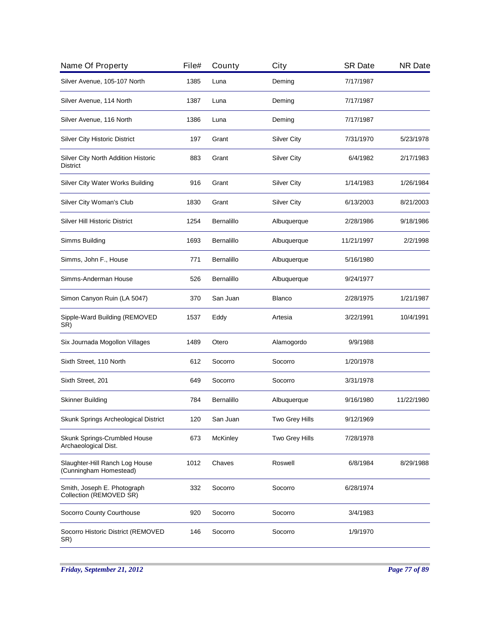| Name Of Property                                         | File# | County     | City               | <b>SR Date</b> | <b>NR Date</b> |
|----------------------------------------------------------|-------|------------|--------------------|----------------|----------------|
| Silver Avenue, 105-107 North                             | 1385  | Luna       | Deming             | 7/17/1987      |                |
| Silver Avenue, 114 North                                 | 1387  | Luna       | Deming             | 7/17/1987      |                |
| Silver Avenue, 116 North                                 | 1386  | Luna       | Deming             | 7/17/1987      |                |
| <b>Silver City Historic District</b>                     | 197   | Grant      | <b>Silver City</b> | 7/31/1970      | 5/23/1978      |
| Silver City North Addition Historic<br><b>District</b>   | 883   | Grant      | <b>Silver City</b> | 6/4/1982       | 2/17/1983      |
| Silver City Water Works Building                         | 916   | Grant      | <b>Silver City</b> | 1/14/1983      | 1/26/1984      |
| Silver City Woman's Club                                 | 1830  | Grant      | Silver City        | 6/13/2003      | 8/21/2003      |
| Silver Hill Historic District                            | 1254  | Bernalillo | Albuquerque        | 2/28/1986      | 9/18/1986      |
| Simms Building                                           | 1693  | Bernalillo | Albuquerque        | 11/21/1997     | 2/2/1998       |
| Simms, John F., House                                    | 771   | Bernalillo | Albuquerque        | 5/16/1980      |                |
| Simms-Anderman House                                     | 526   | Bernalillo | Albuquerque        | 9/24/1977      |                |
| Simon Canyon Ruin (LA 5047)                              | 370   | San Juan   | Blanco             | 2/28/1975      | 1/21/1987      |
| Sipple-Ward Building (REMOVED<br>SR)                     | 1537  | Eddy       | Artesia            | 3/22/1991      | 10/4/1991      |
| Six Journada Mogollon Villages                           | 1489  | Otero      | Alamogordo         | 9/9/1988       |                |
| Sixth Street, 110 North                                  | 612   | Socorro    | Socorro            | 1/20/1978      |                |
| Sixth Street, 201                                        | 649   | Socorro    | Socorro            | 3/31/1978      |                |
| <b>Skinner Building</b>                                  | 784   | Bernalillo | Albuquerque        | 9/16/1980      | 11/22/1980     |
| Skunk Springs Archeological District                     | 120   | San Juan   | Two Grey Hills     | 9/12/1969      |                |
| Skunk Springs-Crumbled House<br>Archaeological Dist.     | 673   | McKinley   | Two Grey Hills     | 7/28/1978      |                |
| Slaughter-Hill Ranch Log House<br>(Cunningham Homestead) | 1012  | Chaves     | Roswell            | 6/8/1984       | 8/29/1988      |
| Smith, Joseph E. Photograph<br>Collection (REMOVED SR)   | 332   | Socorro    | Socorro            | 6/28/1974      |                |
| Socorro County Courthouse                                | 920   | Socorro    | Socorro            | 3/4/1983       |                |
| Socorro Historic District (REMOVED<br>SR)                | 146   | Socorro    | Socorro            | 1/9/1970       |                |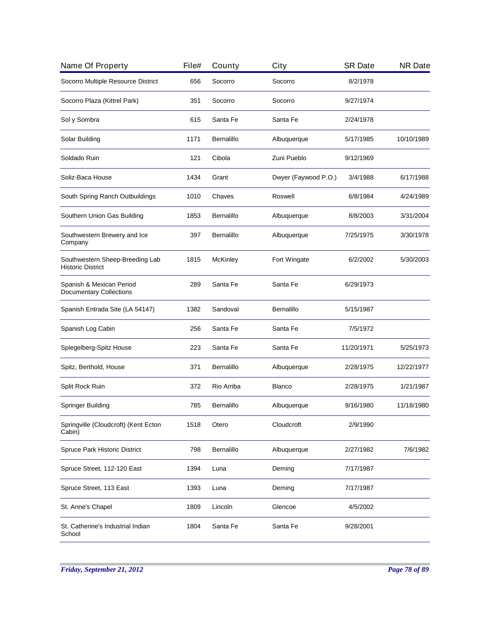| Name Of Property                                            | File# | County          | City                 | <b>SR Date</b> | <b>NR Date</b> |
|-------------------------------------------------------------|-------|-----------------|----------------------|----------------|----------------|
| Socorro Multiple Resource District                          | 656   | Socorro         | Socorro              | 8/2/1978       |                |
| Socorro Plaza (Kittrel Park)                                | 351   | Socorro         | Socorro              | 9/27/1974      |                |
| Sol y Sombra                                                | 615   | Santa Fe        | Santa Fe             | 2/24/1978      |                |
| Solar Building                                              | 1171  | Bernalillo      | Albuquerque          | 5/17/1985      | 10/10/1989     |
| Soldado Ruin                                                | 121   | Cibola          | Zuni Pueblo          | 9/12/1969      |                |
| Soliz-Baca House                                            | 1434  | Grant           | Dwyer (Faywood P.O.) | 3/4/1988       | 6/17/1988      |
| South Spring Ranch Outbuildings                             | 1010  | Chaves          | Roswell              | 6/8/1984       | 4/24/1989      |
| Southern Union Gas Building                                 | 1853  | Bernalillo      | Albuquerque          | 8/8/2003       | 3/31/2004      |
| Southwestern Brewery and Ice<br>Company                     | 397   | Bernalillo      | Albuquerque          | 7/25/1975      | 3/30/1978      |
| Southwestern Sheep-Breeding Lab<br><b>Historic District</b> | 1815  | <b>McKinley</b> | Fort Wingate         | 6/2/2002       | 5/30/2003      |
| Spanish & Mexican Period<br><b>Documentary Collections</b>  | 289   | Santa Fe        | Santa Fe             | 6/29/1973      |                |
| Spanish Entrada Site (LA 54147)                             | 1382  | Sandoval        | Bernalillo           | 5/15/1987      |                |
| Spanish Log Cabin                                           | 256   | Santa Fe        | Santa Fe             | 7/5/1972       |                |
| Spiegelberg-Spitz House                                     | 223   | Santa Fe        | Santa Fe             | 11/20/1971     | 5/25/1973      |
| Spitz, Berthold, House                                      | 371   | Bernalillo      | Albuquerque          | 2/28/1975      | 12/22/1977     |
| Split Rock Ruin                                             | 372   | Rio Arriba      | <b>Blanco</b>        | 2/28/1975      | 1/21/1987      |
| Springer Building                                           | 785   | Bernalillo      | Albuquerque          | 9/16/1980      | 11/18/1980     |
| Springville (Cloudcroft) (Kent Ecton<br>Cabin)              | 1518  | Otero           | Cloudcroft           | 2/9/1990       |                |
| Spruce Park Historic District                               | 798   | Bernalillo      | Albuquerque          | 2/27/1982      | 7/6/1982       |
| Spruce Street, 112-120 East                                 | 1394  | Luna            | Deming               | 7/17/1987      |                |
| Spruce Street, 113 East                                     | 1393  | Luna            | Deming               | 7/17/1987      |                |
| St. Anne's Chapel                                           | 1809  | Lincoln         | Glencoe              | 4/5/2002       |                |
| St. Catherine's Industrial Indian<br>School                 | 1804  | Santa Fe        | Santa Fe             | 9/28/2001      |                |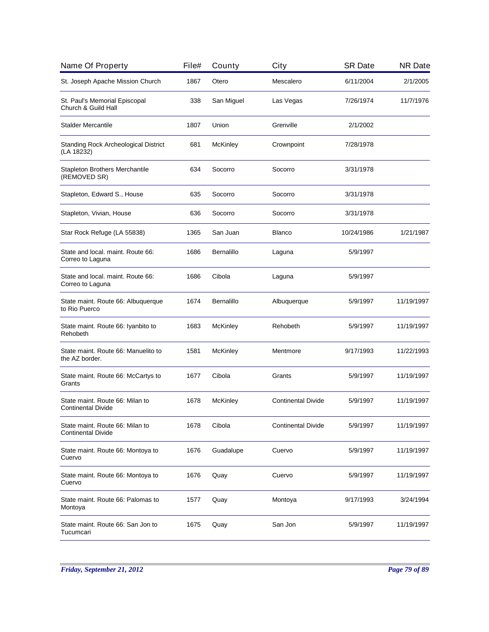| Name Of Property                                             | File# | County          | City                      | <b>SR Date</b> | <b>NR Date</b> |
|--------------------------------------------------------------|-------|-----------------|---------------------------|----------------|----------------|
| St. Joseph Apache Mission Church                             | 1867  | Otero           | Mescalero                 | 6/11/2004      | 2/1/2005       |
| St. Paul's Memorial Episcopal<br>Church & Guild Hall         | 338   | San Miguel      | Las Vegas                 | 7/26/1974      | 11/7/1976      |
| <b>Stalder Mercantile</b>                                    | 1807  | Union           | Grenville                 | 2/1/2002       |                |
| <b>Standing Rock Archeological District</b><br>(LA 18232)    | 681   | <b>McKinley</b> | Crownpoint                | 7/28/1978      |                |
| Stapleton Brothers Merchantile<br>(REMOVED SR)               | 634   | Socorro         | Socorro                   | 3/31/1978      |                |
| Stapleton, Edward S., House                                  | 635   | Socorro         | Socorro                   | 3/31/1978      |                |
| Stapleton, Vivian, House                                     | 636   | Socorro         | Socorro                   | 3/31/1978      |                |
| Star Rock Refuge (LA 55838)                                  | 1365  | San Juan        | <b>Blanco</b>             | 10/24/1986     | 1/21/1987      |
| State and local. maint. Route 66:<br>Correo to Laguna        | 1686  | Bernalillo      | Laguna                    | 5/9/1997       |                |
| State and local. maint. Route 66:<br>Correo to Laguna        | 1686  | Cibola          | Laguna                    | 5/9/1997       |                |
| State maint. Route 66: Albuquerque<br>to Rio Puerco          | 1674  | Bernalillo      | Albuquerque               | 5/9/1997       | 11/19/1997     |
| State maint. Route 66: Iyanbito to<br>Rehobeth               | 1683  | <b>McKinley</b> | Rehobeth                  | 5/9/1997       | 11/19/1997     |
| State maint. Route 66: Manuelito to<br>the AZ border.        | 1581  | <b>McKinley</b> | Mentmore                  | 9/17/1993      | 11/22/1993     |
| State maint. Route 66: McCartys to<br>Grants                 | 1677  | Cibola          | Grants                    | 5/9/1997       | 11/19/1997     |
| State maint. Route 66: Milan to<br>Continental Divide        | 1678  | <b>McKinley</b> | <b>Continental Divide</b> | 5/9/1997       | 11/19/1997     |
| State maint. Route 66: Milan to<br><b>Continental Divide</b> | 1678  | Cibola          | <b>Continental Divide</b> | 5/9/1997       | 11/19/1997     |
| State maint. Route 66: Montoya to<br>Cuervo                  | 1676  | Guadalupe       | Cuervo                    | 5/9/1997       | 11/19/1997     |
| State maint. Route 66: Montoya to<br>Cuervo                  | 1676  | Quay            | Cuervo                    | 5/9/1997       | 11/19/1997     |
| State maint. Route 66: Palomas to<br>Montoya                 | 1577  | Quay            | Montoya                   | 9/17/1993      | 3/24/1994      |
| State maint. Route 66: San Jon to<br>Tucumcari               | 1675  | Quay            | San Jon                   | 5/9/1997       | 11/19/1997     |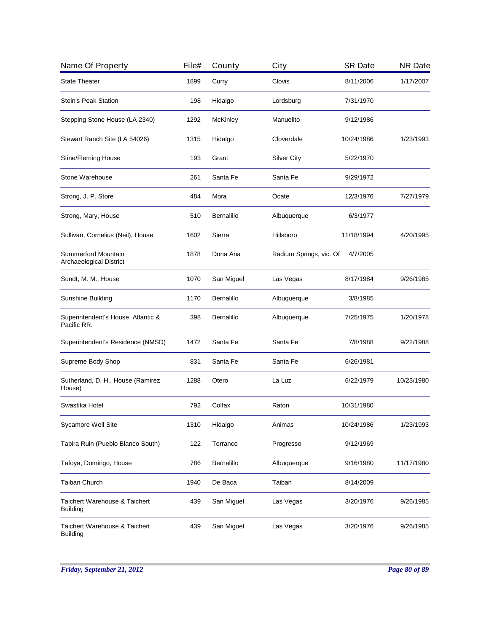| Name Of Property                                  | File# | County          | City                    | <b>SR Date</b> | <b>NR Date</b> |
|---------------------------------------------------|-------|-----------------|-------------------------|----------------|----------------|
| <b>State Theater</b>                              | 1899  | Curry           | Clovis                  | 8/11/2006      | 1/17/2007      |
| Stein's Peak Station                              | 198   | Hidalgo         | Lordsburg               | 7/31/1970      |                |
| Stepping Stone House (LA 2340)                    | 1292  | <b>McKinley</b> | Manuelito               | 9/12/1986      |                |
| Stewart Ranch Site (LA 54026)                     | 1315  | Hidalgo         | Cloverdale              | 10/24/1986     | 1/23/1993      |
| <b>Stine/Fleming House</b>                        | 193   | Grant           | <b>Silver City</b>      | 5/22/1970      |                |
| Stone Warehouse                                   | 261   | Santa Fe        | Santa Fe                | 9/29/1972      |                |
| Strong, J. P. Store                               | 484   | Mora            | Ocate                   | 12/3/1976      | 7/27/1979      |
| Strong, Mary, House                               | 510   | Bernalillo      | Albuquerque             | 6/3/1977       |                |
| Sullivan, Cornelius (Neil), House                 | 1602  | Sierra          | Hillsboro               | 11/18/1994     | 4/20/1995      |
| Summerford Mountain<br>Archaeological District    | 1878  | Dona Ana        | Radium Springs, vic. Of | 4/7/2005       |                |
| Sundt, M. M., House                               | 1070  | San Miguel      | Las Vegas               | 8/17/1984      | 9/26/1985      |
| Sunshine Building                                 | 1170  | Bernalillo      | Albuquerque             | 3/8/1985       |                |
| Superintendent's House, Atlantic &<br>Pacific RR. | 398   | Bernalillo      | Albuquerque             | 7/25/1975      | 1/20/1978      |
| Superintendent's Residence (NMSD)                 | 1472  | Santa Fe        | Santa Fe                | 7/8/1988       | 9/22/1988      |
| Supreme Body Shop                                 | 831   | Santa Fe        | Santa Fe                | 6/26/1981      |                |
| Sutherland, D. H., House (Ramirez<br>House)       | 1288  | Otero           | La Luz                  | 6/22/1979      | 10/23/1980     |
| Swastika Hotel                                    | 792   | Colfax          | Raton                   | 10/31/1980     |                |
| Sycamore Well Site                                | 1310  | Hidalgo         | Animas                  | 10/24/1986     | 1/23/1993      |
| Tabira Ruin (Pueblo Blanco South)                 | 122   | Torrance        | Progresso               | 9/12/1969      |                |
| Tafoya, Domingo, House                            | 786   | Bernalillo      | Albuquerque             | 9/16/1980      | 11/17/1980     |
| Taiban Church                                     | 1940  | De Baca         | Taiban                  | 8/14/2009      |                |
| Taichert Warehouse & Taichert<br>Building         | 439   | San Miguel      | Las Vegas               | 3/20/1976      | 9/26/1985      |
| Taichert Warehouse & Taichert<br><b>Building</b>  | 439   | San Miguel      | Las Vegas               | 3/20/1976      | 9/26/1985      |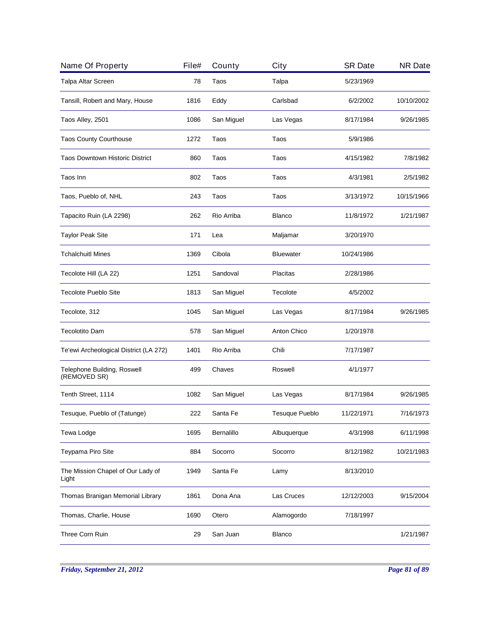| Name Of Property                            | File# | County     | City                  | <b>SR Date</b> | <b>NR Date</b> |
|---------------------------------------------|-------|------------|-----------------------|----------------|----------------|
| Talpa Altar Screen                          | 78    | Taos       | Talpa                 | 5/23/1969      |                |
| Tansill, Robert and Mary, House             | 1816  | Eddy       | Carlsbad              | 6/2/2002       | 10/10/2002     |
| Taos Alley, 2501                            | 1086  | San Miguel | Las Vegas             | 8/17/1984      | 9/26/1985      |
| <b>Taos County Courthouse</b>               | 1272  | Taos       | Taos                  | 5/9/1986       |                |
| <b>Taos Downtown Historic District</b>      | 860   | Taos       | Taos                  | 4/15/1982      | 7/8/1982       |
| Taos Inn                                    | 802   | Taos       | Taos                  | 4/3/1981       | 2/5/1982       |
| Taos, Pueblo of, NHL                        | 243   | Taos       | Taos                  | 3/13/1972      | 10/15/1966     |
| Tapacito Ruin (LA 2298)                     | 262   | Rio Arriba | <b>Blanco</b>         | 11/8/1972      | 1/21/1987      |
| <b>Taylor Peak Site</b>                     | 171   | Lea        | Maljamar              | 3/20/1970      |                |
| <b>Tchalchuitl Mines</b>                    | 1369  | Cibola     | <b>Bluewater</b>      | 10/24/1986     |                |
| Tecolote Hill (LA 22)                       | 1251  | Sandoval   | Placitas              | 2/28/1986      |                |
| <b>Tecolote Pueblo Site</b>                 | 1813  | San Miguel | Tecolote              | 4/5/2002       |                |
| Tecolote, 312                               | 1045  | San Miguel | Las Vegas             | 8/17/1984      | 9/26/1985      |
| <b>Tecolotito Dam</b>                       | 578   | San Miguel | Anton Chico           | 1/20/1978      |                |
| Te'ewi Archeological District (LA 272)      | 1401  | Rio Arriba | Chili                 | 7/17/1987      |                |
| Telephone Building, Roswell<br>(REMOVED SR) | 499   | Chaves     | Roswell               | 4/1/1977       |                |
| Tenth Street, 1114                          | 1082  | San Miguel | Las Vegas             | 8/17/1984      | 9/26/1985      |
| Tesuque, Pueblo of (Tatunge)                | 222   | Santa Fe   | <b>Tesuque Pueblo</b> | 11/22/1971     | 7/16/1973      |
| Tewa Lodge                                  | 1695  | Bernalillo | Albuquerque           | 4/3/1998       | 6/11/1998      |
| Teypama Piro Site                           | 884   | Socorro    | Socorro               | 8/12/1982      | 10/21/1983     |
| The Mission Chapel of Our Lady of<br>Light  | 1949  | Santa Fe   | Lamy                  | 8/13/2010      |                |
| Thomas Branigan Memorial Library            | 1861  | Dona Ana   | Las Cruces            | 12/12/2003     | 9/15/2004      |
| Thomas, Charlie, House                      | 1690  | Otero      | Alamogordo            | 7/18/1997      |                |
| <b>Three Corn Ruin</b>                      | 29    | San Juan   | <b>Blanco</b>         |                | 1/21/1987      |
|                                             |       |            |                       |                |                |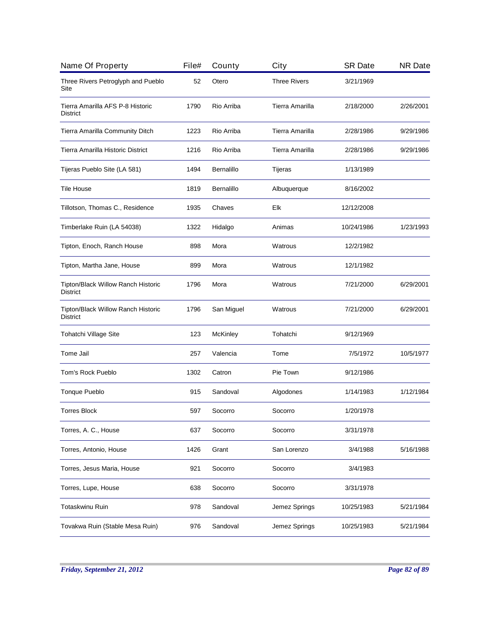| Name Of Property                                             | File# | County          | City                | <b>SR Date</b> | <b>NR Date</b> |
|--------------------------------------------------------------|-------|-----------------|---------------------|----------------|----------------|
| Three Rivers Petroglyph and Pueblo<br>Site                   | 52    | Otero           | <b>Three Rivers</b> | 3/21/1969      |                |
| Tierra Amarilla AFS P-8 Historic<br>District                 | 1790  | Rio Arriba      | Tierra Amarilla     | 2/18/2000      | 2/26/2001      |
| Tierra Amarilla Community Ditch                              | 1223  | Rio Arriba      | Tierra Amarilla     | 2/28/1986      | 9/29/1986      |
| Tierra Amarilla Historic District                            | 1216  | Rio Arriba      | Tierra Amarilla     | 2/28/1986      | 9/29/1986      |
| Tijeras Pueblo Site (LA 581)                                 | 1494  | Bernalillo      | Tijeras             | 1/13/1989      |                |
| Tile House                                                   | 1819  | Bernalillo      | Albuquerque         | 8/16/2002      |                |
| Tillotson, Thomas C., Residence                              | 1935  | Chaves          | Elk                 | 12/12/2008     |                |
| Timberlake Ruin (LA 54038)                                   | 1322  | Hidalgo         | Animas              | 10/24/1986     | 1/23/1993      |
| Tipton, Enoch, Ranch House                                   | 898   | Mora            | Watrous             | 12/2/1982      |                |
| Tipton, Martha Jane, House                                   | 899   | Mora            | Watrous             | 12/1/1982      |                |
| <b>Tipton/Black Willow Ranch Historic</b><br><b>District</b> | 1796  | Mora            | Watrous             | 7/21/2000      | 6/29/2001      |
| Tipton/Black Willow Ranch Historic<br><b>District</b>        | 1796  | San Miguel      | Watrous             | 7/21/2000      | 6/29/2001      |
| Tohatchi Village Site                                        | 123   | <b>McKinley</b> | Tohatchi            | 9/12/1969      |                |
| Tome Jail                                                    | 257   | Valencia        | Tome                | 7/5/1972       | 10/5/1977      |
| Tom's Rock Pueblo                                            | 1302  | Catron          | Pie Town            | 9/12/1986      |                |
| Tonque Pueblo                                                | 915   | Sandoval        | Algodones           | 1/14/1983      | 1/12/1984      |
| <b>Torres Block</b>                                          | 597   | Socorro         | Socorro             | 1/20/1978      |                |
| Torres, A. C., House                                         | 637   | Socorro         | Socorro             | 3/31/1978      |                |
| Torres, Antonio, House                                       | 1426  | Grant           | San Lorenzo         | 3/4/1988       | 5/16/1988      |
| Torres, Jesus Maria, House                                   | 921   | Socorro         | Socorro             | 3/4/1983       |                |
| Torres, Lupe, House                                          | 638   | Socorro         | Socorro             | 3/31/1978      |                |
| <b>Totaskwinu Ruin</b>                                       | 978   | Sandoval        | Jemez Springs       | 10/25/1983     | 5/21/1984      |
| Tovakwa Ruin (Stable Mesa Ruin)                              | 976   | Sandoval        | Jemez Springs       | 10/25/1983     | 5/21/1984      |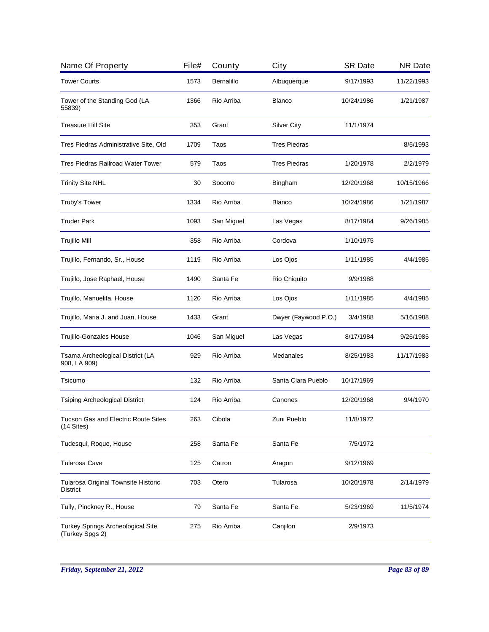| Name Of Property                                              | File# | County     | City                 | <b>SR Date</b> | <b>NR Date</b> |
|---------------------------------------------------------------|-------|------------|----------------------|----------------|----------------|
| <b>Tower Courts</b>                                           | 1573  | Bernalillo | Albuquerque          | 9/17/1993      | 11/22/1993     |
| Tower of the Standing God (LA<br>55839)                       | 1366  | Rio Arriba | Blanco               | 10/24/1986     | 1/21/1987      |
| <b>Treasure Hill Site</b>                                     | 353   | Grant      | <b>Silver City</b>   | 11/1/1974      |                |
| Tres Piedras Administrative Site, Old                         | 1709  | Taos       | <b>Tres Piedras</b>  |                | 8/5/1993       |
| Tres Piedras Railroad Water Tower                             | 579   | Taos       | <b>Tres Piedras</b>  | 1/20/1978      | 2/2/1979       |
| <b>Trinity Site NHL</b>                                       | 30    | Socorro    | Bingham              | 12/20/1968     | 10/15/1966     |
| Truby's Tower                                                 | 1334  | Rio Arriba | Blanco               | 10/24/1986     | 1/21/1987      |
| <b>Truder Park</b>                                            | 1093  | San Miguel | Las Vegas            | 8/17/1984      | 9/26/1985      |
| Trujillo Mill                                                 | 358   | Rio Arriba | Cordova              | 1/10/1975      |                |
| Trujillo, Fernando, Sr., House                                | 1119  | Rio Arriba | Los Ojos             | 1/11/1985      | 4/4/1985       |
| Trujillo, Jose Raphael, House                                 | 1490  | Santa Fe   | Rio Chiquito         | 9/9/1988       |                |
| Trujillo, Manuelita, House                                    | 1120  | Rio Arriba | Los Ojos             | 1/11/1985      | 4/4/1985       |
| Trujillo, Maria J. and Juan, House                            | 1433  | Grant      | Dwyer (Faywood P.O.) | 3/4/1988       | 5/16/1988      |
| Trujillo-Gonzales House                                       | 1046  | San Miguel | Las Vegas            | 8/17/1984      | 9/26/1985      |
| Tsama Archeological District (LA<br>908, LA 909)              | 929   | Rio Arriba | Medanales            | 8/25/1983      | 11/17/1983     |
| Tsicumo                                                       | 132   | Rio Arriba | Santa Clara Pueblo   | 10/17/1969     |                |
| <b>Tsiping Archeological District</b>                         | 124   | Rio Arriba | Canones              | 12/20/1968     | 9/4/1970       |
| Tucson Gas and Electric Route Sites<br>$(14$ Sites)           | 263   | Cibola     | Zuni Pueblo          | 11/8/1972      |                |
| Tudesqui, Roque, House                                        | 258   | Santa Fe   | Santa Fe             | 7/5/1972       |                |
| <b>Tularosa Cave</b>                                          | 125   | Catron     | Aragon               | 9/12/1969      |                |
| <b>Tularosa Original Townsite Historic</b><br><b>District</b> | 703   | Otero      | Tularosa             | 10/20/1978     | 2/14/1979      |
| Tully, Pinckney R., House                                     | 79    | Santa Fe   | Santa Fe             | 5/23/1969      | 11/5/1974      |
| Turkey Springs Archeological Site<br>(Turkey Spgs 2)          | 275   | Rio Arriba | Canjilon             | 2/9/1973       |                |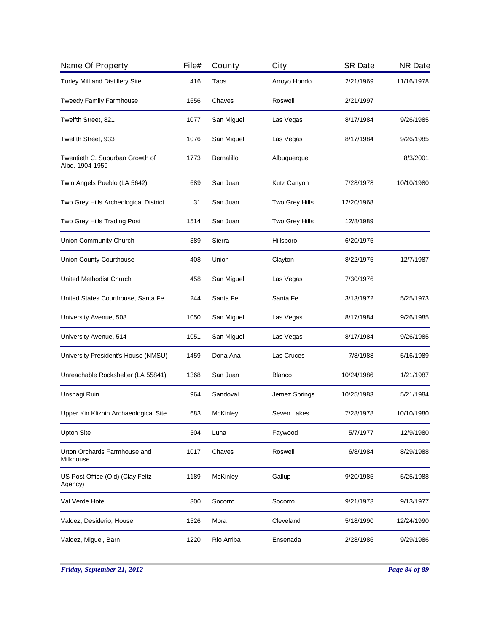| Name Of Property                                   | File# | County     | City           | <b>SR Date</b> | <b>NR Date</b> |
|----------------------------------------------------|-------|------------|----------------|----------------|----------------|
| Turley Mill and Distillery Site                    | 416   | Taos       | Arroyo Hondo   | 2/21/1969      | 11/16/1978     |
| <b>Tweedy Family Farmhouse</b>                     | 1656  | Chaves     | Roswell        | 2/21/1997      |                |
| Twelfth Street, 821                                | 1077  | San Miguel | Las Vegas      | 8/17/1984      | 9/26/1985      |
| Twelfth Street, 933                                | 1076  | San Miguel | Las Vegas      | 8/17/1984      | 9/26/1985      |
| Twentieth C. Suburban Growth of<br>Albq. 1904-1959 | 1773  | Bernalillo | Albuquerque    |                | 8/3/2001       |
| Twin Angels Pueblo (LA 5642)                       | 689   | San Juan   | Kutz Canyon    | 7/28/1978      | 10/10/1980     |
| Two Grey Hills Archeological District              | 31    | San Juan   | Two Grey Hills | 12/20/1968     |                |
| Two Grey Hills Trading Post                        | 1514  | San Juan   | Two Grey Hills | 12/8/1989      |                |
| Union Community Church                             | 389   | Sierra     | Hillsboro      | 6/20/1975      |                |
| Union County Courthouse                            | 408   | Union      | Clayton        | 8/22/1975      | 12/7/1987      |
| <b>United Methodist Church</b>                     | 458   | San Miguel | Las Vegas      | 7/30/1976      |                |
| United States Courthouse, Santa Fe                 | 244   | Santa Fe   | Santa Fe       | 3/13/1972      | 5/25/1973      |
| University Avenue, 508                             | 1050  | San Miguel | Las Vegas      | 8/17/1984      | 9/26/1985      |
| University Avenue, 514                             | 1051  | San Miguel | Las Vegas      | 8/17/1984      | 9/26/1985      |
| University President's House (NMSU)                | 1459  | Dona Ana   | Las Cruces     | 7/8/1988       | 5/16/1989      |
| Unreachable Rockshelter (LA 55841)                 | 1368  | San Juan   | <b>Blanco</b>  | 10/24/1986     | 1/21/1987      |
| Unshagi Ruin                                       | 964   | Sandoval   | Jemez Springs  | 10/25/1983     | 5/21/1984      |
| Upper Kin Klizhin Archaeological Site              | 683   | McKinley   | Seven Lakes    | 7/28/1978      | 10/10/1980     |
| <b>Upton Site</b>                                  | 504   | Luna       | Faywood        | 5/7/1977       | 12/9/1980      |
| Urton Orchards Farmhouse and<br>Milkhouse          | 1017  | Chaves     | Roswell        | 6/8/1984       | 8/29/1988      |
| US Post Office (Old) (Clay Feltz<br>Agency)        | 1189  | McKinley   | Gallup         | 9/20/1985      | 5/25/1988      |
| Val Verde Hotel                                    | 300   | Socorro    | Socorro        | 9/21/1973      | 9/13/1977      |
| Valdez, Desiderio, House                           | 1526  | Mora       | Cleveland      | 5/18/1990      | 12/24/1990     |
| Valdez, Miguel, Barn                               | 1220  | Rio Arriba | Ensenada       | 2/28/1986      | 9/29/1986      |

*Friday, September 21, 2012 Page 84 of 89*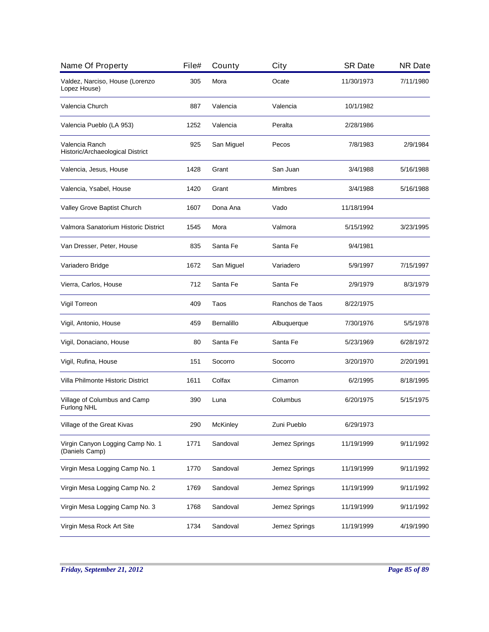| Name Of Property                                   | File# | County            | City            | <b>SR Date</b> | <b>NR Date</b> |
|----------------------------------------------------|-------|-------------------|-----------------|----------------|----------------|
| Valdez, Narciso, House (Lorenzo<br>Lopez House)    | 305   | Mora              | Ocate           | 11/30/1973     | 7/11/1980      |
| Valencia Church                                    | 887   | Valencia          | Valencia        | 10/1/1982      |                |
| Valencia Pueblo (LA 953)                           | 1252  | Valencia          | Peralta         | 2/28/1986      |                |
| Valencia Ranch<br>Historic/Archaeological District | 925   | San Miguel        | Pecos           | 7/8/1983       | 2/9/1984       |
| Valencia, Jesus, House                             | 1428  | Grant             | San Juan        | 3/4/1988       | 5/16/1988      |
| Valencia, Ysabel, House                            | 1420  | Grant             | Mimbres         | 3/4/1988       | 5/16/1988      |
| Valley Grove Baptist Church                        | 1607  | Dona Ana          | Vado            | 11/18/1994     |                |
| Valmora Sanatorium Historic District               | 1545  | Mora              | Valmora         | 5/15/1992      | 3/23/1995      |
| Van Dresser, Peter, House                          | 835   | Santa Fe          | Santa Fe        | 9/4/1981       |                |
| Variadero Bridge                                   | 1672  | San Miguel        | Variadero       | 5/9/1997       | 7/15/1997      |
| Vierra, Carlos, House                              | 712   | Santa Fe          | Santa Fe        | 2/9/1979       | 8/3/1979       |
| Vigil Torreon                                      | 409   | Taos              | Ranchos de Taos | 8/22/1975      |                |
| Vigil, Antonio, House                              | 459   | <b>Bernalillo</b> | Albuquerque     | 7/30/1976      | 5/5/1978       |
| Vigil, Donaciano, House                            | 80    | Santa Fe          | Santa Fe        | 5/23/1969      | 6/28/1972      |
| Vigil, Rufina, House                               | 151   | Socorro           | Socorro         | 3/20/1970      | 2/20/1991      |
| Villa Philmonte Historic District                  | 1611  | Colfax            | Cimarron        | 6/2/1995       | 8/18/1995      |
| Village of Columbus and Camp<br>Furlong NHL        | 390   | Luna              | Columbus        | 6/20/1975      | 5/15/1975      |
| Village of the Great Kivas                         | 290   | McKinley          | Zuni Pueblo     | 6/29/1973      |                |
| Virgin Canyon Logging Camp No. 1<br>(Daniels Camp) | 1771  | Sandoval          | Jemez Springs   | 11/19/1999     | 9/11/1992      |
| Virgin Mesa Logging Camp No. 1                     | 1770  | Sandoval          | Jemez Springs   | 11/19/1999     | 9/11/1992      |
| Virgin Mesa Logging Camp No. 2                     | 1769  | Sandoval          | Jemez Springs   | 11/19/1999     | 9/11/1992      |
| Virgin Mesa Logging Camp No. 3                     | 1768  | Sandoval          | Jemez Springs   | 11/19/1999     | 9/11/1992      |
| Virgin Mesa Rock Art Site                          | 1734  | Sandoval          | Jemez Springs   | 11/19/1999     | 4/19/1990      |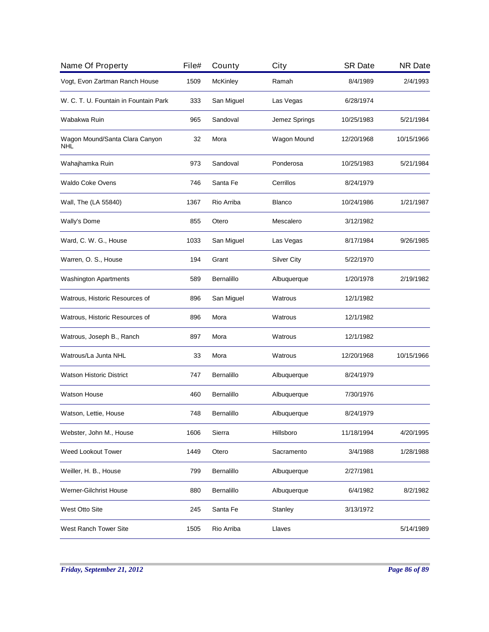| Name Of Property                      | File# | County     | City               | <b>SR Date</b> | <b>NR Date</b> |
|---------------------------------------|-------|------------|--------------------|----------------|----------------|
| Vogt, Evon Zartman Ranch House        | 1509  | McKinley   | Ramah              | 8/4/1989       | 2/4/1993       |
| W. C. T. U. Fountain in Fountain Park | 333   | San Miguel | Las Vegas          | 6/28/1974      |                |
| Wabakwa Ruin                          | 965   | Sandoval   | Jemez Springs      | 10/25/1983     | 5/21/1984      |
| Wagon Mound/Santa Clara Canyon<br>NHL | 32    | Mora       | Wagon Mound        | 12/20/1968     | 10/15/1966     |
| Wahajhamka Ruin                       | 973   | Sandoval   | Ponderosa          | 10/25/1983     | 5/21/1984      |
| Waldo Coke Ovens                      | 746   | Santa Fe   | Cerrillos          | 8/24/1979      |                |
| Wall, The (LA 55840)                  | 1367  | Rio Arriba | <b>Blanco</b>      | 10/24/1986     | 1/21/1987      |
| Wally's Dome                          | 855   | Otero      | Mescalero          | 3/12/1982      |                |
| Ward, C. W. G., House                 | 1033  | San Miguel | Las Vegas          | 8/17/1984      | 9/26/1985      |
| Warren, O. S., House                  | 194   | Grant      | <b>Silver City</b> | 5/22/1970      |                |
| <b>Washington Apartments</b>          | 589   | Bernalillo | Albuquerque        | 1/20/1978      | 2/19/1982      |
| Watrous, Historic Resources of        | 896   | San Miguel | Watrous            | 12/1/1982      |                |
| Watrous, Historic Resources of        | 896   | Mora       | Watrous            | 12/1/1982      |                |
| Watrous, Joseph B., Ranch             | 897   | Mora       | Watrous            | 12/1/1982      |                |
| Watrous/La Junta NHL                  | 33    | Mora       | Watrous            | 12/20/1968     | 10/15/1966     |
| <b>Watson Historic District</b>       | 747   | Bernalillo | Albuquerque        | 8/24/1979      |                |
| <b>Watson House</b>                   | 460   | Bernalillo | Albuquerque        | 7/30/1976      |                |
| Watson, Lettie, House                 | 748   | Bernalillo | Albuquerque        | 8/24/1979      |                |
| Webster, John M., House               | 1606  | Sierra     | Hillsboro          | 11/18/1994     | 4/20/1995      |
| <b>Weed Lookout Tower</b>             | 1449  | Otero      | Sacramento         | 3/4/1988       | 1/28/1988      |
| Weiller, H. B., House                 | 799   | Bernalillo | Albuquerque        | 2/27/1981      |                |
| <b>Werner-Gilchrist House</b>         | 880   | Bernalillo | Albuquerque        | 6/4/1982       | 8/2/1982       |
| West Otto Site                        | 245   | Santa Fe   | Stanley            | 3/13/1972      |                |
| West Ranch Tower Site                 | 1505  | Rio Arriba | Llaves             |                | 5/14/1989      |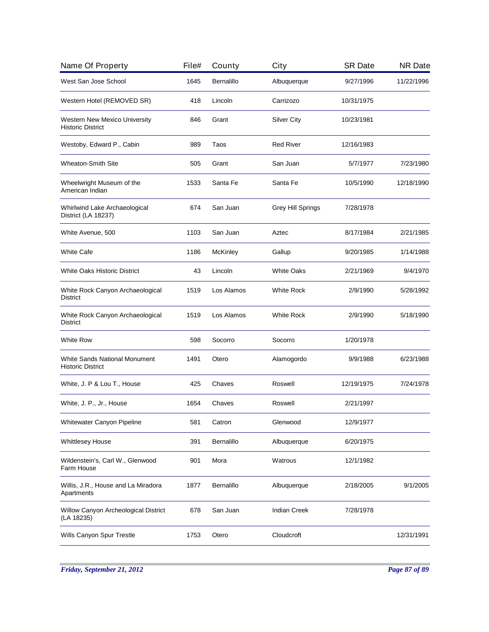| Name Of Property                                                 | File# | County     | City                | <b>SR Date</b> | <b>NR Date</b> |
|------------------------------------------------------------------|-------|------------|---------------------|----------------|----------------|
| West San Jose School                                             | 1645  | Bernalillo | Albuquerque         | 9/27/1996      | 11/22/1996     |
| Western Hotel (REMOVED SR)                                       | 418   | Lincoln    | Carrizozo           | 10/31/1975     |                |
| Western New Mexico University<br><b>Historic District</b>        | 846   | Grant      | <b>Silver City</b>  | 10/23/1981     |                |
| Westoby, Edward P., Cabin                                        | 989   | Taos       | <b>Red River</b>    | 12/16/1983     |                |
| <b>Wheaton-Smith Site</b>                                        | 505   | Grant      | San Juan            | 5/7/1977       | 7/23/1980      |
| Wheelwright Museum of the<br>American Indian                     | 1533  | Santa Fe   | Santa Fe            | 10/5/1990      | 12/18/1990     |
| Whirlwind Lake Archaeological<br>District (LA 18237)             | 674   | San Juan   | Grey Hill Springs   | 7/28/1978      |                |
| White Avenue, 500                                                | 1103  | San Juan   | Aztec               | 8/17/1984      | 2/21/1985      |
| <b>White Cafe</b>                                                | 1186  | McKinley   | Gallup              | 9/20/1985      | 1/14/1988      |
| <b>White Oaks Historic District</b>                              | 43    | Lincoln    | <b>White Oaks</b>   | 2/21/1969      | 9/4/1970       |
| White Rock Canyon Archaeological<br><b>District</b>              | 1519  | Los Alamos | <b>White Rock</b>   | 2/9/1990       | 5/28/1992      |
| White Rock Canyon Archaeological<br>District                     | 1519  | Los Alamos | <b>White Rock</b>   | 2/9/1990       | 5/18/1990      |
| <b>White Row</b>                                                 | 598   | Socorro    | Socorro             | 1/20/1978      |                |
| <b>White Sands National Monument</b><br><b>Historic District</b> | 1491  | Otero      | Alamogordo          | 9/9/1988       | 6/23/1988      |
| White, J. P & Lou T., House                                      | 425   | Chaves     | Roswell             | 12/19/1975     | 7/24/1978      |
| White, J. P., Jr., House                                         | 1654  | Chaves     | Roswell             | 2/21/1997      |                |
| Whitewater Canyon Pipeline                                       | 581   | Catron     | Glenwood            | 12/9/1977      |                |
| <b>Whittlesey House</b>                                          | 391   | Bernalillo | Albuquerque         | 6/20/1975      |                |
| Wildenstein's, Carl W., Glenwood<br>Farm House                   | 901   | Mora       | Watrous             | 12/1/1982      |                |
| Willis, J.R., House and La Miradora<br>Apartments                | 1877  | Bernalillo | Albuquerque         | 2/18/2005      | 9/1/2005       |
| Willow Canyon Archeological District<br>(LA 18235)               | 678   | San Juan   | <b>Indian Creek</b> | 7/28/1978      |                |
| Wills Canyon Spur Trestle                                        | 1753  | Otero      | Cloudcroft          |                | 12/31/1991     |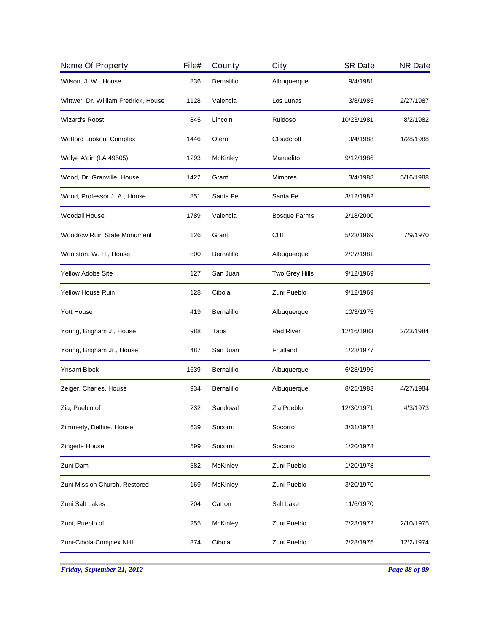| Name Of Property                     | File# | County          | City                | <b>SR Date</b> | <b>NR Date</b> |
|--------------------------------------|-------|-----------------|---------------------|----------------|----------------|
| Wilson, J. W., House                 | 836   | Bernalillo      | Albuquerque         | 9/4/1981       |                |
| Wittwer, Dr. William Fredrick, House | 1128  | Valencia        | Los Lunas           | 3/8/1985       | 2/27/1987      |
| <b>Wizard's Roost</b>                | 845   | Lincoln         | Ruidoso             | 10/23/1981     | 8/2/1982       |
| Wofford Lookout Complex              | 1446  | Otero           | Cloudcroft          | 3/4/1988       | 1/28/1988      |
| Wolye A'din (LA 49505)               | 1293  | <b>McKinley</b> | Manuelito           | 9/12/1986      |                |
| Wood, Dr. Granville, House           | 1422  | Grant           | Mimbres             | 3/4/1988       | 5/16/1988      |
| Wood, Professor J. A., House         | 851   | Santa Fe        | Santa Fe            | 3/12/1982      |                |
| Woodall House                        | 1789  | Valencia        | <b>Bosque Farms</b> | 2/18/2000      |                |
| <b>Woodrow Ruin State Monument</b>   | 126   | Grant           | Cliff               | 5/23/1969      | 7/9/1970       |
| Woolston, W. H., House               | 800   | Bernalillo      | Albuquerque         | 2/27/1981      |                |
| <b>Yellow Adobe Site</b>             | 127   | San Juan        | Two Grey Hills      | 9/12/1969      |                |
| <b>Yellow House Ruin</b>             | 128   | Cibola          | Zuni Pueblo         | 9/12/1969      |                |
| <b>Yott House</b>                    | 419   | Bernalillo      | Albuquerque         | 10/3/1975      |                |
| Young, Brigham J., House             | 988   | Taos            | <b>Red River</b>    | 12/16/1983     | 2/23/1984      |
| Young, Brigham Jr., House            | 487   | San Juan        | Fruitland           | 1/28/1977      |                |
| Yrisarri Block                       | 1639  | Bernalillo      | Albuquerque         | 6/28/1996      |                |
| Zeiger, Charles, House               | 934   | Bernalillo      | Albuquerque         | 8/25/1983      | 4/27/1984      |
| Zia, Pueblo of                       | 232   | Sandoval        | Zia Pueblo          | 12/30/1971     | 4/3/1973       |
| Zimmerly, Delfine, House             | 639   | Socorro         | Socorro             | 3/31/1978      |                |
| Zingerle House                       | 599   | Socorro         | Socorro             | 1/20/1978      |                |
| Zuni Dam                             | 582   | McKinley        | Zuni Pueblo         | 1/20/1978      |                |
| Zuni Mission Church, Restored        | 169   | McKinley        | Zuni Pueblo         | 3/20/1970      |                |
| Zuni Salt Lakes                      | 204   | Catron          | Salt Lake           | 11/6/1970      |                |
| Zuni, Pueblo of                      | 255   | McKinley        | Zuni Pueblo         | 7/28/1972      | 2/10/1975      |
| Zuni-Cibola Complex NHL              | 374   | Cibola          | Zuni Pueblo         | 2/28/1975      | 12/2/1974      |
|                                      |       |                 |                     |                |                |

*Friday, September 21, 2012 Page 88 of 89*